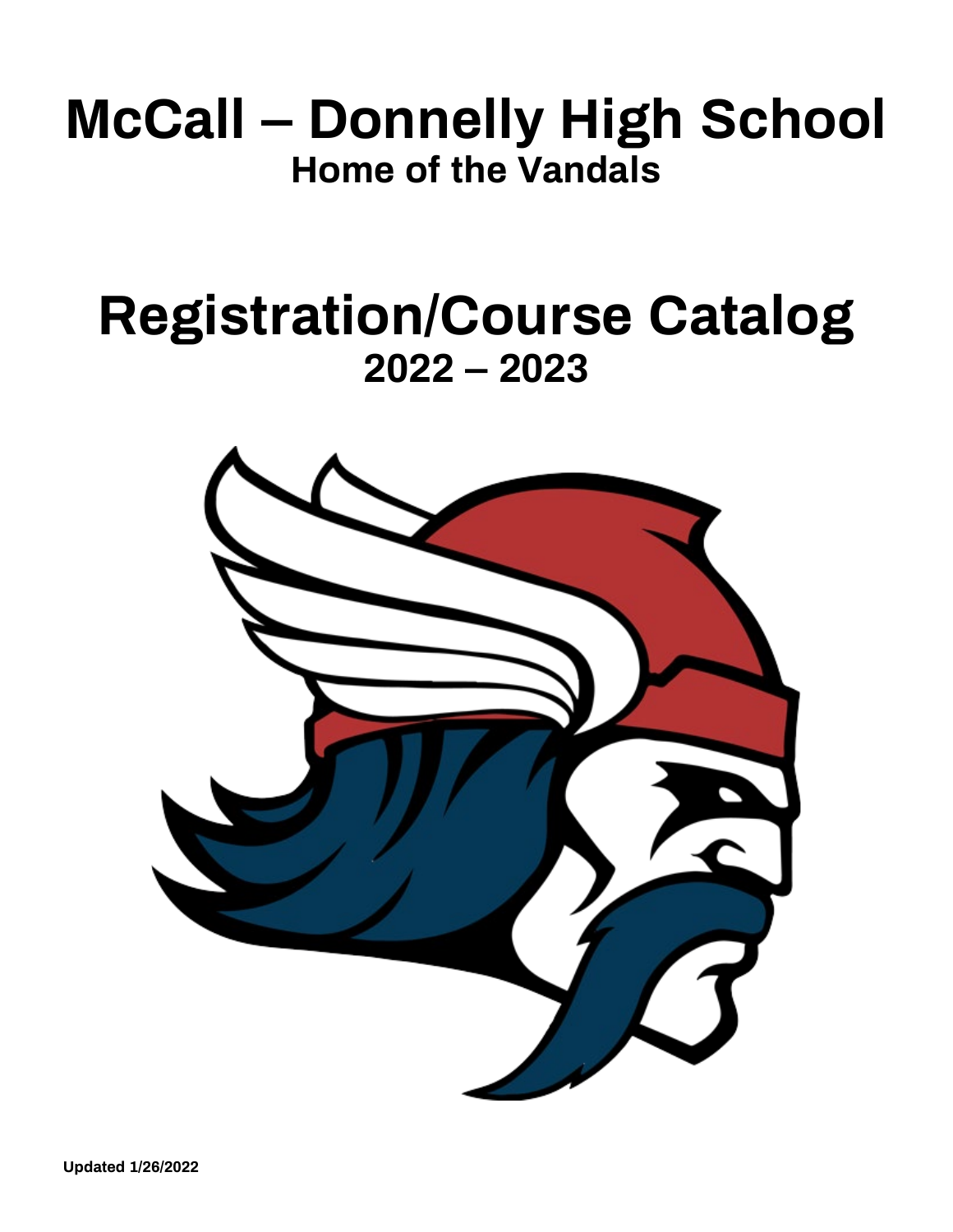## **McCall – Donnelly High School Home of the Vandals**

## **Registration/Course Catalog 2022 – 2023**

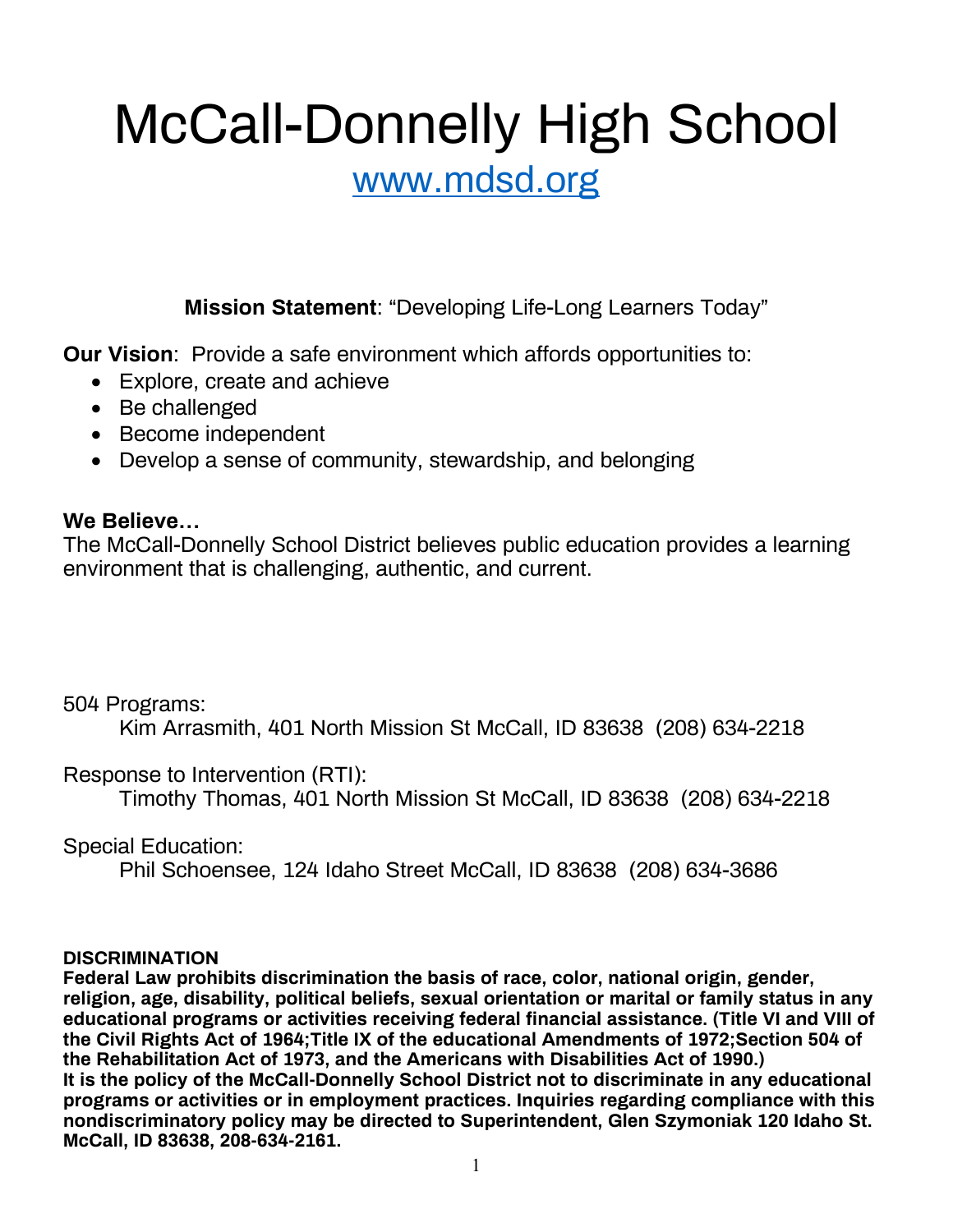## McCall-Donnelly High School

### [www.mdsd.org](http://www.mdsd.org/)

**Mission Statement**: "Developing Life-Long Learners Today"

**Our Vision**: Provide a safe environment which affords opportunities to:

- Explore, create and achieve
- Be challenged
- Become independent
- Develop a sense of community, stewardship, and belonging

### **We Believe…**

The McCall-Donnelly School District believes public education provides a learning environment that is challenging, authentic, and current.

### 504 Programs:

Kim Arrasmith, 401 North Mission St McCall, ID 83638 (208) 634-2218

### Response to Intervention (RTI):

Timothy Thomas, 401 North Mission St McCall, ID 83638 (208) 634-2218

Special Education:

Phil Schoensee, 124 Idaho Street McCall, ID 83638 (208) 634-3686

### **DISCRIMINATION**

**Federal Law prohibits discrimination the basis of race, color, national origin, gender, religion, age, disability, political beliefs, sexual orientation or marital or family status in any educational programs or activities receiving federal financial assistance. (Title VI and VIII of the Civil Rights Act of 1964;Title IX of the educational Amendments of 1972;Section 504 of the Rehabilitation Act of 1973, and the Americans with Disabilities Act of 1990.) It is the policy of the McCall-Donnelly School District not to discriminate in any educational programs or activities or in employment practices. Inquiries regarding compliance with this nondiscriminatory policy may be directed to Superintendent, Glen Szymoniak 120 Idaho St. McCall, ID 83638, 208-634-2161.**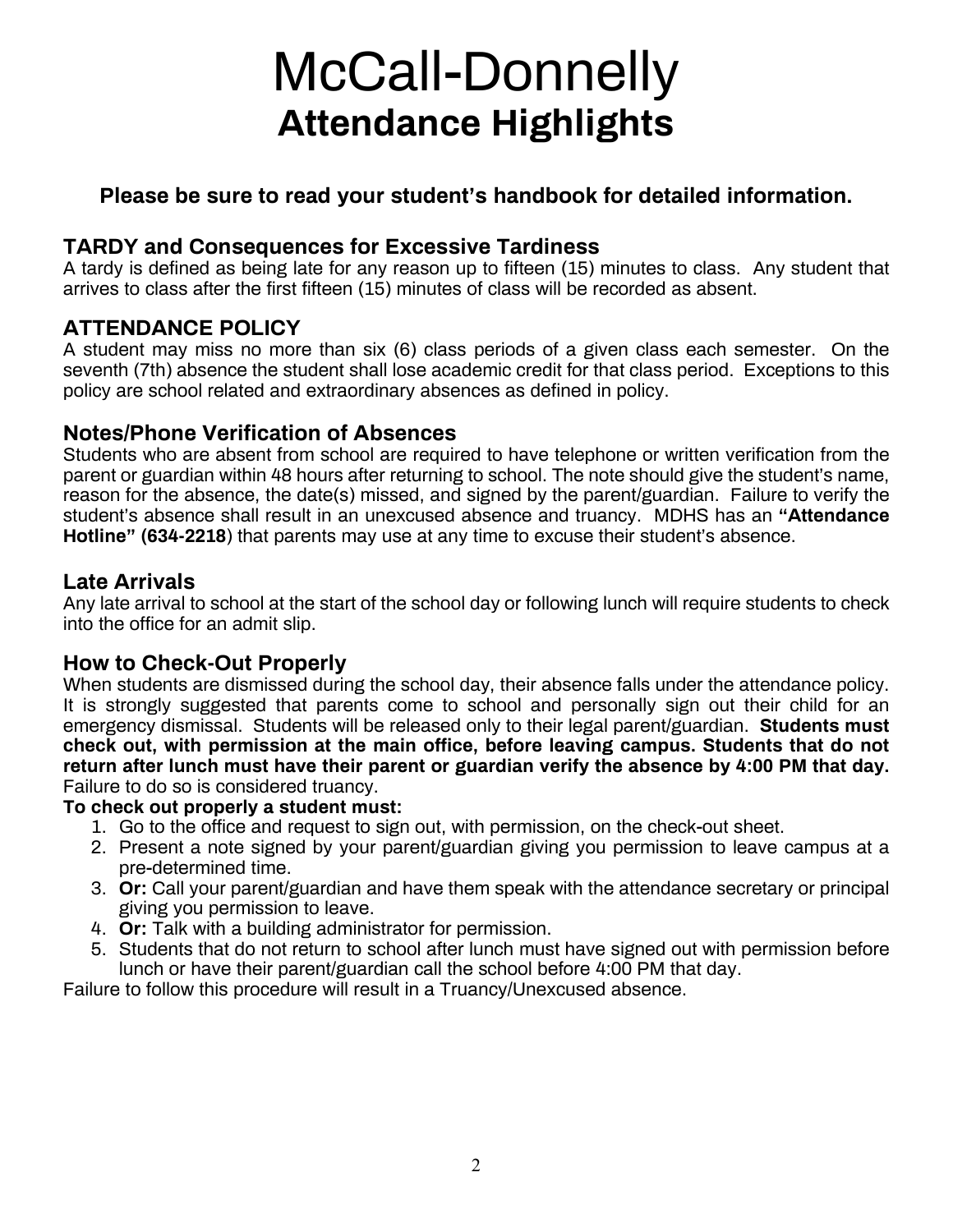## McCall-Donnelly **Attendance Highlights**

### **Please be sure to read your student's handbook for detailed information.**

### **TARDY and Consequences for Excessive Tardiness**

A tardy is defined as being late for any reason up to fifteen (15) minutes to class. Any student that arrives to class after the first fifteen (15) minutes of class will be recorded as absent.

### **ATTENDANCE POLICY**

A student may miss no more than six (6) class periods of a given class each semester. On the seventh (7th) absence the student shall lose academic credit for that class period. Exceptions to this policy are school related and extraordinary absences as defined in policy.

### **Notes/Phone Verification of Absences**

Students who are absent from school are required to have telephone or written verification from the parent or guardian within 48 hours after returning to school. The note should give the student's name, reason for the absence, the date(s) missed, and signed by the parent/guardian. Failure to verify the student's absence shall result in an unexcused absence and truancy. MDHS has an **"Attendance Hotline" (634-2218**) that parents may use at any time to excuse their student's absence.

### **Late Arrivals**

Any late arrival to school at the start of the school day or following lunch will require students to check into the office for an admit slip.

### **How to Check-Out Properly**

When students are dismissed during the school day, their absence falls under the attendance policy. It is strongly suggested that parents come to school and personally sign out their child for an emergency dismissal. Students will be released only to their legal parent/guardian. **Students must check out, with permission at the main office, before leaving campus. Students that do not return after lunch must have their parent or guardian verify the absence by 4:00 PM that day.**  Failure to do so is considered truancy.

### **To check out properly a student must:**

- 1. Go to the office and request to sign out, with permission, on the check-out sheet.
- 2. Present a note signed by your parent/guardian giving you permission to leave campus at a pre-determined time.
- 3. **Or:** Call your parent/guardian and have them speak with the attendance secretary or principal giving you permission to leave.
- 4. **Or:** Talk with a building administrator for permission.
- 5. Students that do not return to school after lunch must have signed out with permission before lunch or have their parent/guardian call the school before 4:00 PM that day.

Failure to follow this procedure will result in a Truancy/Unexcused absence.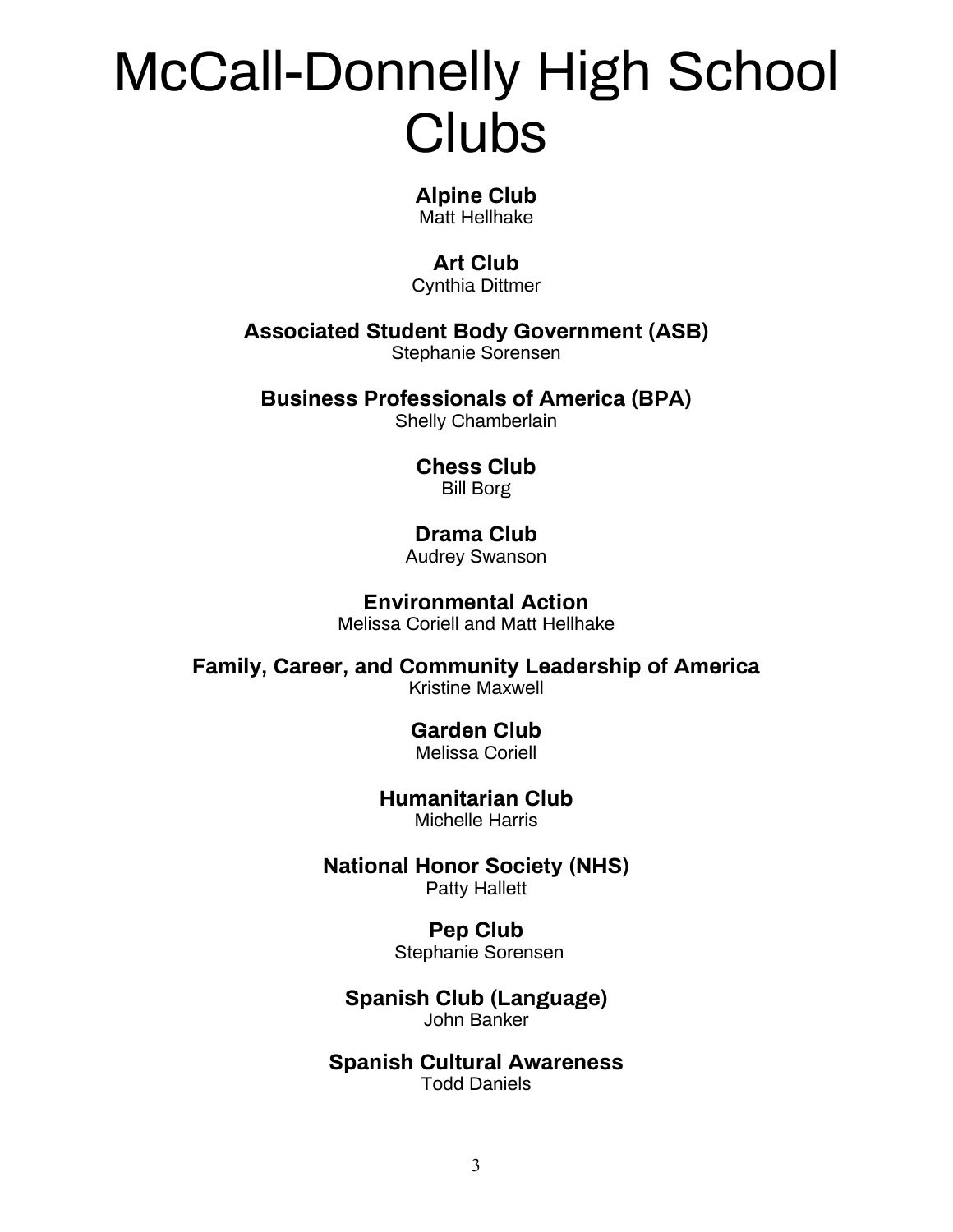## McCall-Donnelly High School **Clubs**

### **Alpine Club**

Matt Hellhake

### **Art Club**

Cynthia Dittmer

**Associated Student Body Government (ASB)**

Stephanie Sorensen

**Business Professionals of America (BPA)**

Shelly Chamberlain

### **Chess Club**  Bill Borg

### **Drama Club**

Audrey Swanson

### **Environmental Action** Melissa Coriell and Matt Hellhake

**Family, Career, and Community Leadership of America**

Kristine Maxwell

### **Garden Club**

Melissa Coriell

### **Humanitarian Club** Michelle Harris

**National Honor Society (NHS)** Patty Hallett

### **Pep Club**

Stephanie Sorensen

### **Spanish Club (Language)** John Banker

### **Spanish Cultural Awareness** Todd Daniels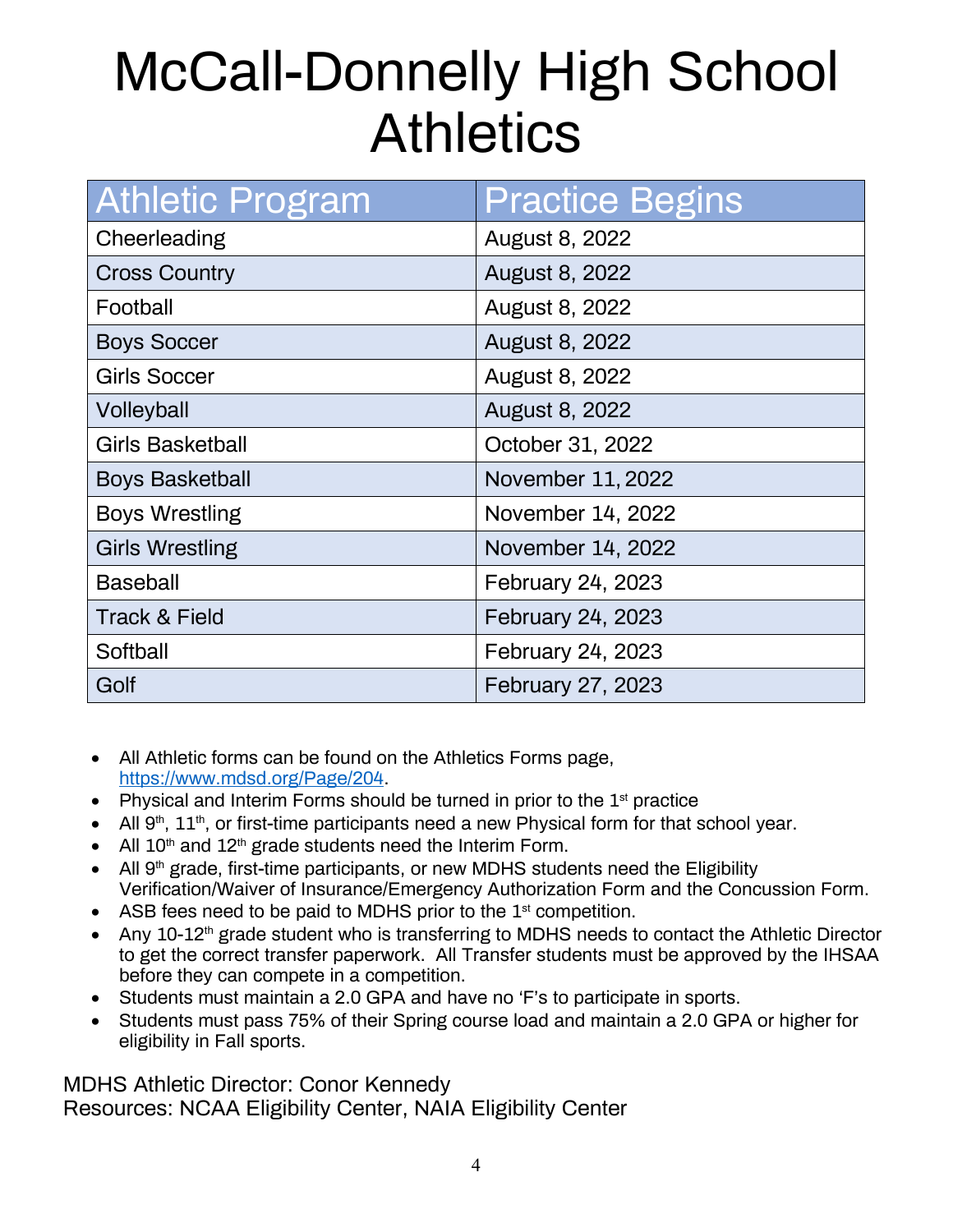## McCall-Donnelly High School **Athletics**

| <b>Athletic Program</b>  | <b>Practice Begins</b> |
|--------------------------|------------------------|
| Cheerleading             | <b>August 8, 2022</b>  |
| <b>Cross Country</b>     | <b>August 8, 2022</b>  |
| Football                 | <b>August 8, 2022</b>  |
| <b>Boys Soccer</b>       | August 8, 2022         |
| <b>Girls Soccer</b>      | August 8, 2022         |
| Volleyball               | August 8, 2022         |
| <b>Girls Basketball</b>  | October 31, 2022       |
| <b>Boys Basketball</b>   | November 11, 2022      |
| <b>Boys Wrestling</b>    | November 14, 2022      |
| <b>Girls Wrestling</b>   | November 14, 2022      |
| <b>Baseball</b>          | February 24, 2023      |
| <b>Track &amp; Field</b> | February 24, 2023      |
| Softball                 | February 24, 2023      |
| Golf                     | February 27, 2023      |

- All Athletic forms can be found on the Athletics Forms page, [https://www.mdsd.org/Page/204.](https://www.mdsd.org/Page/204)
- Physical and Interim Forms should be turned in prior to the  $1<sup>st</sup>$  practice
- All  $9<sup>th</sup>$ ,  $11<sup>th</sup>$ , or first-time participants need a new Physical form for that school year.
- All  $10<sup>th</sup>$  and  $12<sup>th</sup>$  grade students need the Interim Form.
- All 9<sup>th</sup> grade, first-time participants, or new MDHS students need the Eligibility Verification/Waiver of Insurance/Emergency Authorization Form and the Concussion Form.
- ASB fees need to be paid to MDHS prior to the  $1<sup>st</sup>$  competition.
- Any 10-12<sup>th</sup> grade student who is transferring to MDHS needs to contact the Athletic Director to get the correct transfer paperwork. All Transfer students must be approved by the IHSAA before they can compete in a competition.
- Students must maintain a 2.0 GPA and have no 'F's to participate in sports.
- Students must pass 75% of their Spring course load and maintain a 2.0 GPA or higher for eligibility in Fall sports.

MDHS Athletic Director: Conor Kennedy Resources: NCAA Eligibility Center, NAIA Eligibility Center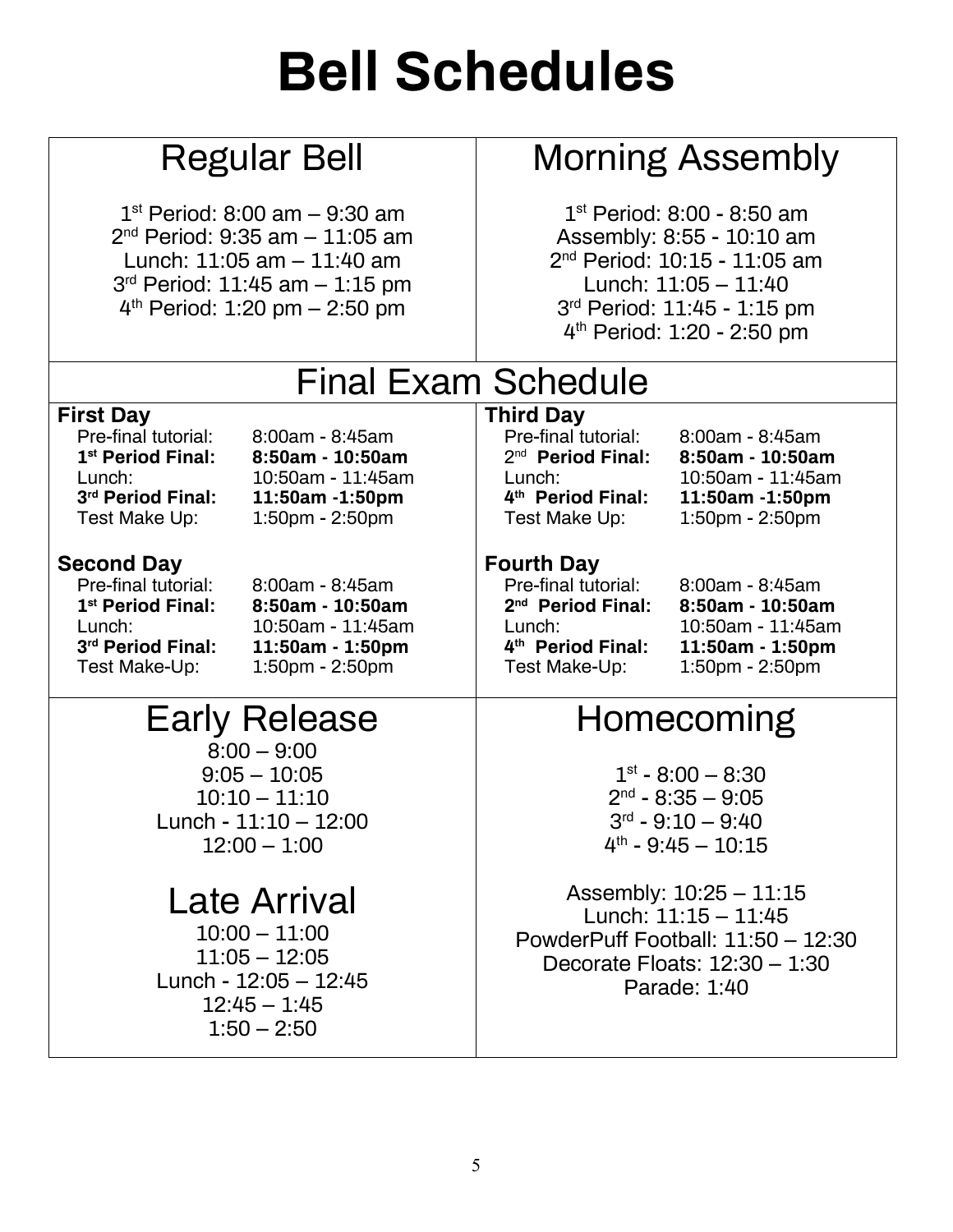## **Bell Schedules**

### Regular Bell

 $1<sup>st</sup>$  Period: 8:00 am – 9:30 am 2nd Period: 9:35 am – 11:05 am Lunch: 11:05 am – 11:40 am 3rd Period: 11:45 am – 1:15 pm 4th Period: 1:20 pm – 2:50 pm

### Morning Assembly

1st Period: 8:00 - 8:50 am Assembly: 8:55 - 10:10 am 2nd Period: 10:15 - 11:05 am Lunch: 11:05 – 11:40 3rd Period: 11:45 - 1:15 pm 4th Period: 1:20 - 2:50 pm

| <b>Final Exam Schedule</b>                                                                                                |                                                                                                    |                                                                                                                           |                                                                                                                                                |  |
|---------------------------------------------------------------------------------------------------------------------------|----------------------------------------------------------------------------------------------------|---------------------------------------------------------------------------------------------------------------------------|------------------------------------------------------------------------------------------------------------------------------------------------|--|
| <b>First Day</b>                                                                                                          |                                                                                                    | <b>Third Day</b>                                                                                                          |                                                                                                                                                |  |
| Pre-final tutorial:<br>1 <sup>st</sup> Period Final:<br>Lunch:<br>3rd Period Final:<br>Test Make Up:                      | $8:00am - 8:45am$<br>$8:50am - 10:50am$<br>10:50am - 11:45am<br>11:50am -1:50pm<br>1:50pm - 2:50pm | Pre-final tutorial:<br>$2nd$ Period Final:<br>Lunch:<br>4th Period Final:<br>Test Make Up:                                | $8:00am - 8:45am$<br>$8:50am - 10:50am$<br>10:50am - 11:45am<br>11:50am -1:50pm<br>1:50pm - 2:50pm                                             |  |
| <b>Second Day</b><br>Pre-final tutorial:<br>1 <sup>st</sup> Period Final:<br>Lunch:<br>3rd Period Final:<br>Test Make-Up: | 8:00am - 8:45am<br>8:50am - 10:50am<br>10:50am - 11:45am<br>11:50am - 1:50pm<br>1:50pm - 2:50pm    | <b>Fourth Day</b><br>Pre-final tutorial:<br>2 <sup>nd</sup> Period Final:<br>Lunch:<br>4th Period Final:<br>Test Make-Up: | $8:00am - 8:45am$<br>8:50am - 10:50am<br>10:50am - 11:45am<br>11:50am - 1:50pm<br>1:50pm - 2:50pm                                              |  |
| <b>Early Release</b><br>$8:00 - 9:00$                                                                                     |                                                                                                    | Homecoming                                                                                                                |                                                                                                                                                |  |
|                                                                                                                           | $9:05 - 10:05$<br>$10:10 - 11:10$<br>Lunch - $11:10 - 12:00$<br>$12:00 - 1:00$                     |                                                                                                                           | $1st - 8:00 - 8:30$<br>$2nd - 8:35 - 9:05$<br>$3rd - 9:10 - 9:40$<br>$4th - 9:45 - 10:15$                                                      |  |
| <b>Late Arrival</b><br>$10:00 - 11:00$<br>$11:05 - 12:05$<br>Lunch - $12:05 - 12:45$<br>$12:45 - 1:45$<br>$1:50 - 2:50$   |                                                                                                    |                                                                                                                           | Assembly: $10:25 - 11:15$<br>Lunch: $11:15 - 11:45$<br>PowderPuff Football: $11:50 - 12:30$<br>Decorate Floats: $12:30 - 1:30$<br>Parade: 1:40 |  |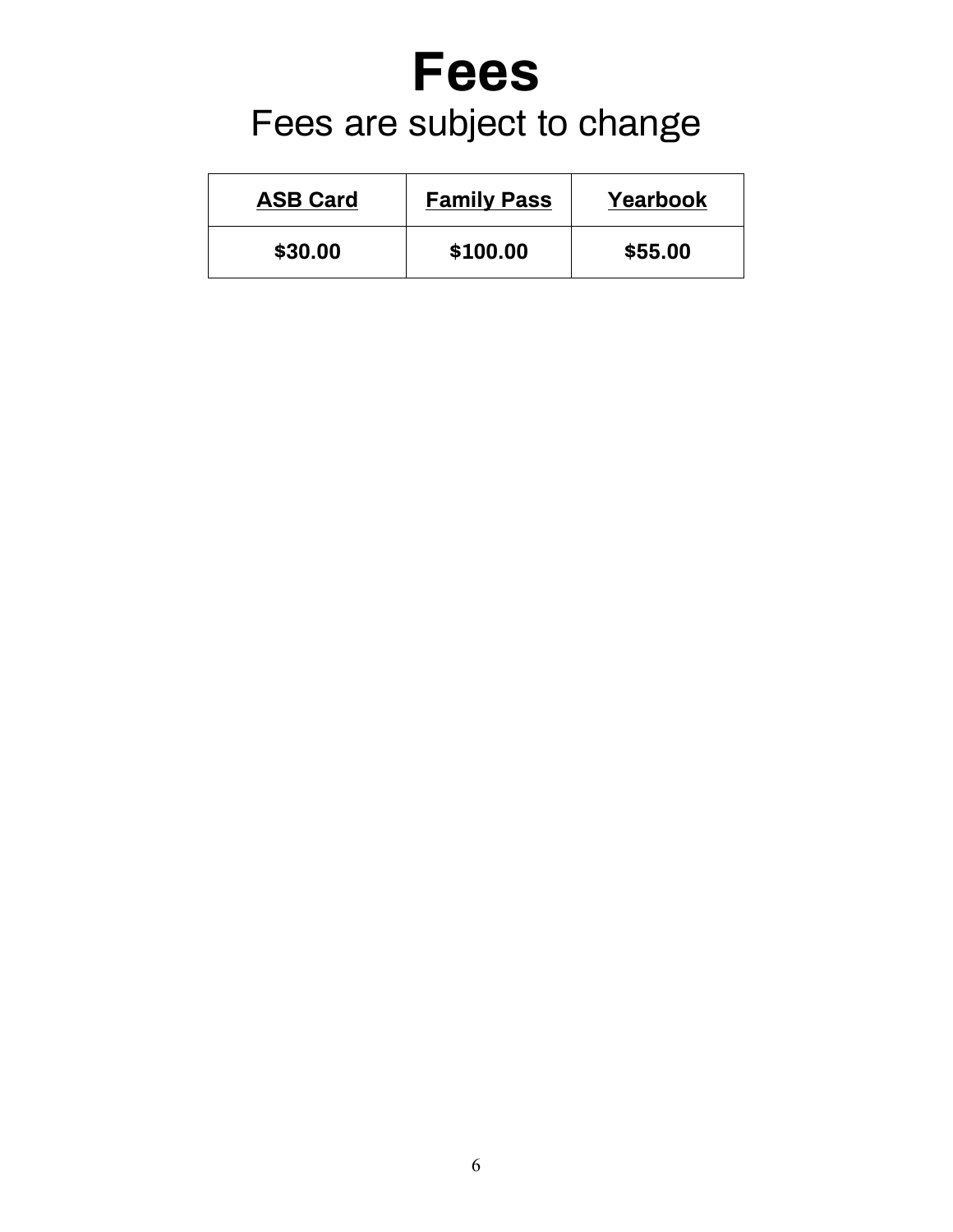## **Fees** Fees are subject to change

| <b>ASB Card</b> | <b>Family Pass</b> | Yearbook |
|-----------------|--------------------|----------|
| \$30.00         | \$100.00           | \$55.00  |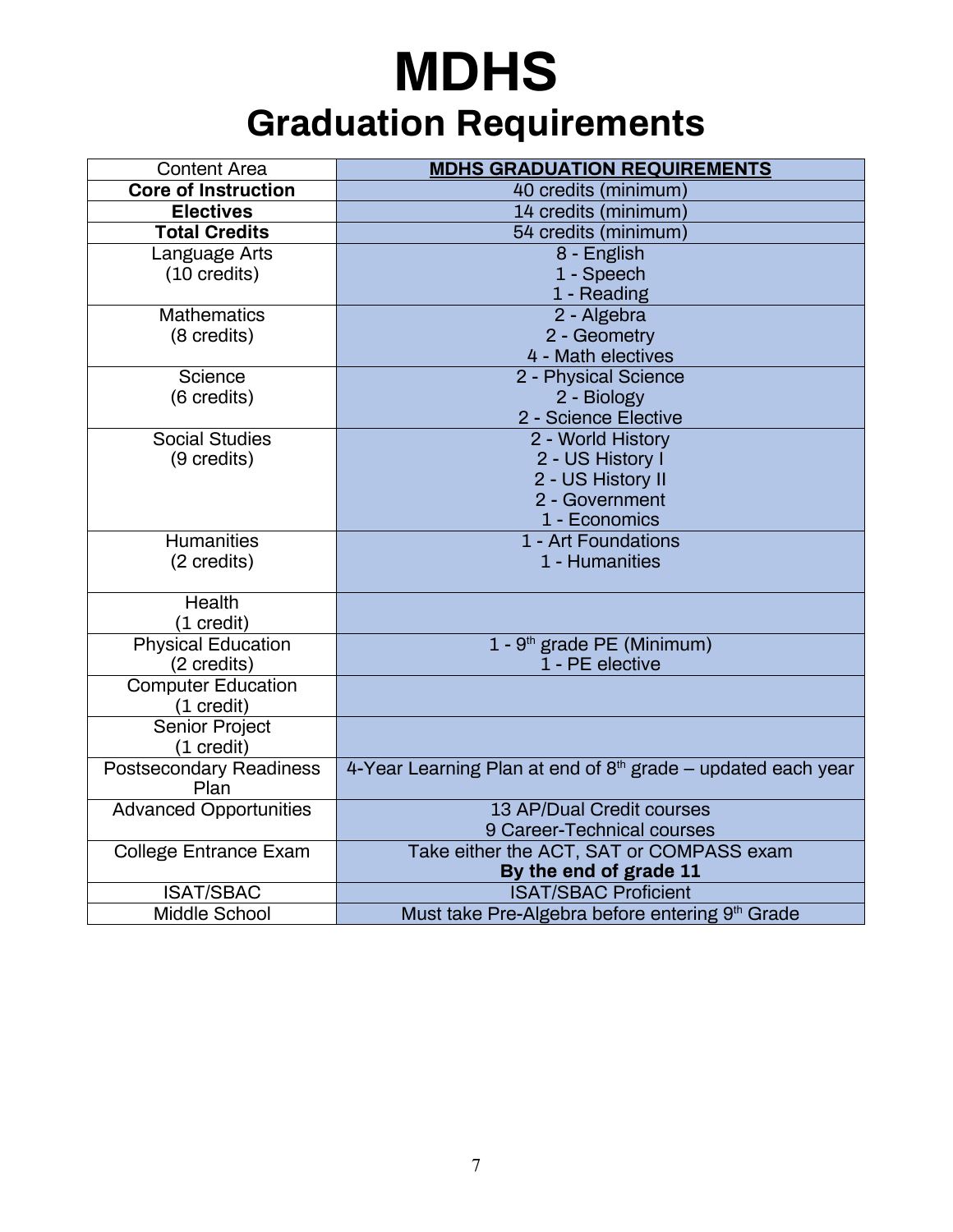## **MDHS Graduation Requirements**

| <b>Content Area</b>            | <b>MDHS GRADUATION REQUIREMENTS</b>                                      |  |
|--------------------------------|--------------------------------------------------------------------------|--|
| <b>Core of Instruction</b>     | 40 credits (minimum)                                                     |  |
| <b>Electives</b>               | 14 credits (minimum)                                                     |  |
| <b>Total Credits</b>           | 54 credits (minimum)                                                     |  |
| Language Arts                  | 8 - English                                                              |  |
| $(10 \text{ credits})$         | 1 - Speech                                                               |  |
|                                | 1 - Reading                                                              |  |
| <b>Mathematics</b>             | 2 - Algebra                                                              |  |
| (8 credits)                    | 2 - Geometry                                                             |  |
|                                | 4 - Math electives                                                       |  |
| Science                        | 2 - Physical Science                                                     |  |
| (6 credits)                    | 2 - Biology                                                              |  |
|                                | 2 - Science Elective                                                     |  |
| <b>Social Studies</b>          | 2 - World History                                                        |  |
| (9 credits)                    | 2 - US History I                                                         |  |
|                                | 2 - US History II                                                        |  |
|                                | 2 - Government                                                           |  |
|                                | 1 - Economics                                                            |  |
| <b>Humanities</b>              | 1 - Art Foundations<br>1 - Humanities                                    |  |
| (2 credits)                    |                                                                          |  |
| <b>Health</b>                  |                                                                          |  |
| (1 credit)                     |                                                                          |  |
| <b>Physical Education</b>      | 1 - 9 <sup>th</sup> grade PE (Minimum)                                   |  |
| (2 credits)                    | 1 - PE elective                                                          |  |
| <b>Computer Education</b>      |                                                                          |  |
| $(1 \text{ credit})$           |                                                                          |  |
| <b>Senior Project</b>          |                                                                          |  |
| (1 credit)                     |                                                                          |  |
| <b>Postsecondary Readiness</b> | 4-Year Learning Plan at end of 8 <sup>th</sup> grade - updated each year |  |
| Plan                           |                                                                          |  |
| <b>Advanced Opportunities</b>  | 13 AP/Dual Credit courses                                                |  |
|                                | 9 Career-Technical courses                                               |  |
| <b>College Entrance Exam</b>   | Take either the ACT, SAT or COMPASS exam                                 |  |
|                                | By the end of grade 11                                                   |  |
| <b>ISAT/SBAC</b>               | <b>ISAT/SBAC Proficient</b>                                              |  |
| <b>Middle School</b>           | Must take Pre-Algebra before entering 9th Grade                          |  |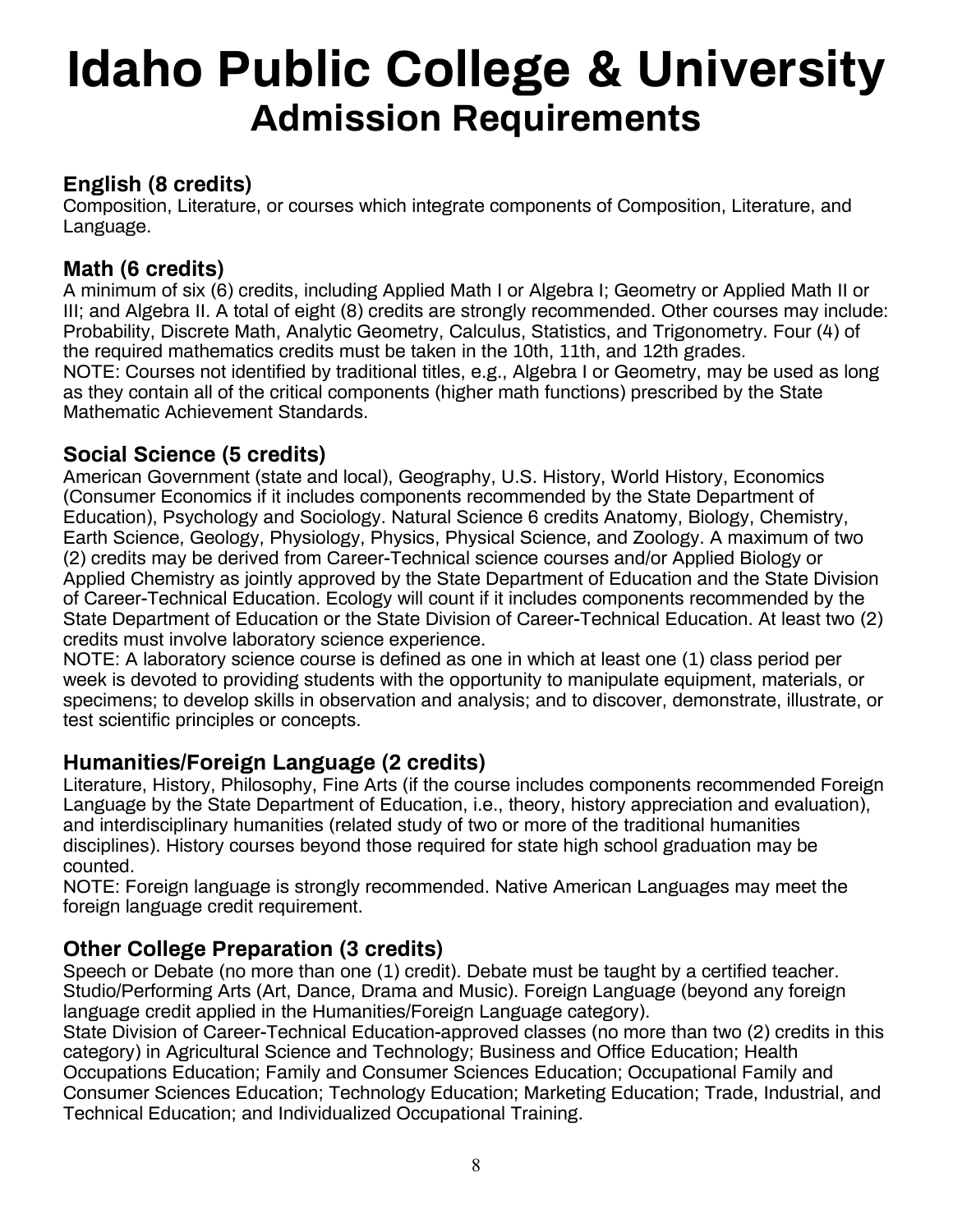## **Idaho Public College & University Admission Requirements**

### **English (8 credits)**

Composition, Literature, or courses which integrate components of Composition, Literature, and Language.

### **Math (6 credits)**

A minimum of six (6) credits, including Applied Math I or Algebra I; Geometry or Applied Math II or III; and Algebra II. A total of eight (8) credits are strongly recommended. Other courses may include: Probability, Discrete Math, Analytic Geometry, Calculus, Statistics, and Trigonometry. Four (4) of the required mathematics credits must be taken in the 10th, 11th, and 12th grades. NOTE: Courses not identified by traditional titles, e.g., Algebra I or Geometry, may be used as long as they contain all of the critical components (higher math functions) prescribed by the State Mathematic Achievement Standards.

### **Social Science (5 credits)**

American Government (state and local), Geography, U.S. History, World History, Economics (Consumer Economics if it includes components recommended by the State Department of Education), Psychology and Sociology. Natural Science 6 credits Anatomy, Biology, Chemistry, Earth Science, Geology, Physiology, Physics, Physical Science, and Zoology. A maximum of two (2) credits may be derived from Career-Technical science courses and/or Applied Biology or Applied Chemistry as jointly approved by the State Department of Education and the State Division of Career-Technical Education. Ecology will count if it includes components recommended by the State Department of Education or the State Division of Career-Technical Education. At least two (2) credits must involve laboratory science experience.

NOTE: A laboratory science course is defined as one in which at least one (1) class period per week is devoted to providing students with the opportunity to manipulate equipment, materials, or specimens; to develop skills in observation and analysis; and to discover, demonstrate, illustrate, or test scientific principles or concepts.

### **Humanities/Foreign Language (2 credits)**

Literature, History, Philosophy, Fine Arts (if the course includes components recommended Foreign Language by the State Department of Education, i.e., theory, history appreciation and evaluation), and interdisciplinary humanities (related study of two or more of the traditional humanities disciplines). History courses beyond those required for state high school graduation may be counted.

NOTE: Foreign language is strongly recommended. Native American Languages may meet the foreign language credit requirement.

### **Other College Preparation (3 credits)**

Speech or Debate (no more than one (1) credit). Debate must be taught by a certified teacher. Studio/Performing Arts (Art, Dance, Drama and Music). Foreign Language (beyond any foreign language credit applied in the Humanities/Foreign Language category).

State Division of Career-Technical Education-approved classes (no more than two (2) credits in this category) in Agricultural Science and Technology; Business and Office Education; Health Occupations Education; Family and Consumer Sciences Education; Occupational Family and Consumer Sciences Education; Technology Education; Marketing Education; Trade, Industrial, and Technical Education; and Individualized Occupational Training.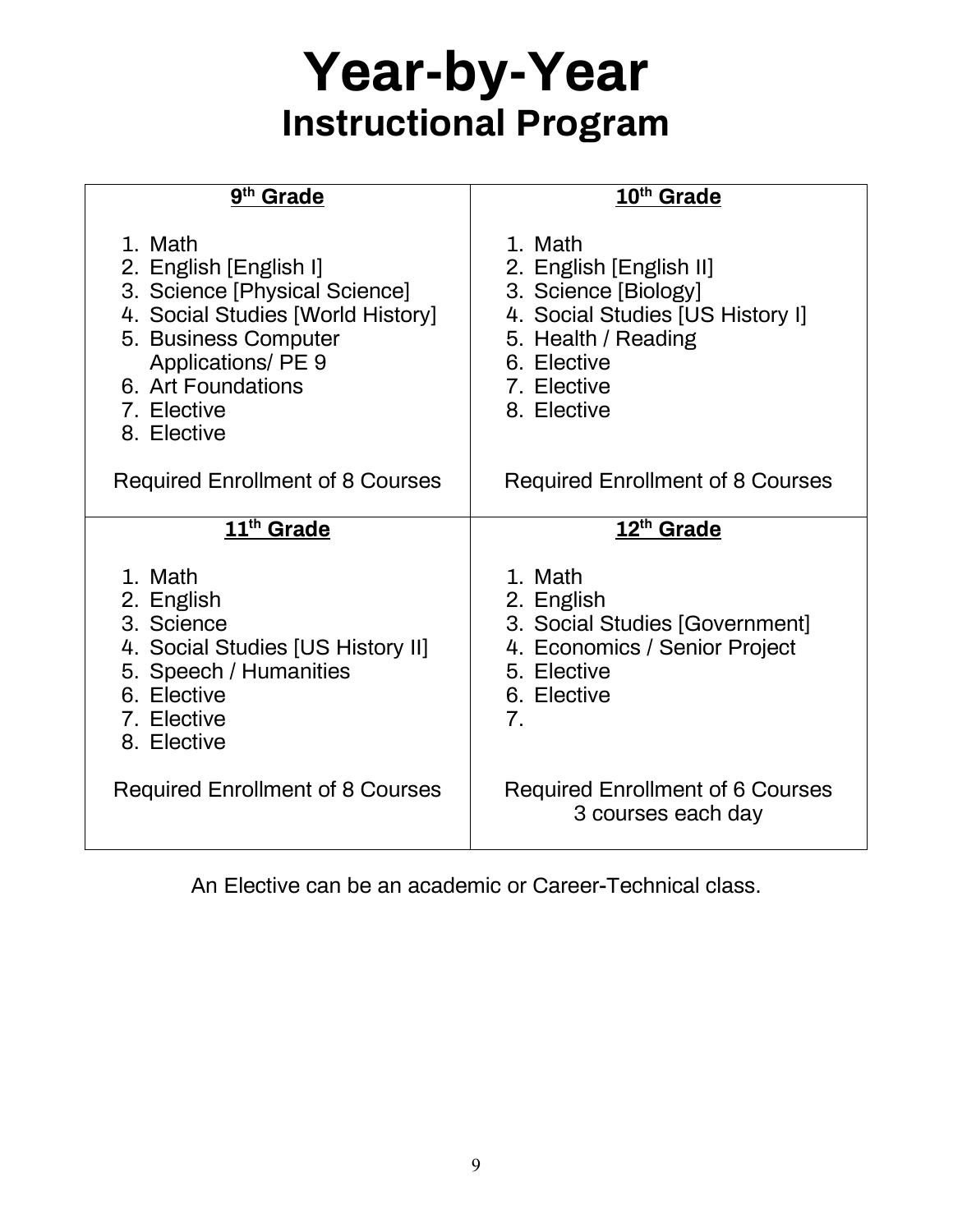## **Year-by-Year Instructional Program**

| 9 <sup>th</sup> Grade                                                                                                                                                                                     | 10 <sup>th</sup> Grade                                                                                                                                             |
|-----------------------------------------------------------------------------------------------------------------------------------------------------------------------------------------------------------|--------------------------------------------------------------------------------------------------------------------------------------------------------------------|
| 1. Math<br>2. English [English I]<br>3. Science [Physical Science]<br>4. Social Studies [World History]<br>5. Business Computer<br>Applications/ PE 9<br>6. Art Foundations<br>7. Elective<br>8. Elective | 1. Math<br>2. English [English II]<br>3. Science [Biology]<br>4. Social Studies [US History I]<br>5. Health / Reading<br>6. Elective<br>7. Elective<br>8. Elective |
| <b>Required Enrollment of 8 Courses</b>                                                                                                                                                                   | <b>Required Enrollment of 8 Courses</b>                                                                                                                            |
| 11 <sup>th</sup> Grade                                                                                                                                                                                    | 12 <sup>th</sup> Grade                                                                                                                                             |
| 1. Math<br>2. English<br>3. Science<br>4. Social Studies [US History II]<br>5. Speech / Humanities<br>6. Elective<br>7. Elective<br>8. Elective                                                           | 1. Math<br>2. English<br>3. Social Studies [Government]<br>4. Economics / Senior Project<br>5. Elective<br>6. Elective<br>7.                                       |
| <b>Required Enrollment of 8 Courses</b>                                                                                                                                                                   | <b>Required Enrollment of 6 Courses</b><br>3 courses each day                                                                                                      |

An Elective can be an academic or Career-Technical class.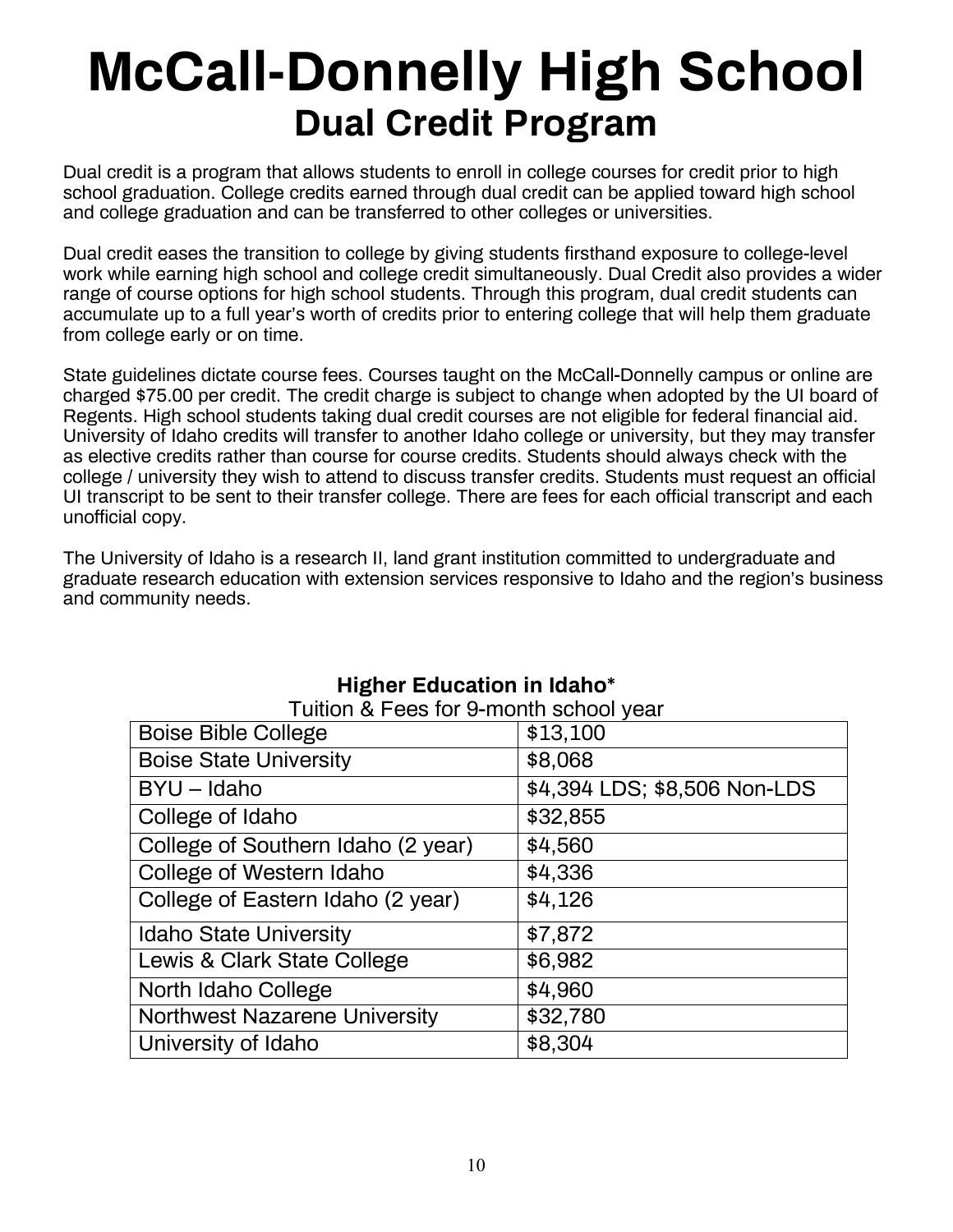## **McCall-Donnelly High School Dual Credit Program**

Dual credit is a program that allows students to enroll in college courses for credit prior to high school graduation. College credits earned through dual credit can be applied toward high school and college graduation and can be transferred to other colleges or universities.

Dual credit eases the transition to college by giving students firsthand exposure to college-level work while earning high school and college credit simultaneously. Dual Credit also provides a wider range of course options for high school students. Through this program, dual credit students can accumulate up to a full year's worth of credits prior to entering college that will help them graduate from college early or on time.

State guidelines dictate course fees. Courses taught on the McCall-Donnelly campus or online are charged \$75.00 per credit. The credit charge is subject to change when adopted by the UI board of Regents. High school students taking dual credit courses are not eligible for federal financial aid. University of Idaho credits will transfer to another Idaho college or university, but they may transfer as elective credits rather than course for course credits. Students should always check with the college / university they wish to attend to discuss transfer credits. Students must request an official UI transcript to be sent to their transfer college. There are fees for each official transcript and each unofficial copy.

The University of Idaho is a research II, land grant institution committed to undergraduate and graduate research education with extension services responsive to Idaho and the region's business and community needs.

| <u>I UILIOIT &amp; FEES IOI 9-IIIOIIIII SCIIOOI VEAI</u><br><b>Boise Bible College</b> | \$13,100                     |
|----------------------------------------------------------------------------------------|------------------------------|
| <b>Boise State University</b>                                                          | \$8,068                      |
| $BYU - Idaho$                                                                          | \$4,394 LDS; \$8,506 Non-LDS |
| College of Idaho                                                                       | \$32,855                     |
| College of Southern Idaho (2 year)                                                     | \$4,560                      |
| College of Western Idaho                                                               | \$4,336                      |
| College of Eastern Idaho (2 year)                                                      | \$4,126                      |
| <b>Idaho State University</b>                                                          | \$7,872                      |
| Lewis & Clark State College                                                            | \$6,982                      |
| North Idaho College                                                                    | \$4,960                      |
| <b>Northwest Nazarene University</b>                                                   | \$32,780                     |
| University of Idaho                                                                    | \$8,304                      |

### **Higher Education in Idaho\*** Tuition & Fees for 9-month school year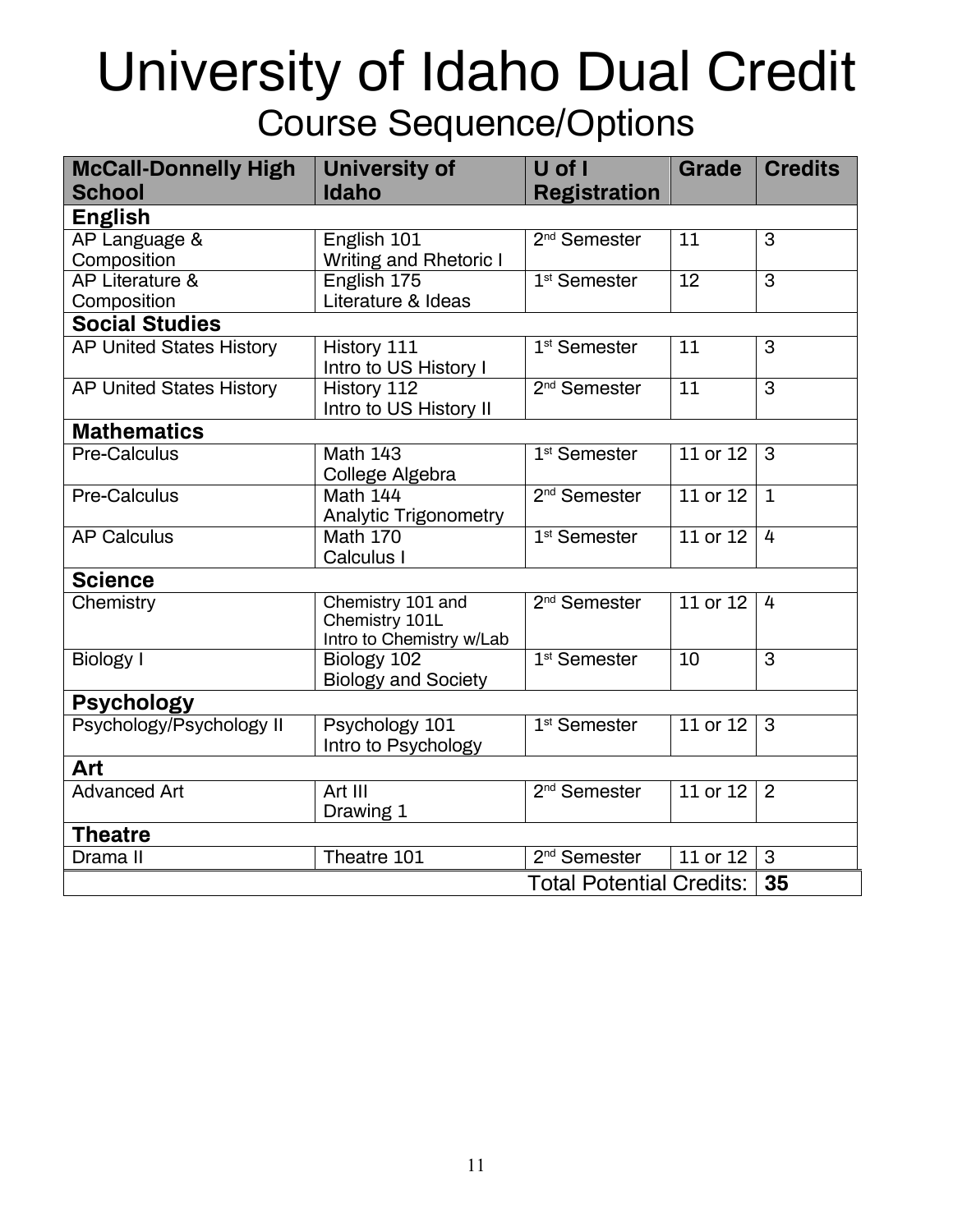## University of Idaho Dual Credit Course Sequence/Options

| <b>McCall-Donnelly High</b><br><b>School</b> | <b>University of</b><br><b>Idaho</b>                            | U of I<br><b>Registration</b>   | Grade        | <b>Credits</b> |  |
|----------------------------------------------|-----------------------------------------------------------------|---------------------------------|--------------|----------------|--|
| <b>English</b>                               |                                                                 |                                 |              |                |  |
| AP Language &                                | English 101                                                     | 2 <sup>nd</sup> Semester        | 11           | 3              |  |
| Composition                                  | <b>Writing and Rhetoric I</b>                                   |                                 |              |                |  |
| AP Literature &<br>Composition               | English 175<br>Literature & Ideas                               | 1 <sup>st</sup> Semester        | 12           | 3              |  |
| <b>Social Studies</b>                        |                                                                 |                                 |              |                |  |
| <b>AP United States History</b>              | History 111                                                     | $1st$ Semester                  | 11           | 3              |  |
|                                              | Intro to US History I                                           |                                 |              |                |  |
| <b>AP United States History</b>              | History 112                                                     | 2 <sup>nd</sup> Semester        | 11           | 3              |  |
|                                              | Intro to US History II                                          |                                 |              |                |  |
| <b>Mathematics</b>                           |                                                                 |                                 |              |                |  |
| Pre-Calculus                                 | <b>Math 143</b><br>College Algebra                              | 1 <sup>st</sup> Semester        | 11 or 12     | 3              |  |
| Pre-Calculus                                 | Math 144                                                        | $2nd$ Semester                  | $11$ or $12$ | $\mathbf{1}$   |  |
| <b>AP Calculus</b>                           | <b>Analytic Trigonometry</b><br><b>Math 170</b>                 | $1st$ Semester                  | 11 or 12     | 4              |  |
|                                              | Calculus I                                                      |                                 |              |                |  |
| <b>Science</b>                               |                                                                 |                                 |              |                |  |
| Chemistry                                    | Chemistry 101 and<br>Chemistry 101L<br>Intro to Chemistry w/Lab | 2 <sup>nd</sup> Semester        | $11$ or $12$ | 4              |  |
| <b>Biology I</b>                             | Biology 102<br><b>Biology and Society</b>                       | 1 <sup>st</sup> Semester        | 10           | 3              |  |
| <b>Psychology</b>                            |                                                                 |                                 |              |                |  |
| Psychology/Psychology II                     | Psychology 101<br>Intro to Psychology                           | 1 <sup>st</sup> Semester        | $11$ or $12$ | 3              |  |
| Art                                          |                                                                 |                                 |              |                |  |
| <b>Advanced Art</b>                          | Art III<br>Drawing 1                                            | 2 <sup>nd</sup> Semester        | 11 or 12     | 2              |  |
| <b>Theatre</b>                               |                                                                 |                                 |              |                |  |
| Drama II                                     | Theatre 101                                                     | 2 <sup>nd</sup> Semester        | 11 or 12     | 3              |  |
|                                              |                                                                 | <b>Total Potential Credits:</b> |              | 35             |  |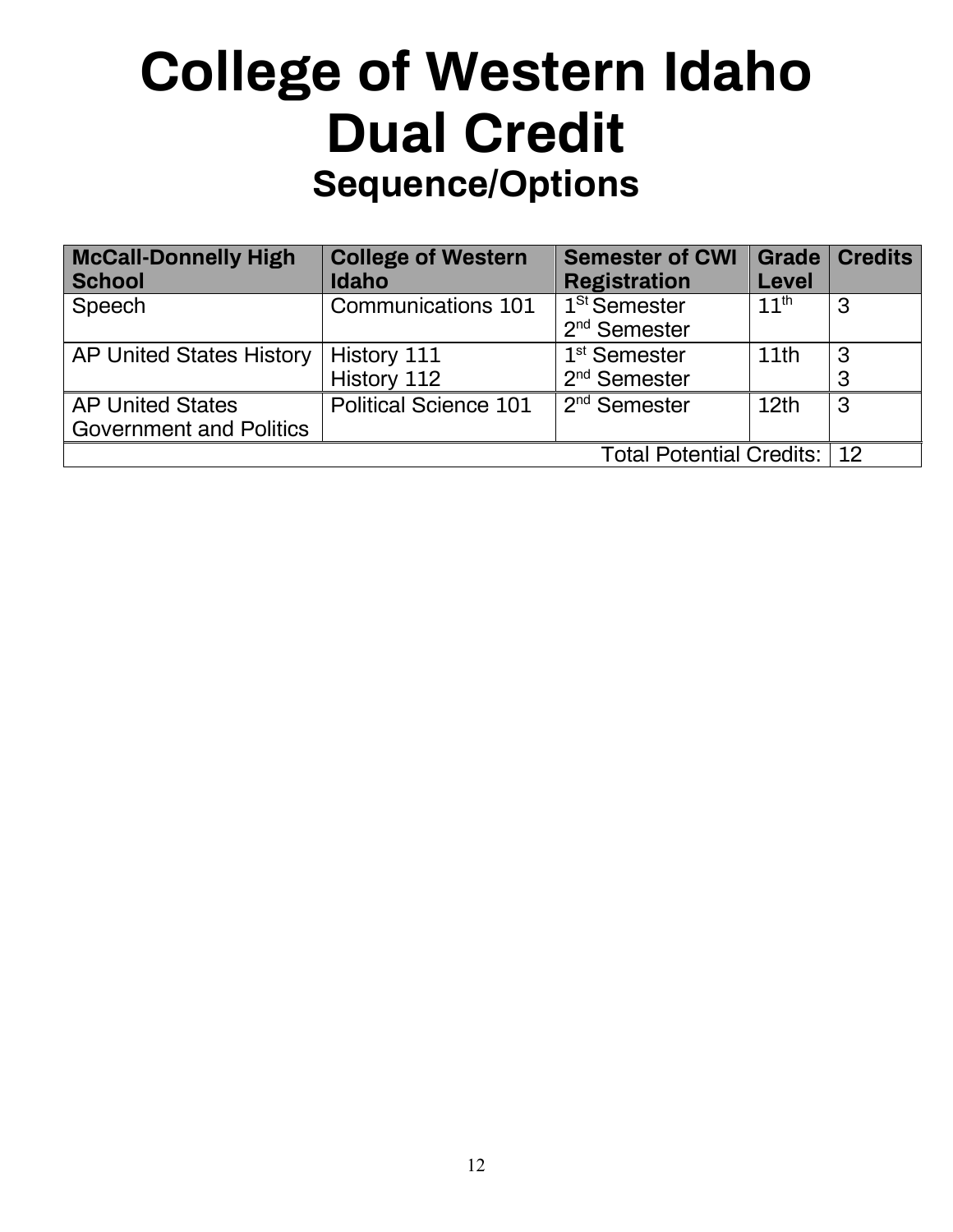## **College of Western Idaho Dual Credit Sequence/Options**

| <b>McCall-Donnelly High</b><br><b>School</b>              | <b>College of Western</b><br><b>Idaho</b> | <b>Semester of CWI</b><br><b>Registration</b> | Grade  <br>Level | <b>Credits</b> |
|-----------------------------------------------------------|-------------------------------------------|-----------------------------------------------|------------------|----------------|
| Speech                                                    | Communications 101                        | 1 <sup>St</sup> Semester<br>$2nd$ Semester    | 11 <sup>th</sup> | 3              |
| <b>AP United States History</b>                           | <b>History 111</b><br>History 112         | 1 <sup>st</sup> Semester<br>$2nd$ Semester    | 11th             | 3<br>3         |
| <b>AP United States</b><br><b>Government and Politics</b> | <b>Political Science 101</b>              | $2nd$ Semester                                | 12th             | 3              |
|                                                           |                                           | Total Potential Credits:   12                 |                  |                |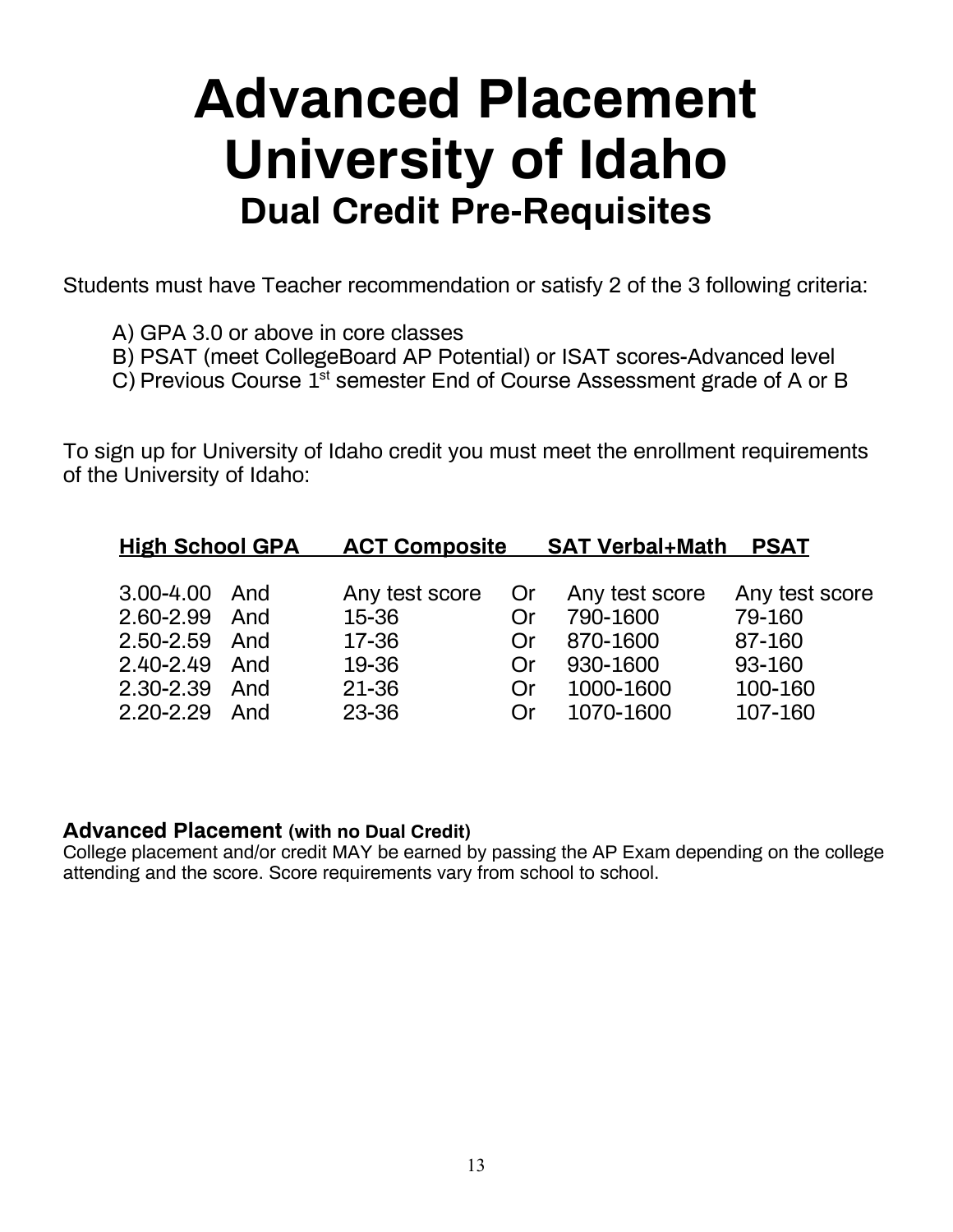## **Advanced Placement University of Idaho Dual Credit Pre-Requisites**

Students must have Teacher recommendation or satisfy 2 of the 3 following criteria:

- A) GPA 3.0 or above in core classes
- B) PSAT (meet CollegeBoard AP Potential) or ISAT scores-Advanced level
- C) Previous Course  $1^{st}$  semester End of Course Assessment grade of A or B

To sign up for University of Idaho credit you must meet the enrollment requirements of the University of Idaho:

| <b>High School GPA</b> |     | <b>ACT Composite</b> |            | <b>SAT Verbal+Math</b> | <b>PSAT</b>    |
|------------------------|-----|----------------------|------------|------------------------|----------------|
|                        |     |                      |            |                        |                |
| 3.00-4.00 And          |     | Any test score       | . Or       | Any test score         | Any test score |
| 2.60-2.99 And          |     | 15-36                | 0r         | 790-1600               | 79-160         |
| 2.50-2.59 And          |     | 17-36                | 0r         | 870-1600               | 87-160         |
| 2.40-2.49 And          |     | 19-36                | Or         | 930-1600               | 93-160         |
| 2.30-2.39 And          |     | 21-36                | Or         | 1000-1600              | 100-160        |
| $2.20 - 2.29$          | And | 23-36                | $\Omega$ r | 1070-1600              | 107-160        |

### **Advanced Placement (with no Dual Credit)**

College placement and/or credit MAY be earned by passing the AP Exam depending on the college attending and the score. Score requirements vary from school to school.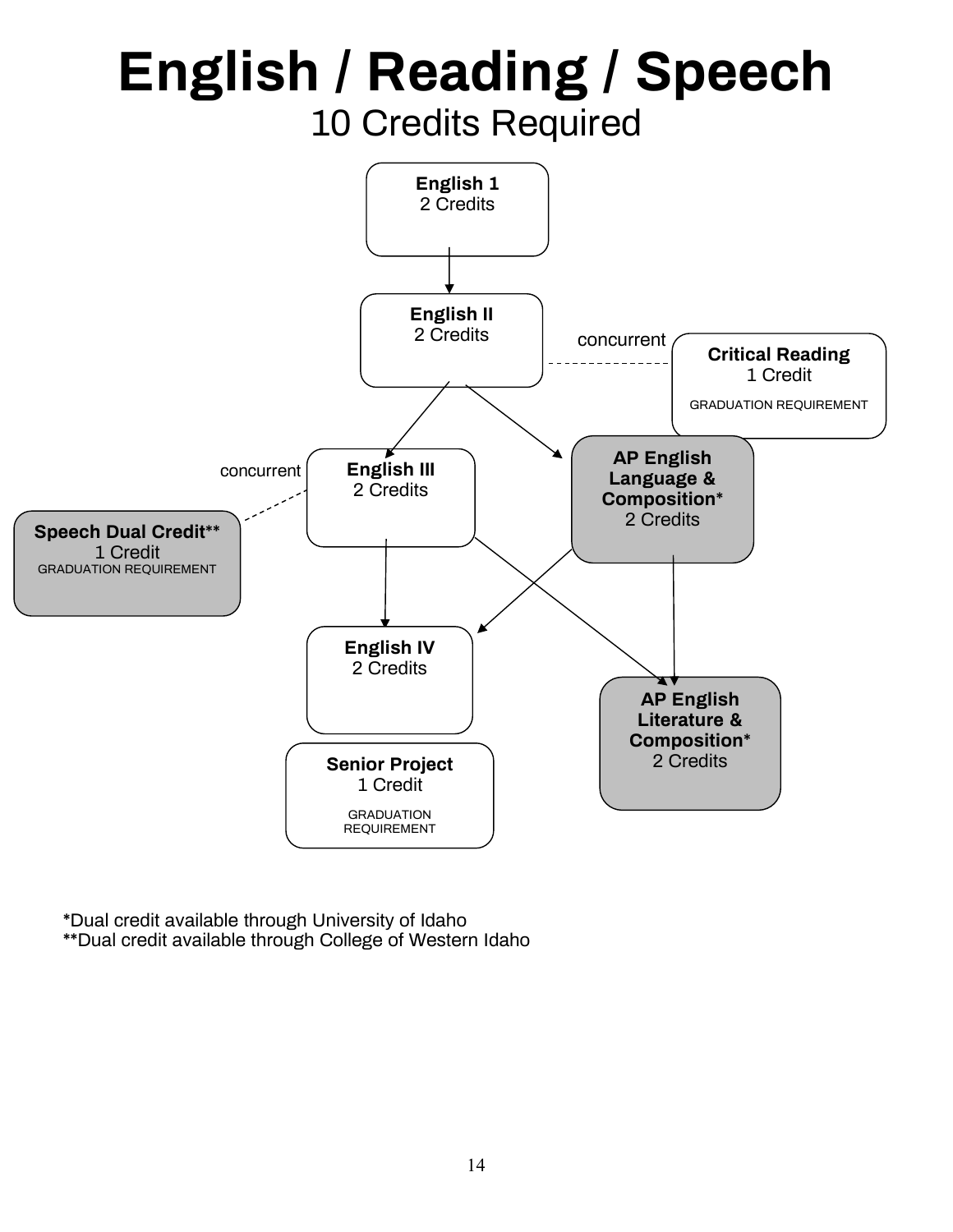### **English 1** 2 Credits **Critical Reading**  1 Credit GRADUATION REQUIREMENT **English II** 2 Credits **English III** 2 Credits **AP English Language & Composition\*** 2 Credits **AP English Literature & Composition\*** 2 Credits **English / Reading / Speech** 10 Credits Required concurrent concurrent ś **Speech Dual Credit\*\*** GRADUATION REQUIREMENT 1 Credit **Senior Project**  1 Credit GRADUATION REQUIREMENT **English IV** 2 Credits

\*Dual credit available through University of Idaho \*\*Dual credit available through College of Western Idaho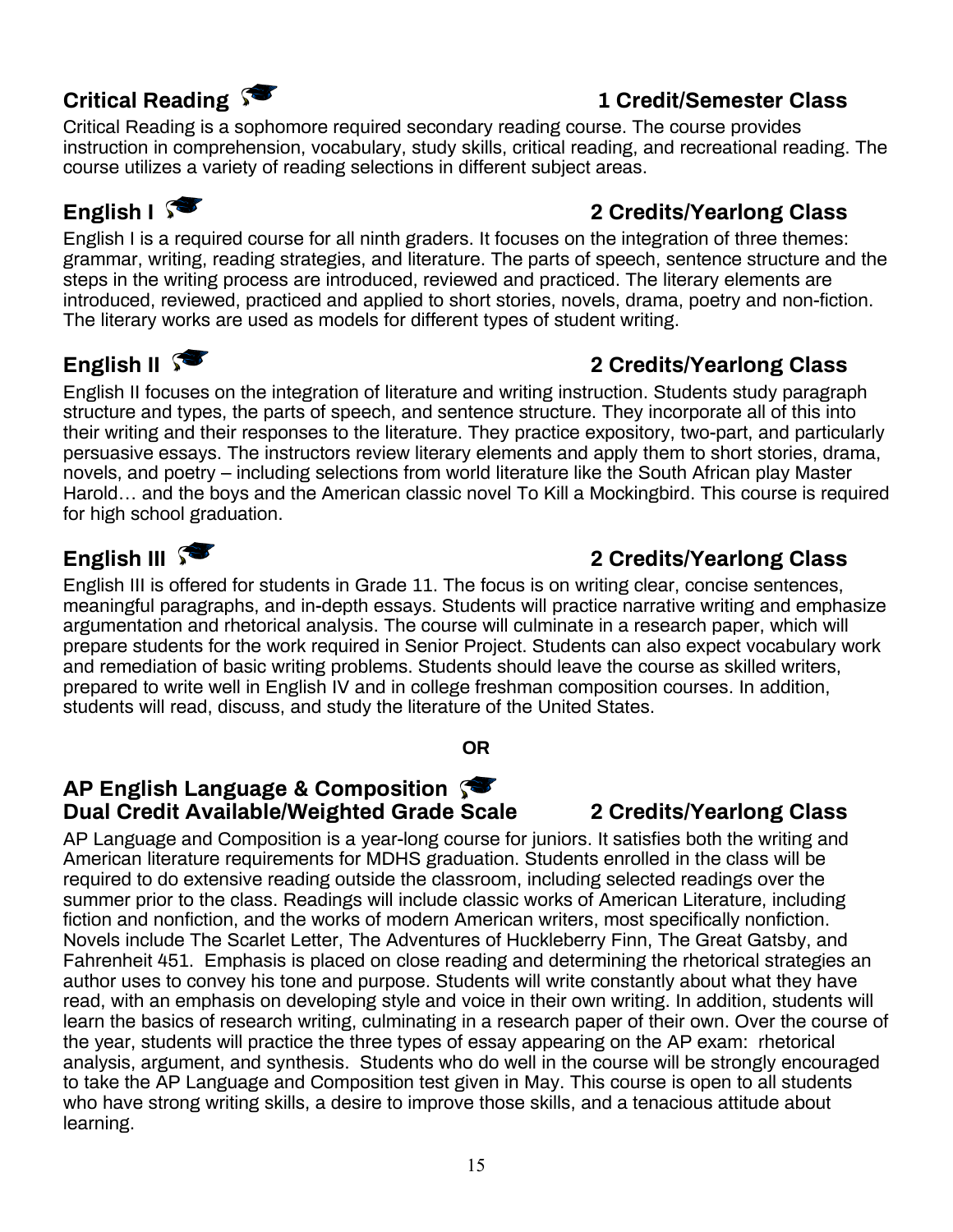### **Critical Reading**  $\sqrt{2}$  and  $\sqrt{2}$  and  $\sqrt{2}$  are  $\sqrt{2}$  and  $\sqrt{2}$  are  $\sqrt{2}$  are  $\sqrt{2}$  and  $\sqrt{2}$  are  $\sqrt{2}$  are  $\sqrt{2}$  and  $\sqrt{2}$  are  $\sqrt{2}$  are  $\sqrt{2}$  and  $\sqrt{2}$  are  $\sqrt{2}$  are  $\sqrt{2}$  and  $\sqrt{2}$  are

Critical Reading is a sophomore required secondary reading course. The course provides instruction in comprehension, vocabulary, study skills, critical reading, and recreational reading. The course utilizes a variety of reading selections in different subject areas.

### **English I 2 Credits/Yearlong Class**

English I is a required course for all ninth graders. It focuses on the integration of three themes: grammar, writing, reading strategies, and literature. The parts of speech, sentence structure and the steps in the writing process are introduced, reviewed and practiced. The literary elements are introduced, reviewed, practiced and applied to short stories, novels, drama, poetry and non-fiction. The literary works are used as models for different types of student writing.

### **English II 2** Credits/Yearlong Class

English II focuses on the integration of literature and writing instruction. Students study paragraph structure and types, the parts of speech, and sentence structure. They incorporate all of this into their writing and their responses to the literature. They practice expository, two-part, and particularly persuasive essays. The instructors review literary elements and apply them to short stories, drama, novels, and poetry – including selections from world literature like the South African play Master Harold… and the boys and the American classic novel To Kill a Mockingbird. This course is required for high school graduation.

English III is offered for students in Grade 11. The focus is on writing clear, concise sentences, meaningful paragraphs, and in-depth essays. Students will practice narrative writing and emphasize argumentation and rhetorical analysis. The course will culminate in a research paper, which will prepare students for the work required in Senior Project. Students can also expect vocabulary work and remediation of basic writing problems. Students should leave the course as skilled writers, prepared to write well in English IV and in college freshman composition courses. In addition, students will read, discuss, and study the literature of the United States.

### **OR**

### **AP English Language & Composition Dual Credit Available/Weighted Grade Scale 2 Credits/Yearlong Class**

AP Language and Composition is a year-long course for juniors. It satisfies both the writing and American literature requirements for MDHS graduation. Students enrolled in the class will be required to do extensive reading outside the classroom, including selected readings over the summer prior to the class. Readings will include classic works of American Literature, including fiction and nonfiction, and the works of modern American writers, most specifically nonfiction. Novels include The Scarlet Letter, The Adventures of Huckleberry Finn, The Great Gatsby, and Fahrenheit 451. Emphasis is placed on close reading and determining the rhetorical strategies an author uses to convey his tone and purpose. Students will write constantly about what they have read, with an emphasis on developing style and voice in their own writing. In addition, students will learn the basics of research writing, culminating in a research paper of their own. Over the course of the year, students will practice the three types of essay appearing on the AP exam: rhetorical analysis, argument, and synthesis. Students who do well in the course will be strongly encouraged to take the AP Language and Composition test given in May. This course is open to all students who have strong writing skills, a desire to improve those skills, and a tenacious attitude about learning.

### **English III**  $\sqrt{ }$  **English III**  $\sqrt{ }$  **2** Credits/Yearlong Class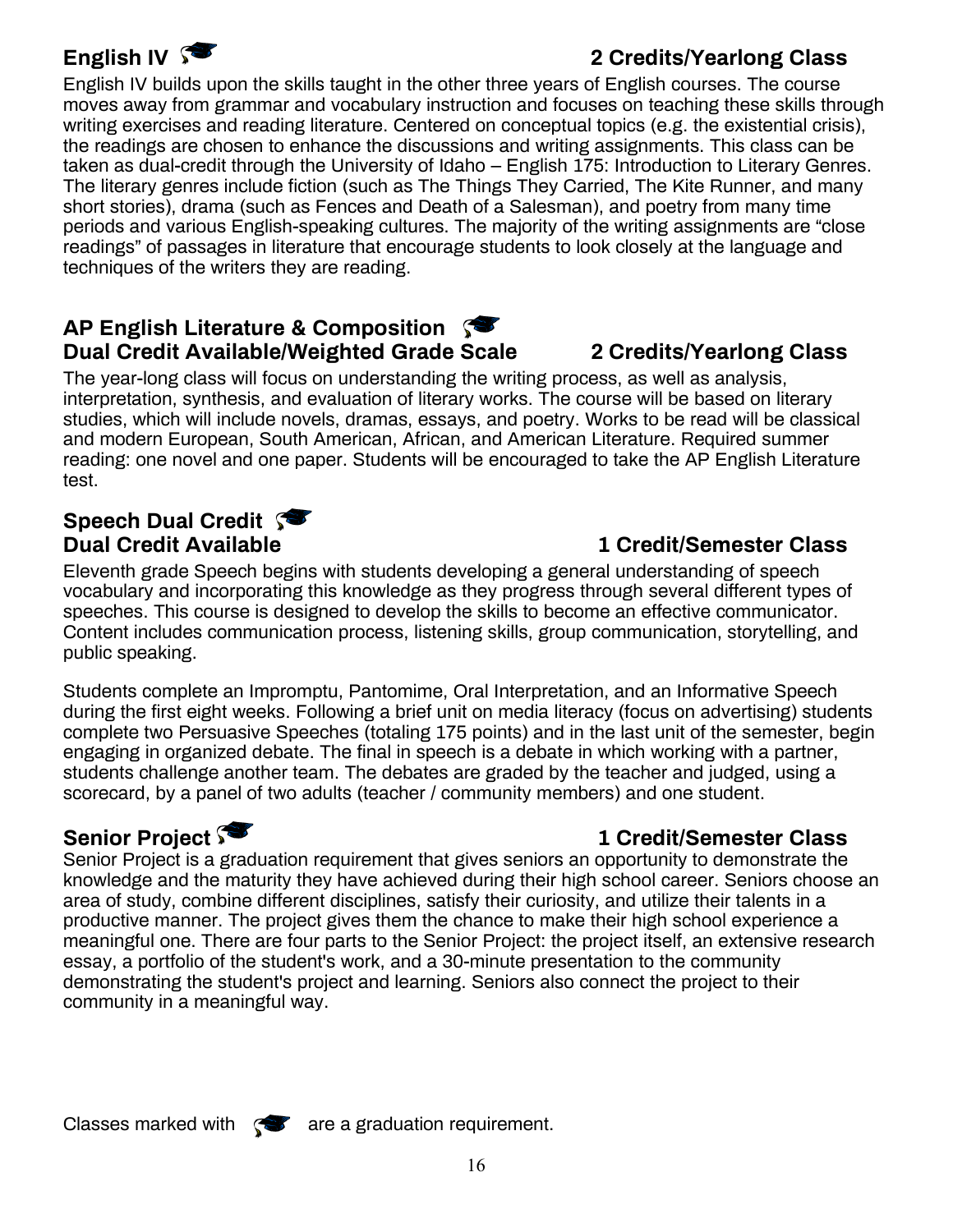### **English IV 3 Credits/Yearlong Class**

English IV builds upon the skills taught in the other three years of English courses. The course moves away from grammar and vocabulary instruction and focuses on teaching these skills through writing exercises and reading literature. Centered on conceptual topics (e.g. the existential crisis), the readings are chosen to enhance the discussions and writing assignments. This class can be taken as dual-credit through the University of Idaho – English 175: Introduction to Literary Genres. The literary genres include fiction (such as The Things They Carried, The Kite Runner, and many short stories), drama (such as Fences and Death of a Salesman), and poetry from many time periods and various English-speaking cultures. The majority of the writing assignments are "close readings" of passages in literature that encourage students to look closely at the language and techniques of the writers they are reading.

### **AP English Literature & Composition Dual Credit Available/Weighted Grade Scale 2 Credits/Yearlong Class**

The year-long class will focus on understanding the writing process, as well as analysis, interpretation, synthesis, and evaluation of literary works. The course will be based on literary studies, which will include novels, dramas, essays, and poetry. Works to be read will be classical and modern European, South American, African, and American Literature. Required summer reading: one novel and one paper. Students will be encouraged to take the AP English Literature test.

## **Speech Dual Credit \$80**<br>Dual Credit Available

### **1 Credit/Semester Class**

Eleventh grade Speech begins with students developing a general understanding of speech vocabulary and incorporating this knowledge as they progress through several different types of speeches. This course is designed to develop the skills to become an effective communicator. Content includes communication process, listening skills, group communication, storytelling, and public speaking.

Students complete an Impromptu, Pantomime, Oral Interpretation, and an Informative Speech during the first eight weeks. Following a brief unit on media literacy (focus on advertising) students complete two Persuasive Speeches (totaling 175 points) and in the last unit of the semester, begin engaging in organized debate. The final in speech is a debate in which working with a partner, students challenge another team. The debates are graded by the teacher and judged, using a scorecard, by a panel of two adults (teacher / community members) and one student.

### **Senior Project**  $\sqrt{ }$  **Senior Project**  $\sqrt{ }$  **1 Credit/Semester Class**

Senior Project is a graduation requirement that gives seniors an opportunity to demonstrate the knowledge and the maturity they have achieved during their high school career. Seniors choose an area of study, combine different disciplines, satisfy their curiosity, and utilize their talents in a productive manner. The project gives them the chance to make their high school experience a meaningful one. There are four parts to the Senior Project: the project itself, an extensive research essay, a portfolio of the student's work, and a 30-minute presentation to the community demonstrating the student's project and learning. Seniors also connect the project to their community in a meaningful way.

Classes marked with  $\mathcal{F}$  are a graduation requirement.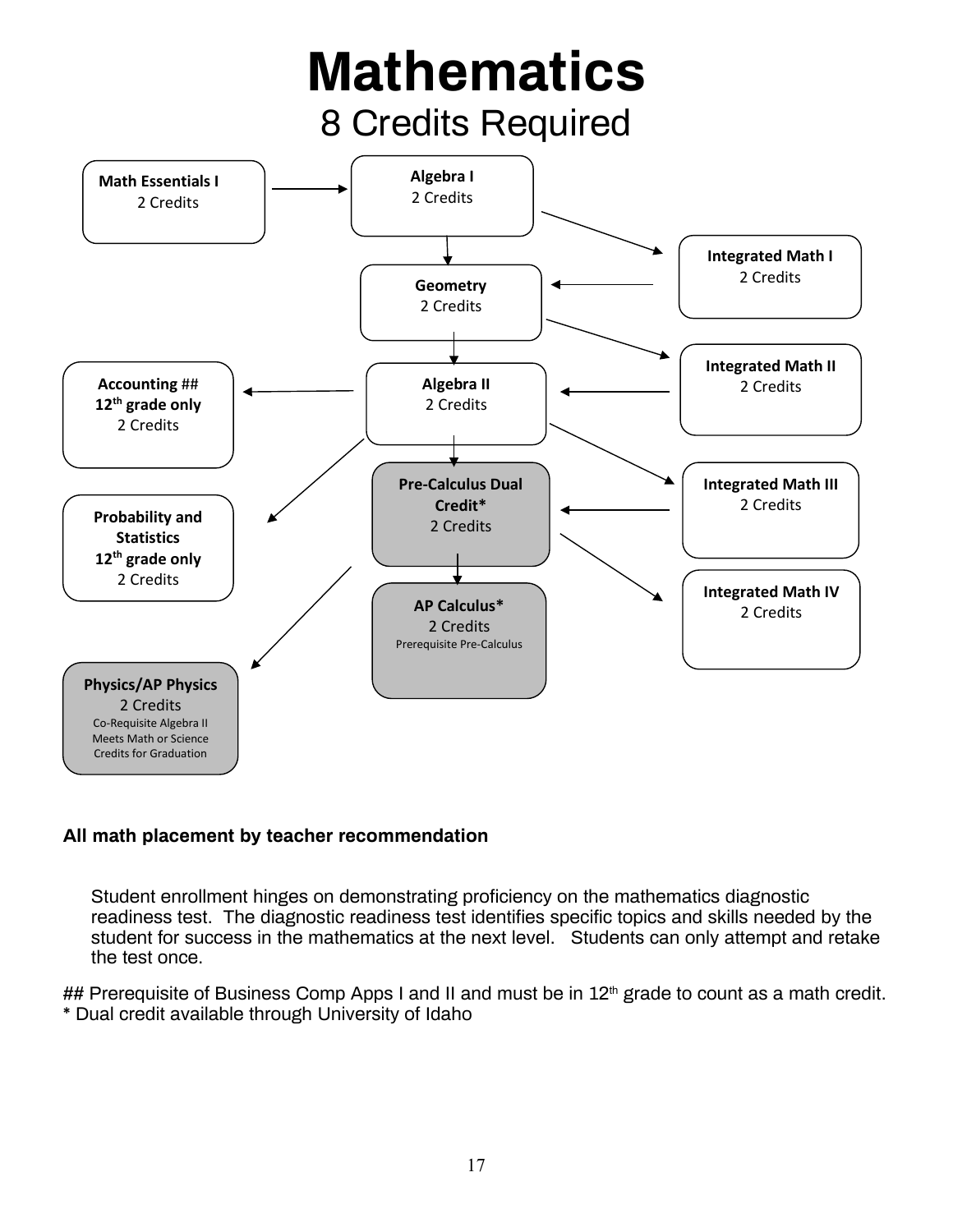

### **All math placement by teacher recommendation**

Student enrollment hinges on demonstrating proficiency on the mathematics diagnostic readiness test. The diagnostic readiness test identifies specific topics and skills needed by the student for success in the mathematics at the next level. Students can only attempt and retake the test once.

## Prerequisite of Business Comp Apps I and II and must be in 12<sup>th</sup> grade to count as a math credit. \* Dual credit available through University of Idaho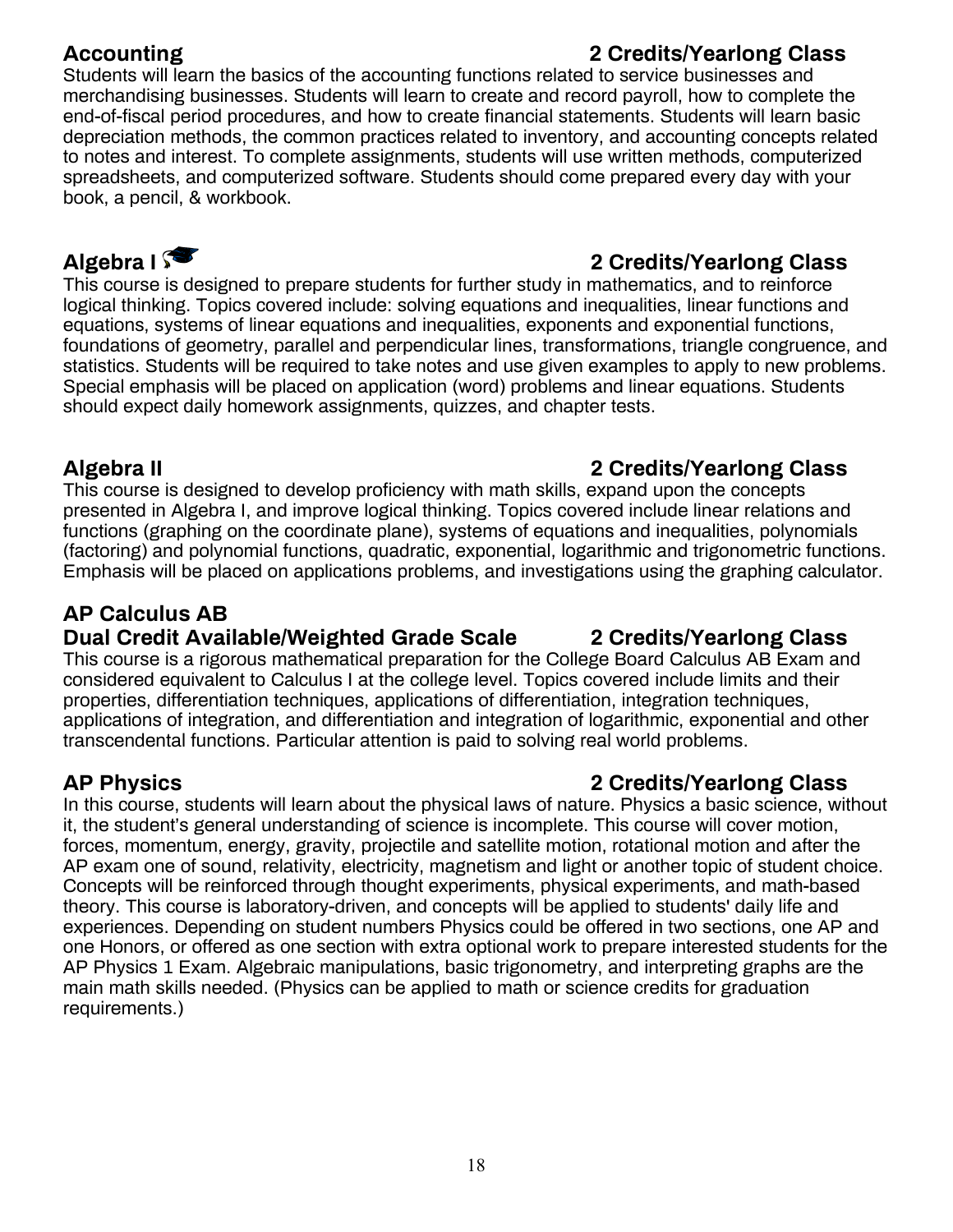### **Accounting 2 Credits/Yearlong Class**

Students will learn the basics of the accounting functions related to service businesses and merchandising businesses. Students will learn to create and record payroll, how to complete the end-of-fiscal period procedures, and how to create financial statements. Students will learn basic depreciation methods, the common practices related to inventory, and accounting concepts related to notes and interest. To complete assignments, students will use written methods, computerized spreadsheets, and computerized software. Students should come prepared every day with your book, a pencil, & workbook.

### **Algebra I 2 Credits/Yearlong Class**

This course is designed to prepare students for further study in mathematics, and to reinforce logical thinking. Topics covered include: solving equations and inequalities, linear functions and equations, systems of linear equations and inequalities, exponents and exponential functions, foundations of geometry, parallel and perpendicular lines, transformations, triangle congruence, and statistics. Students will be required to take notes and use given examples to apply to new problems. Special emphasis will be placed on application (word) problems and linear equations. Students should expect daily homework assignments, quizzes, and chapter tests.

### **Algebra II 2 Credits/Yearlong Class**

This course is designed to develop proficiency with math skills, expand upon the concepts presented in Algebra I, and improve logical thinking. Topics covered include linear relations and functions (graphing on the coordinate plane), systems of equations and inequalities, polynomials (factoring) and polynomial functions, quadratic, exponential, logarithmic and trigonometric functions. Emphasis will be placed on applications problems, and investigations using the graphing calculator.

### **AP Calculus AB**

### **Dual Credit Available/Weighted Grade Scale 2 Credits/Yearlong Class**

This course is a rigorous mathematical preparation for the College Board Calculus AB Exam and considered equivalent to Calculus I at the college level. Topics covered include limits and their properties, differentiation techniques, applications of differentiation, integration techniques, applications of integration, and differentiation and integration of logarithmic, exponential and other transcendental functions. Particular attention is paid to solving real world problems.

### **AP Physics 2 Credits/Yearlong Class**

In this course, students will learn about the physical laws of nature. Physics a basic science, without it, the student's general understanding of science is incomplete. This course will cover motion, forces, momentum, energy, gravity, projectile and satellite motion, rotational motion and after the AP exam one of sound, relativity, electricity, magnetism and light or another topic of student choice. Concepts will be reinforced through thought experiments, physical experiments, and math-based theory. This course is laboratory-driven, and concepts will be applied to students' daily life and experiences. Depending on student numbers Physics could be offered in two sections, one AP and one Honors, or offered as one section with extra optional work to prepare interested students for the AP Physics 1 Exam. Algebraic manipulations, basic trigonometry, and interpreting graphs are the main math skills needed. (Physics can be applied to math or science credits for graduation requirements.)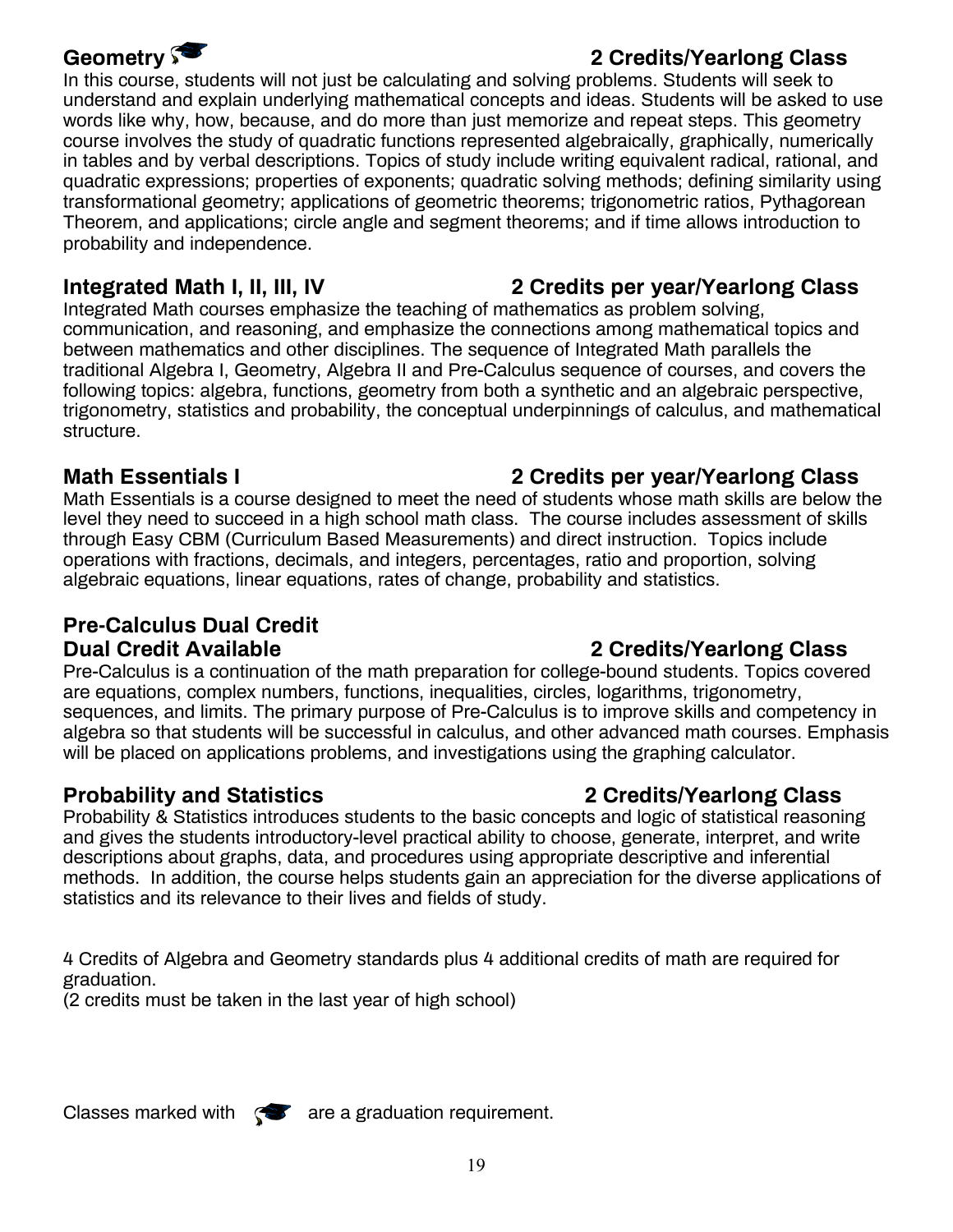### **Geometry 2 Credits/Yearlong Class**

In this course, students will not just be calculating and solving problems. Students will seek to understand and explain underlying mathematical concepts and ideas. Students will be asked to use words like why, how, because, and do more than just memorize and repeat steps. This geometry course involves the study of quadratic functions represented algebraically, graphically, numerically in tables and by verbal descriptions. Topics of study include writing equivalent radical, rational, and quadratic expressions; properties of exponents; quadratic solving methods; defining similarity using transformational geometry; applications of geometric theorems; trigonometric ratios, Pythagorean Theorem, and applications; circle angle and segment theorems; and if time allows introduction to probability and independence.

Integrated Math courses emphasize the teaching of mathematics as problem solving, communication, and reasoning, and emphasize the connections among mathematical topics and between mathematics and other disciplines. The sequence of Integrated Math parallels the traditional Algebra I, Geometry, Algebra II and Pre-Calculus sequence of courses, and covers the following topics: algebra, functions, geometry from both a synthetic and an algebraic perspective, trigonometry, statistics and probability, the conceptual underpinnings of calculus, and mathematical structure.

### **Math Essentials I 2 Credits per year/Yearlong Class**

Math Essentials is a course designed to meet the need of students whose math skills are below the level they need to succeed in a high school math class. The course includes assessment of skills through Easy CBM (Curriculum Based Measurements) and direct instruction. Topics include operations with fractions, decimals, and integers, percentages, ratio and proportion, solving algebraic equations, linear equations, rates of change, probability and statistics.

### **Pre-Calculus Dual Credit Dual Credit Available 2 Credits/Yearlong Class**

Pre-Calculus is a continuation of the math preparation for college-bound students. Topics covered are equations, complex numbers, functions, inequalities, circles, logarithms, trigonometry, sequences, and limits. The primary purpose of Pre-Calculus is to improve skills and competency in algebra so that students will be successful in calculus, and other advanced math courses. Emphasis will be placed on applications problems, and investigations using the graphing calculator.

### **Probability and Statistics 2 Credits/Yearlong Class**

Probability & Statistics introduces students to the basic concepts and logic of statistical reasoning and gives the students introductory-level practical ability to choose, generate, interpret, and write descriptions about graphs, data, and procedures using appropriate descriptive and inferential methods. In addition, the course helps students gain an appreciation for the diverse applications of statistics and its relevance to their lives and fields of study.

4 Credits of Algebra and Geometry standards plus 4 additional credits of math are required for graduation.

(2 credits must be taken in the last year of high school)

Classes marked with  $\mathbb{R}$  are a graduation requirement.

### **Integrated Math I, II, III, IV 2 Credits per year/Yearlong Class**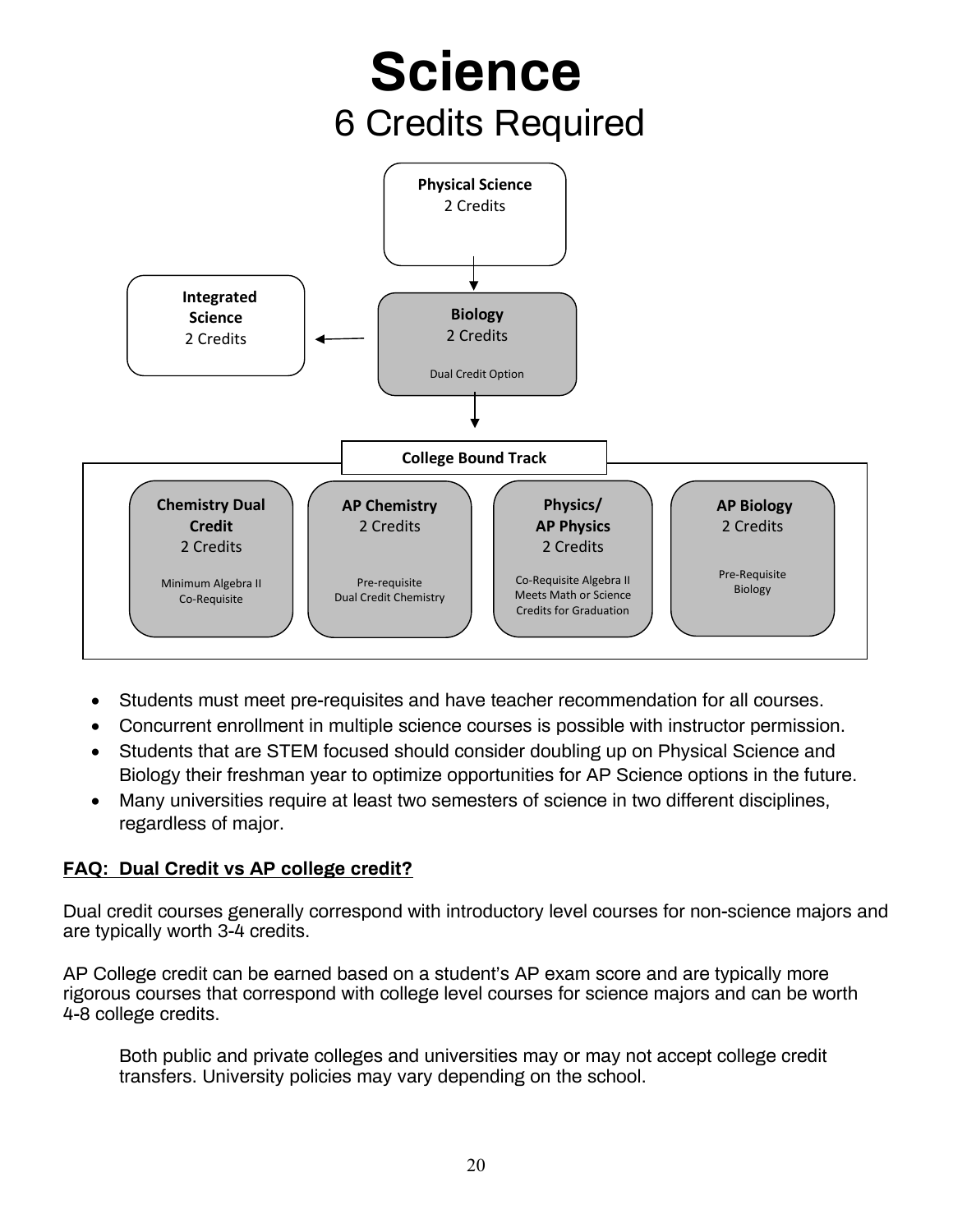

- Students must meet pre-requisites and have teacher recommendation for all courses.
- Concurrent enrollment in multiple science courses is possible with instructor permission.
- Students that are STEM focused should consider doubling up on Physical Science and Biology their freshman year to optimize opportunities for AP Science options in the future.
- Many universities require at least two semesters of science in two different disciplines, regardless of major.

### **FAQ: Dual Credit vs AP college credit?**

Dual credit courses generally correspond with introductory level courses for non-science majors and are typically worth 3-4 credits.

AP College credit can be earned based on a student's AP exam score and are typically more rigorous courses that correspond with college level courses for science majors and can be worth 4-8 college credits.

Both public and private colleges and universities may or may not accept college credit transfers. University policies may vary depending on the school.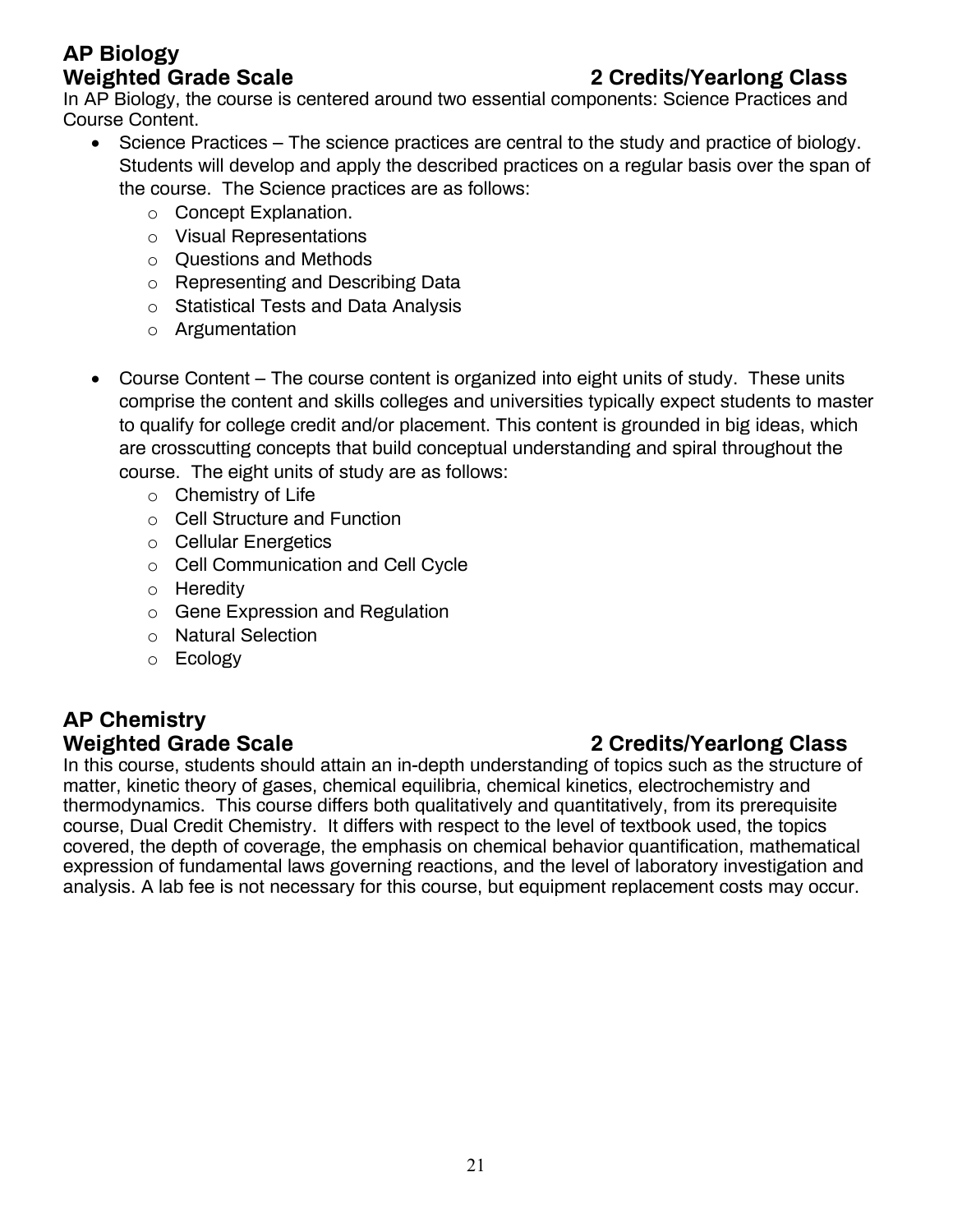## **AP Biology**

### **Weighted Grade Scale 2 Credits/Yearlong Class**

In AP Biology, the course is centered around two essential components: Science Practices and Course Content.

- Science Practices The science practices are central to the study and practice of biology. Students will develop and apply the described practices on a regular basis over the span of the course. The Science practices are as follows:
	- o Concept Explanation.
	- o Visual Representations
	- o Questions and Methods
	- o Representing and Describing Data
	- o Statistical Tests and Data Analysis
	- o Argumentation
- Course Content The course content is organized into eight units of study. These units comprise the content and skills colleges and universities typically expect students to master to qualify for college credit and/or placement. This content is grounded in big ideas, which are crosscutting concepts that build conceptual understanding and spiral throughout the course. The eight units of study are as follows:
	- o Chemistry of Life
	- o Cell Structure and Function
	- o Cellular Energetics
	- o Cell Communication and Cell Cycle
	- o Heredity
	- o Gene Expression and Regulation
	- o Natural Selection
	- o Ecology

## **AP Chemistry**

### In this course, students should attain an in-depth understanding of topics such as the structure of matter, kinetic theory of gases, chemical equilibria, chemical kinetics, electrochemistry and thermodynamics. This course differs both qualitatively and quantitatively, from its prerequisite course, Dual Credit Chemistry. It differs with respect to the level of textbook used, the topics covered, the depth of coverage, the emphasis on chemical behavior quantification, mathematical expression of fundamental laws governing reactions, and the level of laboratory investigation and analysis. A lab fee is not necessary for this course, but equipment replacement costs may occur.

### **Weighted Grade Scale 2 Credits/Yearlong Class**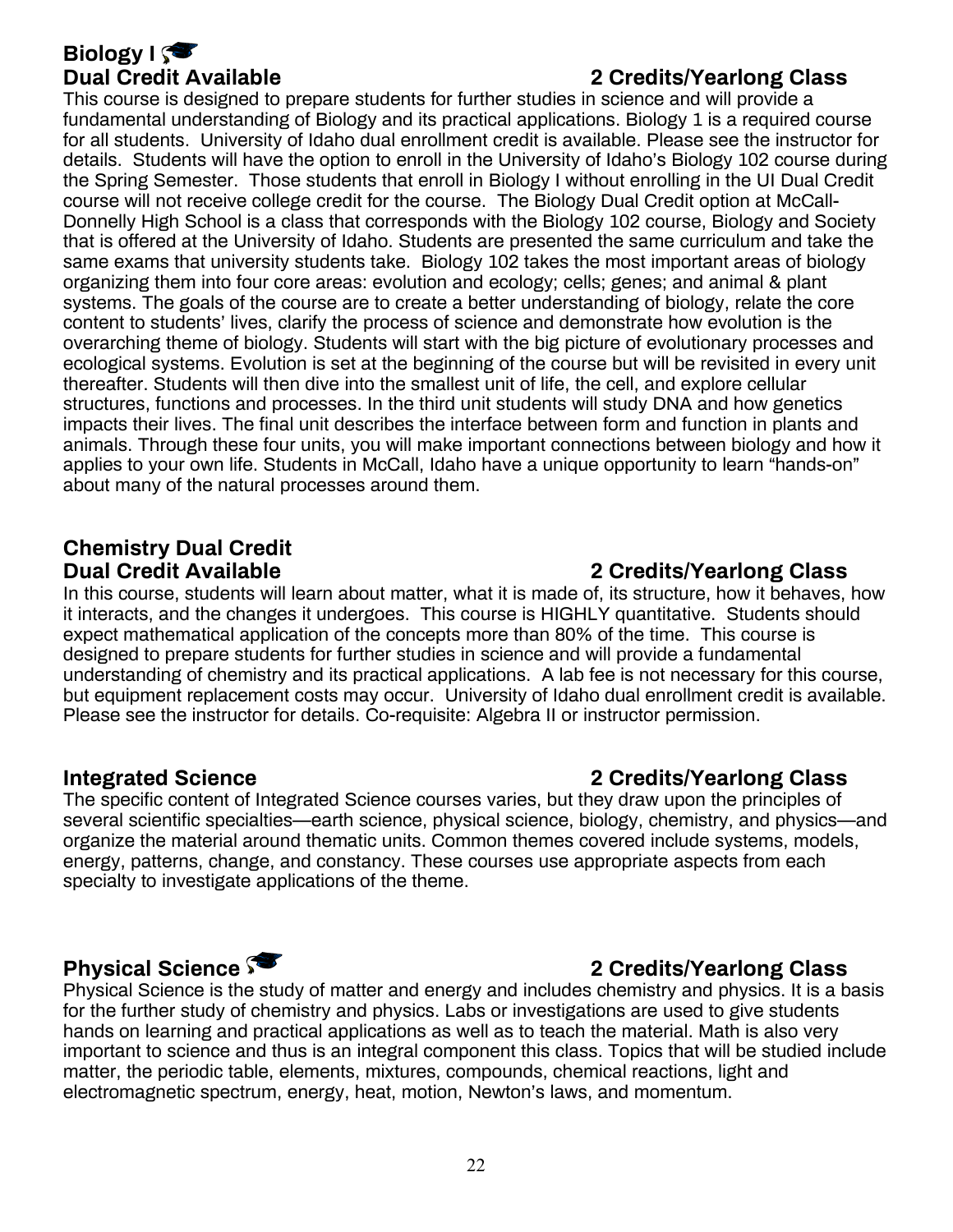## **Biology I**

### **Dual Credit Available 2 Credits/Yearlong Class**

This course is designed to prepare students for further studies in science and will provide a fundamental understanding of Biology and its practical applications. Biology 1 is a required course for all students. University of Idaho dual enrollment credit is available. Please see the instructor for details. Students will have the option to enroll in the University of Idaho's Biology 102 course during the Spring Semester. Those students that enroll in Biology I without enrolling in the UI Dual Credit course will not receive college credit for the course. The Biology Dual Credit option at McCall-Donnelly High School is a class that corresponds with the Biology 102 course, Biology and Society that is offered at the University of Idaho. Students are presented the same curriculum and take the same exams that university students take. Biology 102 takes the most important areas of biology organizing them into four core areas: evolution and ecology; cells; genes; and animal & plant systems. The goals of the course are to create a better understanding of biology, relate the core content to students' lives, clarify the process of science and demonstrate how evolution is the overarching theme of biology. Students will start with the big picture of evolutionary processes and ecological systems. Evolution is set at the beginning of the course but will be revisited in every unit thereafter. Students will then dive into the smallest unit of life, the cell, and explore cellular structures, functions and processes. In the third unit students will study DNA and how genetics impacts their lives. The final unit describes the interface between form and function in plants and animals. Through these four units, you will make important connections between biology and how it applies to your own life. Students in McCall, Idaho have a unique opportunity to learn "hands-on" about many of the natural processes around them.

## **Chemistry Dual Credit**

In this course, students will learn about matter, what it is made of, its structure, how it behaves, how it interacts, and the changes it undergoes. This course is HIGHLY quantitative. Students should expect mathematical application of the concepts more than 80% of the time. This course is designed to prepare students for further studies in science and will provide a fundamental understanding of chemistry and its practical applications. A lab fee is not necessary for this course, but equipment replacement costs may occur. University of Idaho dual enrollment credit is available. Please see the instructor for details. Co-requisite: Algebra II or instructor permission.

### **Integrated Science 2 Credits/Yearlong Class**

The specific content of Integrated Science courses varies, but they draw upon the principles of several scientific specialties—earth science, physical science, biology, chemistry, and physics—and organize the material around thematic units. Common themes covered include systems, models, energy, patterns, change, and constancy. These courses use appropriate aspects from each specialty to investigate applications of the theme.

### **Physical Science 2 Credits/Yearlong Class**

Physical Science is the study of matter and energy and includes chemistry and physics. It is a basis for the further study of chemistry and physics. Labs or investigations are used to give students hands on learning and practical applications as well as to teach the material. Math is also very important to science and thus is an integral component this class. Topics that will be studied include matter, the periodic table, elements, mixtures, compounds, chemical reactions, light and electromagnetic spectrum, energy, heat, motion, Newton's laws, and momentum.

### **Dual Credit Available 2 Credits/Yearlong Class**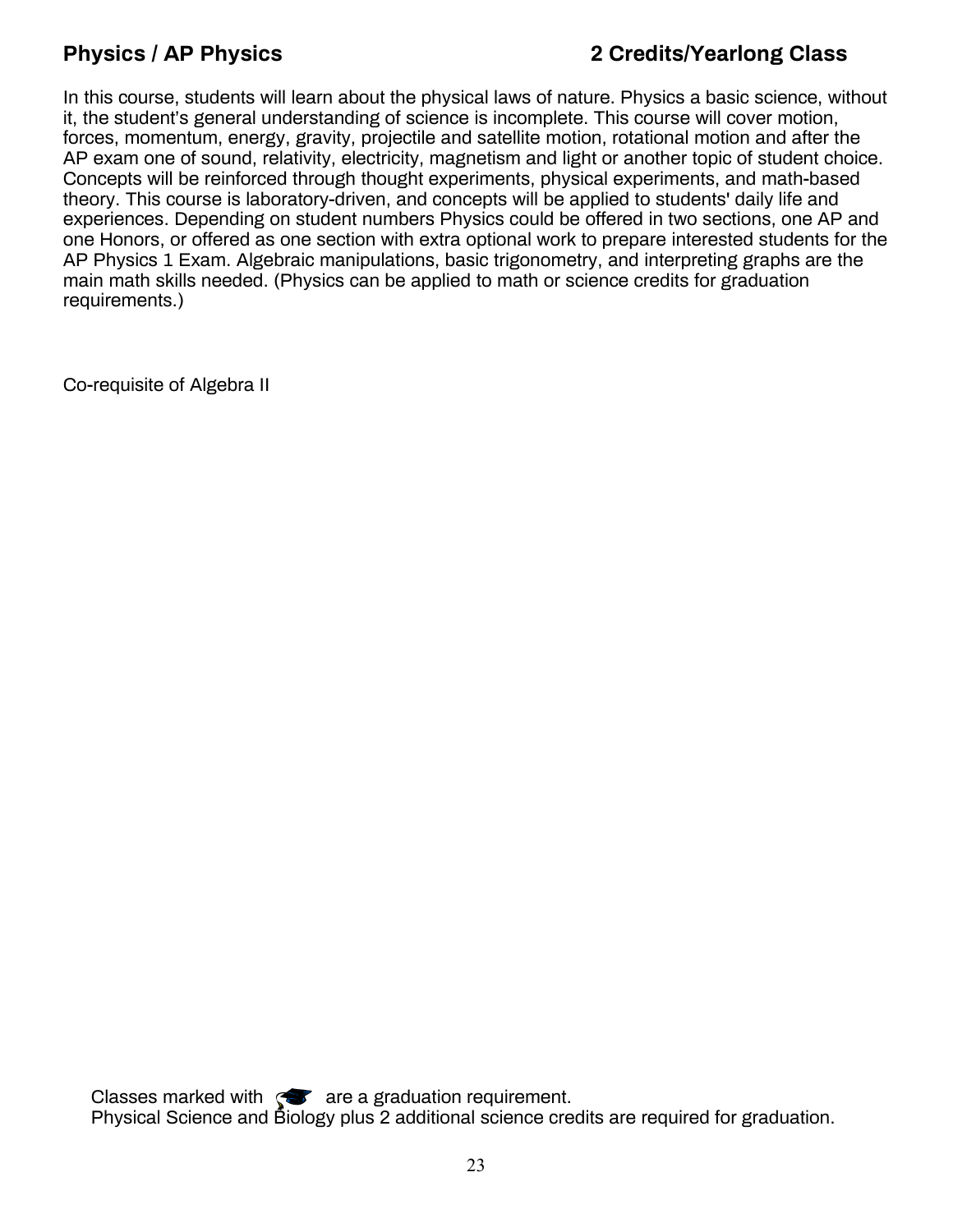### **Physics / AP Physics 2 Credits/Yearlong Class**

In this course, students will learn about the physical laws of nature. Physics a basic science, without it, the student's general understanding of science is incomplete. This course will cover motion, forces, momentum, energy, gravity, projectile and satellite motion, rotational motion and after the AP exam one of sound, relativity, electricity, magnetism and light or another topic of student choice. Concepts will be reinforced through thought experiments, physical experiments, and math-based theory. This course is laboratory-driven, and concepts will be applied to students' daily life and experiences. Depending on student numbers Physics could be offered in two sections, one AP and one Honors, or offered as one section with extra optional work to prepare interested students for the AP Physics 1 Exam. Algebraic manipulations, basic trigonometry, and interpreting graphs are the main math skills needed. (Physics can be applied to math or science credits for graduation requirements.)

Co-requisite of Algebra II

Classes marked with  $\mathcal{F}$  are a graduation requirement. Physical Science and Biology plus 2 additional science credits are required for graduation.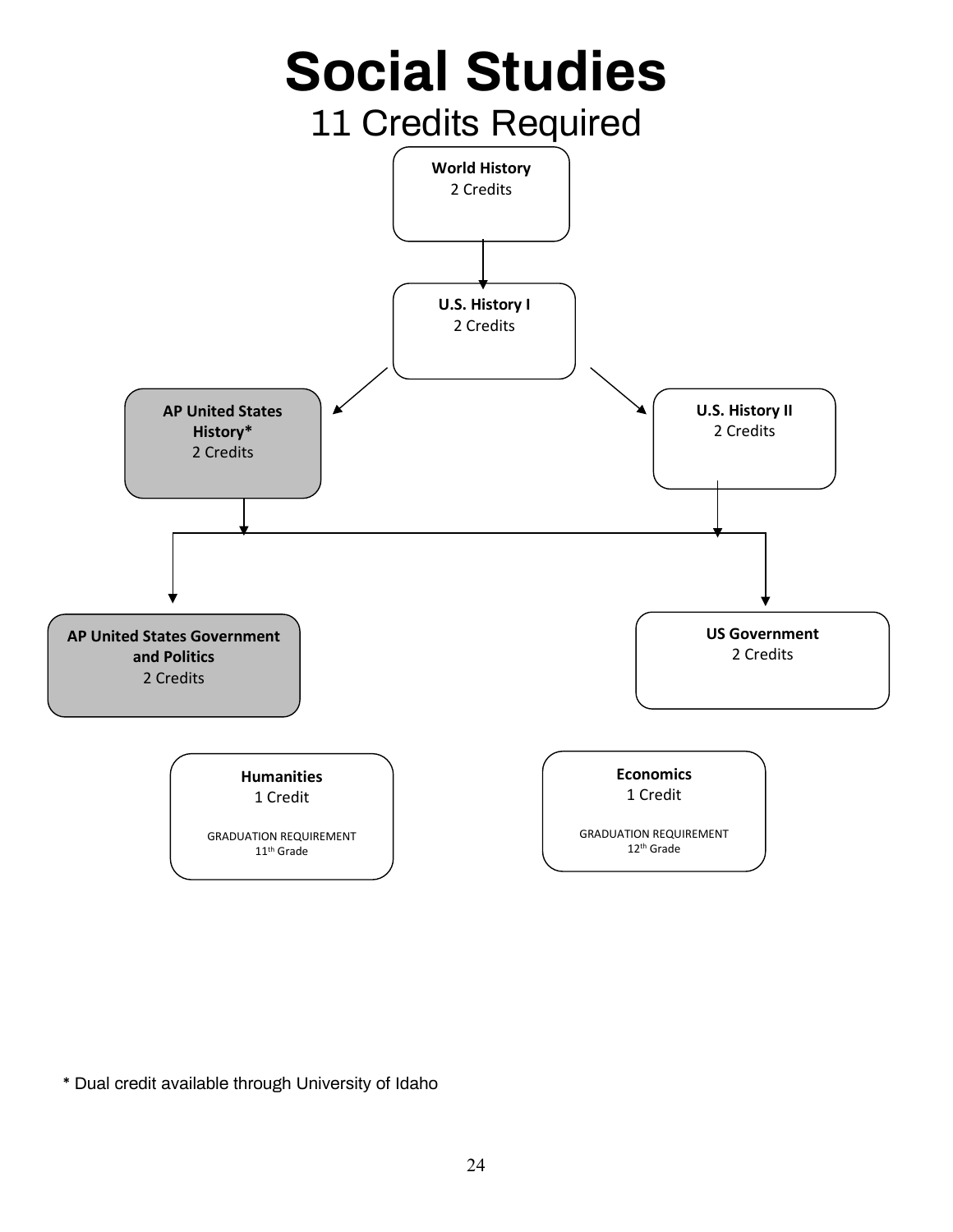

\* Dual credit available through University of Idaho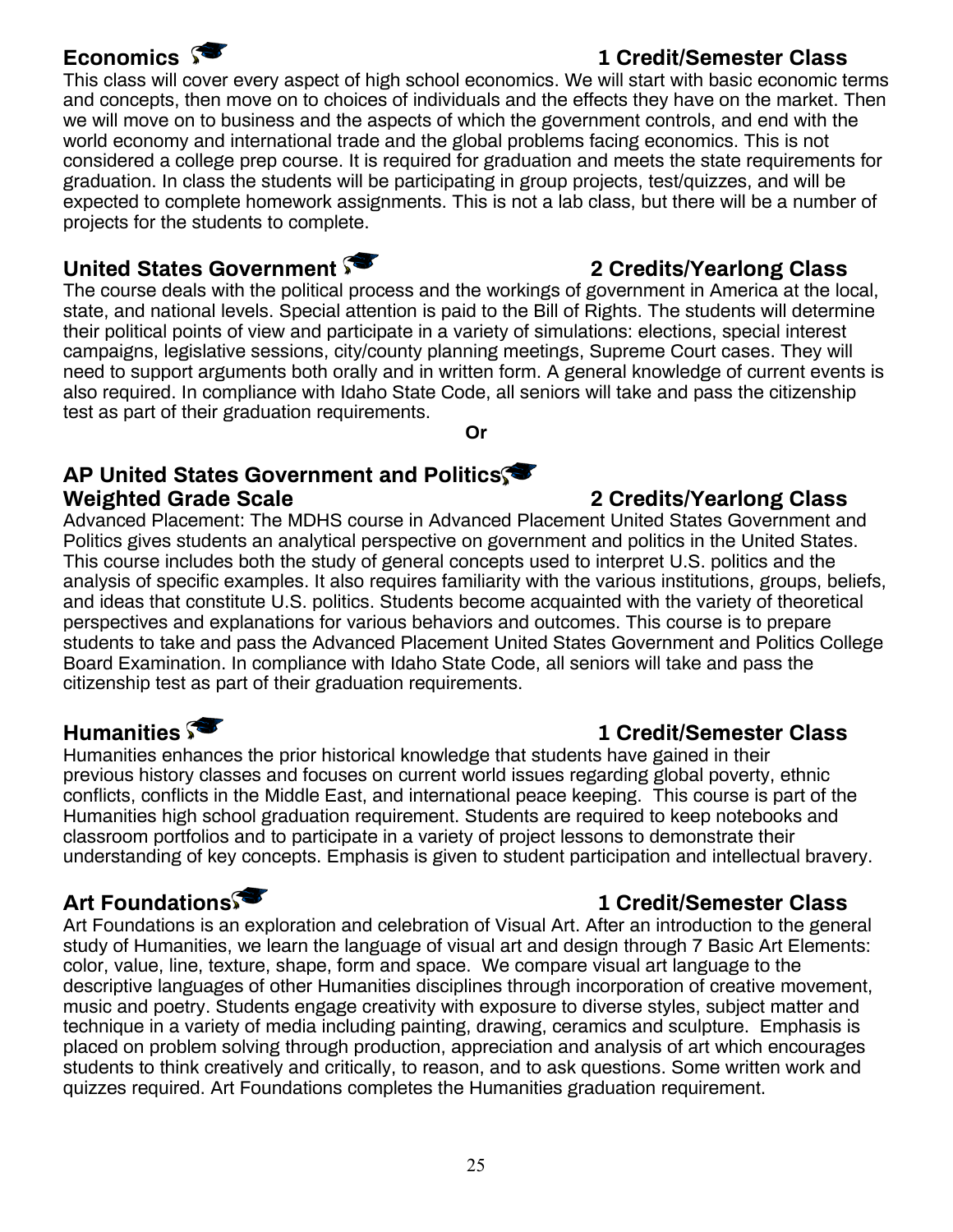### This class will cover every aspect of high school economics. We will start with basic economic terms and concepts, then move on to choices of individuals and the effects they have on the market. Then we will move on to business and the aspects of which the government controls, and end with the world economy and international trade and the global problems facing economics. This is not considered a college prep course. It is required for graduation and meets the state requirements for graduation. In class the students will be participating in group projects, test/quizzes, and will be expected to complete homework assignments. This is not a lab class, but there will be a number of projects for the students to complete.

### United States Government **3** 2 Credits/Yearlong Class

The course deals with the political process and the workings of government in America at the local, state, and national levels. Special attention is paid to the Bill of Rights. The students will determine their political points of view and participate in a variety of simulations: elections, special interest campaigns, legislative sessions, city/county planning meetings, Supreme Court cases. They will need to support arguments both orally and in written form. A general knowledge of current events is also required. In compliance with Idaho State Code, all seniors will take and pass the citizenship test as part of their graduation requirements.

**Or**

### **AP United States Government and Politics Weighted Grade Scale 2 Credits/Yearlong Class**

Advanced Placement: The MDHS course in Advanced Placement United States Government and Politics gives students an analytical perspective on government and politics in the United States. This course includes both the study of general concepts used to interpret U.S. politics and the analysis of specific examples. It also requires familiarity with the various institutions, groups, beliefs, and ideas that constitute U.S. politics. Students become acquainted with the variety of theoretical perspectives and explanations for various behaviors and outcomes. This course is to prepare students to take and pass the Advanced Placement United States Government and Politics College Board Examination. In compliance with Idaho State Code, all seniors will take and pass the citizenship test as part of their graduation requirements.

Humanities enhances the prior historical knowledge that students have gained in their previous history classes and focuses on current world issues regarding global poverty, ethnic conflicts, conflicts in the Middle East, and international peace keeping. This course is part of the Humanities high school graduation requirement. Students are required to keep notebooks and classroom portfolios and to participate in a variety of project lessons to demonstrate their understanding of key concepts. Emphasis is given to student participation and intellectual bravery.

### **Art Foundations 1 Credit/Semester Class**

Art Foundations is an exploration and celebration of Visual Art. After an introduction to the general study of Humanities, we learn the language of visual art and design through 7 Basic Art Elements: color, value, line, texture, shape, form and space. We compare visual art language to the descriptive languages of other Humanities disciplines through incorporation of creative movement, music and poetry. Students engage creativity with exposure to diverse styles, subject matter and technique in a variety of media including painting, drawing, ceramics and sculpture. Emphasis is placed on problem solving through production, appreciation and analysis of art which encourages students to think creatively and critically, to reason, and to ask questions. Some written work and quizzes required. Art Foundations completes the Humanities graduation requirement.

### **Humanities**  $\sqrt{ }$

### **Economics 1 Credit/Semester Class**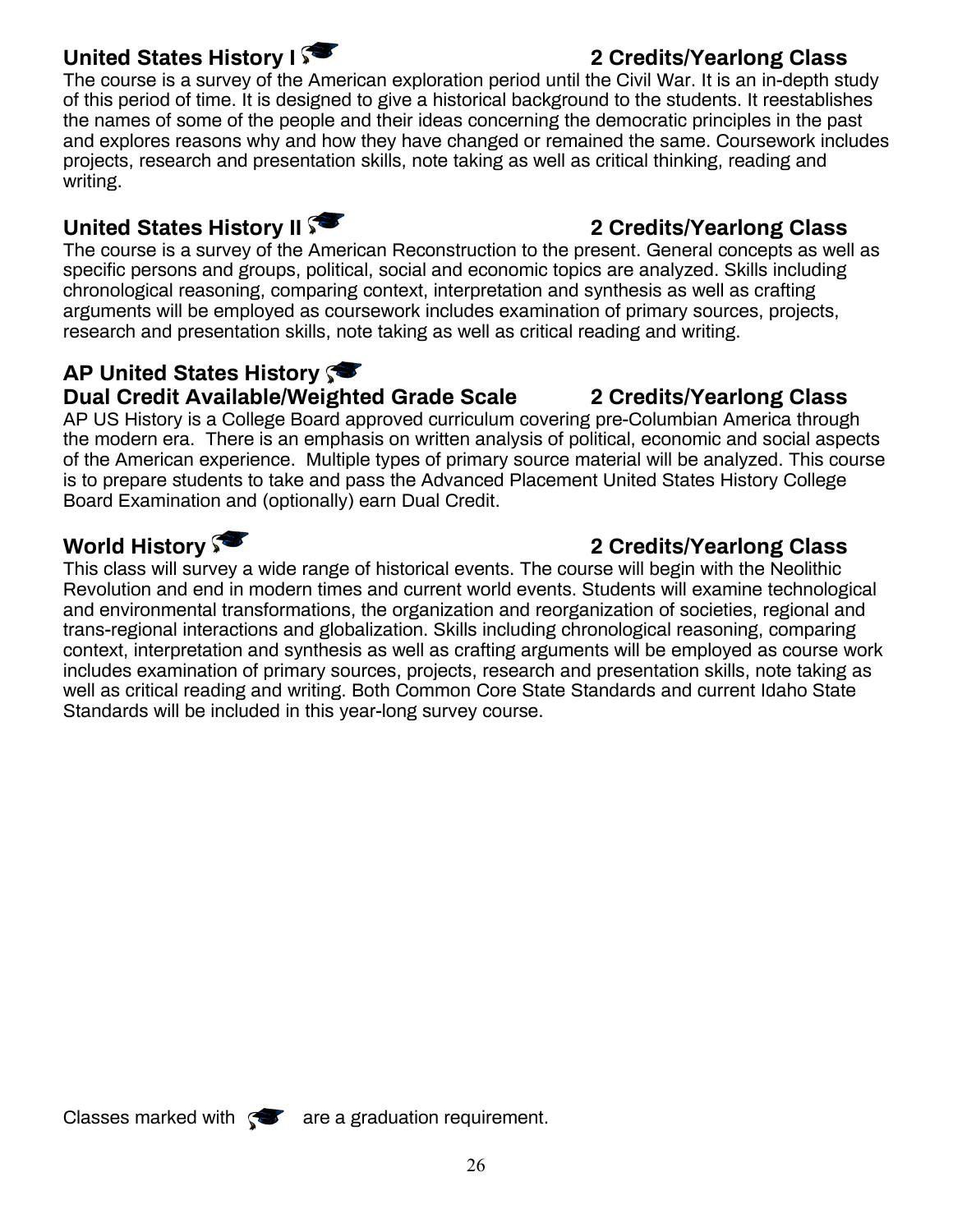### United States History I<sup>S</sup>

The course is a survey of the American exploration period until the Civil War. It is an in-depth study of this period of time. It is designed to give a historical background to the students. It reestablishes the names of some of the people and their ideas concerning the democratic principles in the past and explores reasons why and how they have changed or remained the same. Coursework includes projects, research and presentation skills, note taking as well as critical thinking, reading and writing.

### **United States History II**  $\sqrt{ }$  2 Credits/Yearlong Class

The course is a survey of the American Reconstruction to the present. General concepts as well as specific persons and groups, political, social and economic topics are analyzed. Skills including chronological reasoning, comparing context, interpretation and synthesis as well as crafting arguments will be employed as coursework includes examination of primary sources, projects, research and presentation skills, note taking as well as critical reading and writing.

### **AP United States History**

### **Dual Credit Available/Weighted Grade Scale 2 Credits/Yearlong Class**

AP US History is a College Board approved curriculum covering pre-Columbian America through the modern era. There is an emphasis on written analysis of political, economic and social aspects of the American experience. Multiple types of primary source material will be analyzed. This course is to prepare students to take and pass the Advanced Placement United States History College Board Examination and (optionally) earn Dual Credit.

### **World History 2 Credits/Yearlong Class**

This class will survey a wide range of historical events. The course will begin with the Neolithic Revolution and end in modern times and current world events. Students will examine technological and environmental transformations, the organization and reorganization of societies, regional and trans-regional interactions and globalization. Skills including chronological reasoning, comparing context, interpretation and synthesis as well as crafting arguments will be employed as course work includes examination of primary sources, projects, research and presentation skills, note taking as well as critical reading and writing. Both Common Core State Standards and current Idaho State Standards will be included in this year-long survey course.

Classes marked with  $\mathcal{R}$  are a graduation requirement.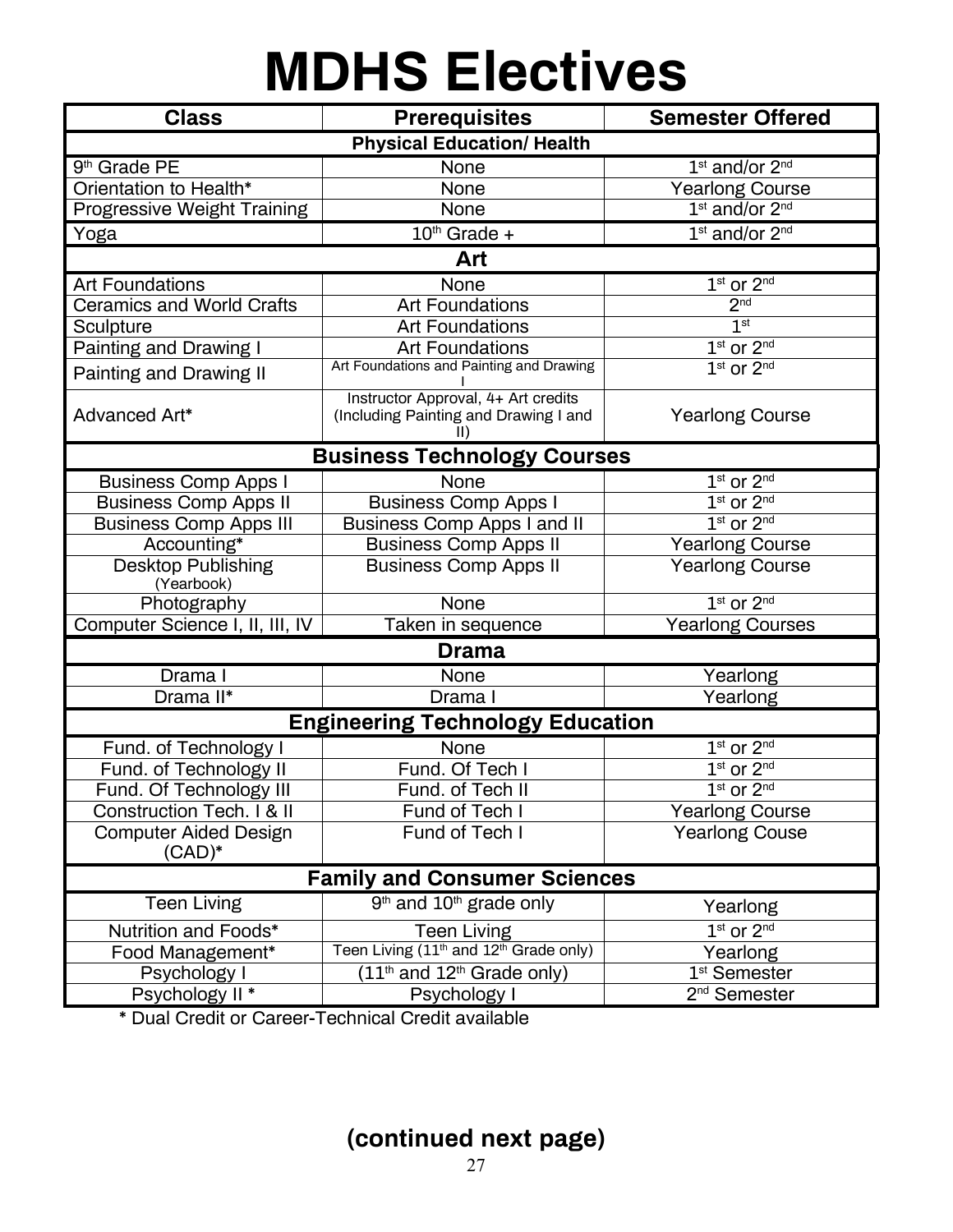## **MDHS Electives**

| <b>Physical Education/ Health</b><br>9 <sup>th</sup> Grade PE<br>1 <sup>st</sup> and/or 2 <sup>nd</sup><br>None<br>Orientation to Health*<br>None<br><b>Yearlong Course</b><br>1 <sup>st</sup> and/or 2 <sup>nd</sup><br>Progressive Weight Training<br>None<br>1st and/or 2nd<br>$10th$ Grade +<br>Yoga<br>Art<br>None<br>$1st$ or $2nd$<br><b>Art Foundations</b><br>2 <sup>nd</sup><br>Ceramics and World Crafts<br><b>Art Foundations</b><br>1 <sup>st</sup><br><b>Art Foundations</b><br>Sculpture<br><b>Painting and Drawing I</b><br>$\overline{1}$ <sup>st</sup> or $2^{nd}$<br><b>Art Foundations</b><br>Art Foundations and Painting and Drawing<br>1st or 2nd<br><b>Painting and Drawing II</b><br>Instructor Approval, 4+ Art credits<br>Advanced Art*<br>(Including Painting and Drawing I and<br><b>Yearlong Course</b><br><b>Business Technology Courses</b><br>1st or 2nd<br><b>Business Comp Apps I</b><br>None<br>$1st$ or $2nd$<br><b>Business Comp Apps II</b><br><b>Business Comp Apps I</b><br><b>Business Comp Apps III</b><br>1st or 2nd<br><b>Business Comp Apps I and II</b><br>Accounting*<br><b>Business Comp Apps II</b><br><b>Yearlong Course</b><br><b>Desktop Publishing</b><br><b>Yearlong Course</b><br><b>Business Comp Apps II</b><br>(Yearbook)<br>$1st$ or $2nd$<br>None<br>Photography<br>Computer Science I, II, III, IV<br><b>Yearlong Courses</b><br>Taken in sequence<br><b>Drama</b><br>Drama I<br>None<br>Yearlong<br>Drama II*<br>Yearlong<br>Drama I<br><b>Engineering Technology Education</b><br>$1st$ or $2nd$<br>Fund. of Technology I<br>None<br>Fund. Of Tech I<br>$1st$ or $2nd$<br>Fund. of Technology II<br>$1st$ or $2nd$<br>Fund. Of Technology III<br>Fund. of Tech II<br>Construction Tech. I & II<br>Fund of Tech I<br><b>Yearlong Course</b><br>Fund of Tech I<br><b>Yearlong Couse</b><br><b>Computer Aided Design</b><br>$(CAD)^*$<br><b>Family and Consumer Sciences</b><br>$9th$ and $10th$ grade only<br><b>Teen Living</b><br>Yearlong<br>$1st$ or $2nd$<br>Nutrition and Foods*<br><b>Teen Living</b><br>Teen Living (11 <sup>th</sup> and 12 <sup>th</sup> Grade only)<br>Food Management*<br>Yearlong<br>$(11th$ and $12th$ Grade only)<br>1 <sup>st</sup> Semester<br>Psychology I<br>2 <sup>nd</sup> Semester<br>Psychology II *<br>Psychology I | <b>Class</b> | <b>Prerequisites</b>    |  |  |  |  |
|---------------------------------------------------------------------------------------------------------------------------------------------------------------------------------------------------------------------------------------------------------------------------------------------------------------------------------------------------------------------------------------------------------------------------------------------------------------------------------------------------------------------------------------------------------------------------------------------------------------------------------------------------------------------------------------------------------------------------------------------------------------------------------------------------------------------------------------------------------------------------------------------------------------------------------------------------------------------------------------------------------------------------------------------------------------------------------------------------------------------------------------------------------------------------------------------------------------------------------------------------------------------------------------------------------------------------------------------------------------------------------------------------------------------------------------------------------------------------------------------------------------------------------------------------------------------------------------------------------------------------------------------------------------------------------------------------------------------------------------------------------------------------------------------------------------------------------------------------------------------------------------------------------------------------------------------------------------------------------------------------------------------------------------------------------------------------------------------------------------------------------------------------------------------------------------------------------------------------------------------------------------------------------------------------------------------------|--------------|-------------------------|--|--|--|--|
|                                                                                                                                                                                                                                                                                                                                                                                                                                                                                                                                                                                                                                                                                                                                                                                                                                                                                                                                                                                                                                                                                                                                                                                                                                                                                                                                                                                                                                                                                                                                                                                                                                                                                                                                                                                                                                                                                                                                                                                                                                                                                                                                                                                                                                                                                                                           |              | <b>Semester Offered</b> |  |  |  |  |
|                                                                                                                                                                                                                                                                                                                                                                                                                                                                                                                                                                                                                                                                                                                                                                                                                                                                                                                                                                                                                                                                                                                                                                                                                                                                                                                                                                                                                                                                                                                                                                                                                                                                                                                                                                                                                                                                                                                                                                                                                                                                                                                                                                                                                                                                                                                           |              |                         |  |  |  |  |
|                                                                                                                                                                                                                                                                                                                                                                                                                                                                                                                                                                                                                                                                                                                                                                                                                                                                                                                                                                                                                                                                                                                                                                                                                                                                                                                                                                                                                                                                                                                                                                                                                                                                                                                                                                                                                                                                                                                                                                                                                                                                                                                                                                                                                                                                                                                           |              |                         |  |  |  |  |
|                                                                                                                                                                                                                                                                                                                                                                                                                                                                                                                                                                                                                                                                                                                                                                                                                                                                                                                                                                                                                                                                                                                                                                                                                                                                                                                                                                                                                                                                                                                                                                                                                                                                                                                                                                                                                                                                                                                                                                                                                                                                                                                                                                                                                                                                                                                           |              |                         |  |  |  |  |
|                                                                                                                                                                                                                                                                                                                                                                                                                                                                                                                                                                                                                                                                                                                                                                                                                                                                                                                                                                                                                                                                                                                                                                                                                                                                                                                                                                                                                                                                                                                                                                                                                                                                                                                                                                                                                                                                                                                                                                                                                                                                                                                                                                                                                                                                                                                           |              |                         |  |  |  |  |
|                                                                                                                                                                                                                                                                                                                                                                                                                                                                                                                                                                                                                                                                                                                                                                                                                                                                                                                                                                                                                                                                                                                                                                                                                                                                                                                                                                                                                                                                                                                                                                                                                                                                                                                                                                                                                                                                                                                                                                                                                                                                                                                                                                                                                                                                                                                           |              |                         |  |  |  |  |
|                                                                                                                                                                                                                                                                                                                                                                                                                                                                                                                                                                                                                                                                                                                                                                                                                                                                                                                                                                                                                                                                                                                                                                                                                                                                                                                                                                                                                                                                                                                                                                                                                                                                                                                                                                                                                                                                                                                                                                                                                                                                                                                                                                                                                                                                                                                           |              |                         |  |  |  |  |
|                                                                                                                                                                                                                                                                                                                                                                                                                                                                                                                                                                                                                                                                                                                                                                                                                                                                                                                                                                                                                                                                                                                                                                                                                                                                                                                                                                                                                                                                                                                                                                                                                                                                                                                                                                                                                                                                                                                                                                                                                                                                                                                                                                                                                                                                                                                           |              |                         |  |  |  |  |
|                                                                                                                                                                                                                                                                                                                                                                                                                                                                                                                                                                                                                                                                                                                                                                                                                                                                                                                                                                                                                                                                                                                                                                                                                                                                                                                                                                                                                                                                                                                                                                                                                                                                                                                                                                                                                                                                                                                                                                                                                                                                                                                                                                                                                                                                                                                           |              |                         |  |  |  |  |
|                                                                                                                                                                                                                                                                                                                                                                                                                                                                                                                                                                                                                                                                                                                                                                                                                                                                                                                                                                                                                                                                                                                                                                                                                                                                                                                                                                                                                                                                                                                                                                                                                                                                                                                                                                                                                                                                                                                                                                                                                                                                                                                                                                                                                                                                                                                           |              |                         |  |  |  |  |
|                                                                                                                                                                                                                                                                                                                                                                                                                                                                                                                                                                                                                                                                                                                                                                                                                                                                                                                                                                                                                                                                                                                                                                                                                                                                                                                                                                                                                                                                                                                                                                                                                                                                                                                                                                                                                                                                                                                                                                                                                                                                                                                                                                                                                                                                                                                           |              |                         |  |  |  |  |
|                                                                                                                                                                                                                                                                                                                                                                                                                                                                                                                                                                                                                                                                                                                                                                                                                                                                                                                                                                                                                                                                                                                                                                                                                                                                                                                                                                                                                                                                                                                                                                                                                                                                                                                                                                                                                                                                                                                                                                                                                                                                                                                                                                                                                                                                                                                           |              |                         |  |  |  |  |
|                                                                                                                                                                                                                                                                                                                                                                                                                                                                                                                                                                                                                                                                                                                                                                                                                                                                                                                                                                                                                                                                                                                                                                                                                                                                                                                                                                                                                                                                                                                                                                                                                                                                                                                                                                                                                                                                                                                                                                                                                                                                                                                                                                                                                                                                                                                           |              |                         |  |  |  |  |
|                                                                                                                                                                                                                                                                                                                                                                                                                                                                                                                                                                                                                                                                                                                                                                                                                                                                                                                                                                                                                                                                                                                                                                                                                                                                                                                                                                                                                                                                                                                                                                                                                                                                                                                                                                                                                                                                                                                                                                                                                                                                                                                                                                                                                                                                                                                           |              |                         |  |  |  |  |
|                                                                                                                                                                                                                                                                                                                                                                                                                                                                                                                                                                                                                                                                                                                                                                                                                                                                                                                                                                                                                                                                                                                                                                                                                                                                                                                                                                                                                                                                                                                                                                                                                                                                                                                                                                                                                                                                                                                                                                                                                                                                                                                                                                                                                                                                                                                           |              |                         |  |  |  |  |
|                                                                                                                                                                                                                                                                                                                                                                                                                                                                                                                                                                                                                                                                                                                                                                                                                                                                                                                                                                                                                                                                                                                                                                                                                                                                                                                                                                                                                                                                                                                                                                                                                                                                                                                                                                                                                                                                                                                                                                                                                                                                                                                                                                                                                                                                                                                           |              |                         |  |  |  |  |
|                                                                                                                                                                                                                                                                                                                                                                                                                                                                                                                                                                                                                                                                                                                                                                                                                                                                                                                                                                                                                                                                                                                                                                                                                                                                                                                                                                                                                                                                                                                                                                                                                                                                                                                                                                                                                                                                                                                                                                                                                                                                                                                                                                                                                                                                                                                           |              |                         |  |  |  |  |
|                                                                                                                                                                                                                                                                                                                                                                                                                                                                                                                                                                                                                                                                                                                                                                                                                                                                                                                                                                                                                                                                                                                                                                                                                                                                                                                                                                                                                                                                                                                                                                                                                                                                                                                                                                                                                                                                                                                                                                                                                                                                                                                                                                                                                                                                                                                           |              |                         |  |  |  |  |
|                                                                                                                                                                                                                                                                                                                                                                                                                                                                                                                                                                                                                                                                                                                                                                                                                                                                                                                                                                                                                                                                                                                                                                                                                                                                                                                                                                                                                                                                                                                                                                                                                                                                                                                                                                                                                                                                                                                                                                                                                                                                                                                                                                                                                                                                                                                           |              |                         |  |  |  |  |
|                                                                                                                                                                                                                                                                                                                                                                                                                                                                                                                                                                                                                                                                                                                                                                                                                                                                                                                                                                                                                                                                                                                                                                                                                                                                                                                                                                                                                                                                                                                                                                                                                                                                                                                                                                                                                                                                                                                                                                                                                                                                                                                                                                                                                                                                                                                           |              |                         |  |  |  |  |
|                                                                                                                                                                                                                                                                                                                                                                                                                                                                                                                                                                                                                                                                                                                                                                                                                                                                                                                                                                                                                                                                                                                                                                                                                                                                                                                                                                                                                                                                                                                                                                                                                                                                                                                                                                                                                                                                                                                                                                                                                                                                                                                                                                                                                                                                                                                           |              |                         |  |  |  |  |
|                                                                                                                                                                                                                                                                                                                                                                                                                                                                                                                                                                                                                                                                                                                                                                                                                                                                                                                                                                                                                                                                                                                                                                                                                                                                                                                                                                                                                                                                                                                                                                                                                                                                                                                                                                                                                                                                                                                                                                                                                                                                                                                                                                                                                                                                                                                           |              |                         |  |  |  |  |
|                                                                                                                                                                                                                                                                                                                                                                                                                                                                                                                                                                                                                                                                                                                                                                                                                                                                                                                                                                                                                                                                                                                                                                                                                                                                                                                                                                                                                                                                                                                                                                                                                                                                                                                                                                                                                                                                                                                                                                                                                                                                                                                                                                                                                                                                                                                           |              |                         |  |  |  |  |
|                                                                                                                                                                                                                                                                                                                                                                                                                                                                                                                                                                                                                                                                                                                                                                                                                                                                                                                                                                                                                                                                                                                                                                                                                                                                                                                                                                                                                                                                                                                                                                                                                                                                                                                                                                                                                                                                                                                                                                                                                                                                                                                                                                                                                                                                                                                           |              |                         |  |  |  |  |
|                                                                                                                                                                                                                                                                                                                                                                                                                                                                                                                                                                                                                                                                                                                                                                                                                                                                                                                                                                                                                                                                                                                                                                                                                                                                                                                                                                                                                                                                                                                                                                                                                                                                                                                                                                                                                                                                                                                                                                                                                                                                                                                                                                                                                                                                                                                           |              |                         |  |  |  |  |
|                                                                                                                                                                                                                                                                                                                                                                                                                                                                                                                                                                                                                                                                                                                                                                                                                                                                                                                                                                                                                                                                                                                                                                                                                                                                                                                                                                                                                                                                                                                                                                                                                                                                                                                                                                                                                                                                                                                                                                                                                                                                                                                                                                                                                                                                                                                           |              |                         |  |  |  |  |
|                                                                                                                                                                                                                                                                                                                                                                                                                                                                                                                                                                                                                                                                                                                                                                                                                                                                                                                                                                                                                                                                                                                                                                                                                                                                                                                                                                                                                                                                                                                                                                                                                                                                                                                                                                                                                                                                                                                                                                                                                                                                                                                                                                                                                                                                                                                           |              |                         |  |  |  |  |
|                                                                                                                                                                                                                                                                                                                                                                                                                                                                                                                                                                                                                                                                                                                                                                                                                                                                                                                                                                                                                                                                                                                                                                                                                                                                                                                                                                                                                                                                                                                                                                                                                                                                                                                                                                                                                                                                                                                                                                                                                                                                                                                                                                                                                                                                                                                           |              |                         |  |  |  |  |
|                                                                                                                                                                                                                                                                                                                                                                                                                                                                                                                                                                                                                                                                                                                                                                                                                                                                                                                                                                                                                                                                                                                                                                                                                                                                                                                                                                                                                                                                                                                                                                                                                                                                                                                                                                                                                                                                                                                                                                                                                                                                                                                                                                                                                                                                                                                           |              |                         |  |  |  |  |
|                                                                                                                                                                                                                                                                                                                                                                                                                                                                                                                                                                                                                                                                                                                                                                                                                                                                                                                                                                                                                                                                                                                                                                                                                                                                                                                                                                                                                                                                                                                                                                                                                                                                                                                                                                                                                                                                                                                                                                                                                                                                                                                                                                                                                                                                                                                           |              |                         |  |  |  |  |
|                                                                                                                                                                                                                                                                                                                                                                                                                                                                                                                                                                                                                                                                                                                                                                                                                                                                                                                                                                                                                                                                                                                                                                                                                                                                                                                                                                                                                                                                                                                                                                                                                                                                                                                                                                                                                                                                                                                                                                                                                                                                                                                                                                                                                                                                                                                           |              |                         |  |  |  |  |
|                                                                                                                                                                                                                                                                                                                                                                                                                                                                                                                                                                                                                                                                                                                                                                                                                                                                                                                                                                                                                                                                                                                                                                                                                                                                                                                                                                                                                                                                                                                                                                                                                                                                                                                                                                                                                                                                                                                                                                                                                                                                                                                                                                                                                                                                                                                           |              |                         |  |  |  |  |
|                                                                                                                                                                                                                                                                                                                                                                                                                                                                                                                                                                                                                                                                                                                                                                                                                                                                                                                                                                                                                                                                                                                                                                                                                                                                                                                                                                                                                                                                                                                                                                                                                                                                                                                                                                                                                                                                                                                                                                                                                                                                                                                                                                                                                                                                                                                           |              |                         |  |  |  |  |
|                                                                                                                                                                                                                                                                                                                                                                                                                                                                                                                                                                                                                                                                                                                                                                                                                                                                                                                                                                                                                                                                                                                                                                                                                                                                                                                                                                                                                                                                                                                                                                                                                                                                                                                                                                                                                                                                                                                                                                                                                                                                                                                                                                                                                                                                                                                           |              |                         |  |  |  |  |
|                                                                                                                                                                                                                                                                                                                                                                                                                                                                                                                                                                                                                                                                                                                                                                                                                                                                                                                                                                                                                                                                                                                                                                                                                                                                                                                                                                                                                                                                                                                                                                                                                                                                                                                                                                                                                                                                                                                                                                                                                                                                                                                                                                                                                                                                                                                           |              |                         |  |  |  |  |
|                                                                                                                                                                                                                                                                                                                                                                                                                                                                                                                                                                                                                                                                                                                                                                                                                                                                                                                                                                                                                                                                                                                                                                                                                                                                                                                                                                                                                                                                                                                                                                                                                                                                                                                                                                                                                                                                                                                                                                                                                                                                                                                                                                                                                                                                                                                           |              |                         |  |  |  |  |

\* Dual Credit or Career-Technical Credit available

### **(continued next page)**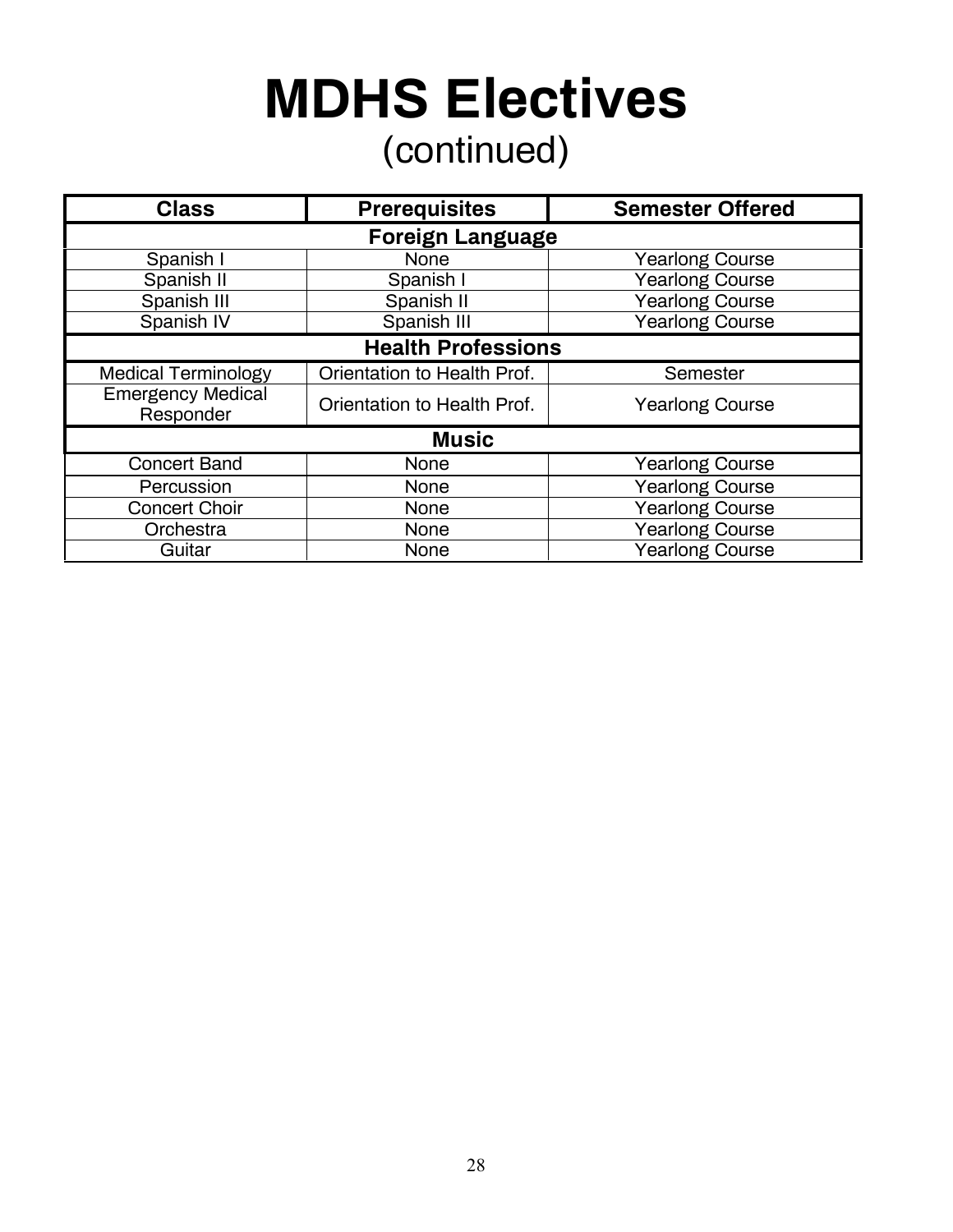## **MDHS Electives** (continued)

| <b>Class</b>                          | <b>Prerequisites</b>        | <b>Semester Offered</b> |  |  |  |
|---------------------------------------|-----------------------------|-------------------------|--|--|--|
|                                       | <b>Foreign Language</b>     |                         |  |  |  |
| Spanish I                             | <b>None</b>                 | <b>Yearlong Course</b>  |  |  |  |
| Spanish II                            | Spanish I                   | <b>Yearlong Course</b>  |  |  |  |
| Spanish III                           | Spanish II                  | Yearlong Course         |  |  |  |
| Spanish IV                            | Spanish III                 | <b>Yearlong Course</b>  |  |  |  |
| <b>Health Professions</b>             |                             |                         |  |  |  |
| <b>Medical Terminology</b>            | Orientation to Health Prof. | Semester                |  |  |  |
| <b>Emergency Medical</b><br>Responder | Orientation to Health Prof. | <b>Yearlong Course</b>  |  |  |  |
| <b>Music</b>                          |                             |                         |  |  |  |
| <b>Concert Band</b>                   | <b>None</b>                 | <b>Yearlong Course</b>  |  |  |  |
| Percussion                            | <b>None</b>                 | <b>Yearlong Course</b>  |  |  |  |
| <b>Concert Choir</b>                  | <b>None</b>                 | <b>Yearlong Course</b>  |  |  |  |
| Orchestra                             | <b>None</b>                 | Yearlong Course         |  |  |  |
| Guitar                                | <b>None</b>                 | <b>Yearlong Course</b>  |  |  |  |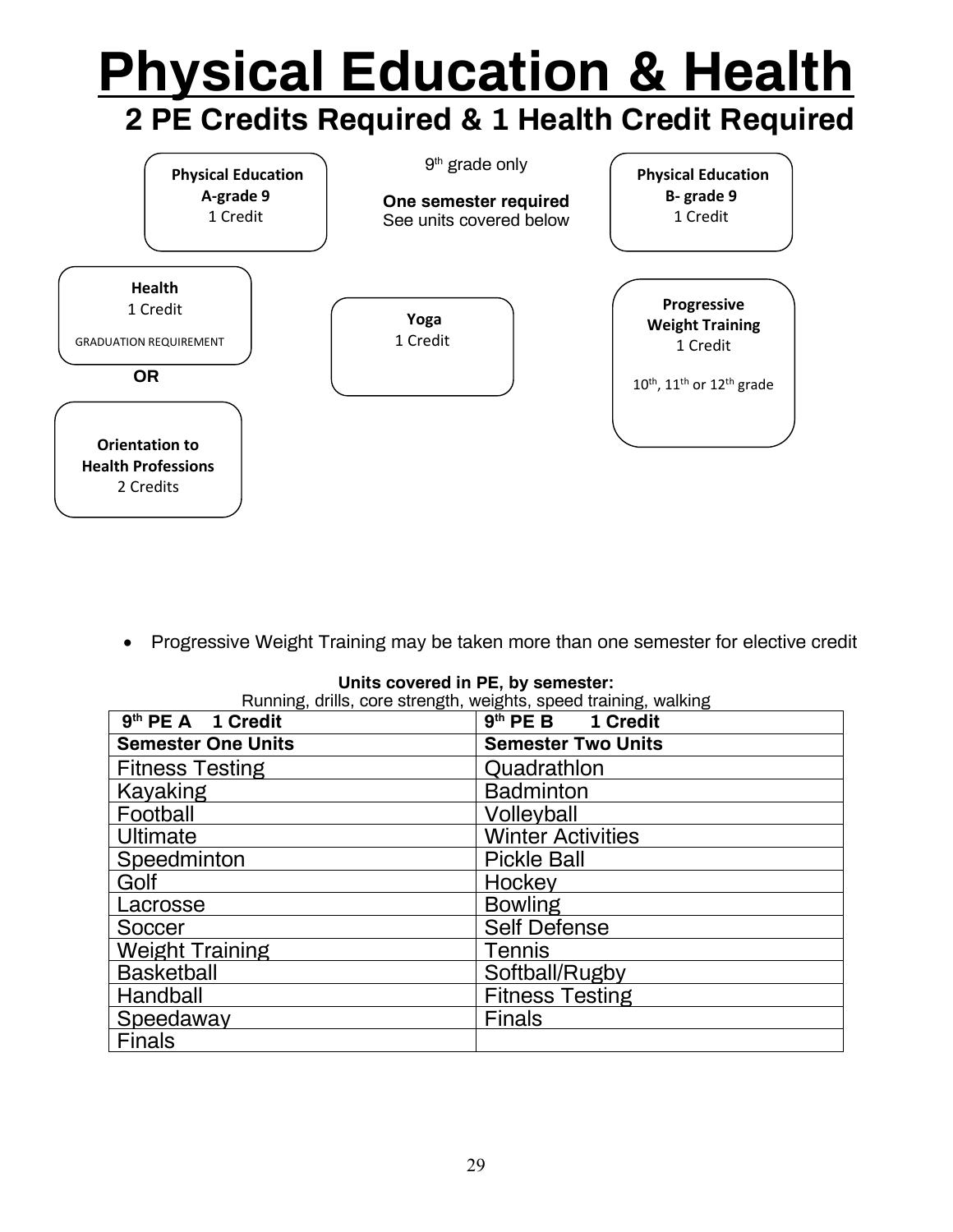### **Progressive Weight Training** 1 Credit 10<sup>th</sup>, 11<sup>th</sup> or 12<sup>th</sup> grade **Physical Education A-grade 9** 1 Credit **Physical Education B- grade 9**  1 Credit **Orientation to Health Professions** 2 Credits **Health** 1 Credit GRADUATION REQUIREMENT **Yoga** 1 Credit **Physical Education & Health 2 PE Credits Required & 1 Health Credit Required** 9th grade only **One semester required** See units covered below  $\overline{a}$  **OR**

• Progressive Weight Training may be taken more than one semester for elective credit

**Units covered in PE, by semester:** 

| 9 <sup>th</sup> PE A 1 Credit | $9th$ PE B<br>1 Credit    |
|-------------------------------|---------------------------|
| <b>Semester One Units</b>     | <b>Semester Two Units</b> |
| <b>Fitness Testing</b>        | Quadrathlon               |
| Kayaking                      | <b>Badminton</b>          |
| Football                      | Volleyball                |
| Ultimate                      | <b>Winter Activities</b>  |
| Speedminton                   | <b>Pickle Ball</b>        |
| Golf                          | Hockey                    |
| Lacrosse                      | <b>Bowling</b>            |
| Soccer                        | <b>Self Defense</b>       |
| <b>Weight Training</b>        | Tennis                    |
| <b>Basketball</b>             | Softball/Rugby            |
| Handball                      | <b>Fitness Testing</b>    |
| Speedaway                     | <b>Finals</b>             |
| <b>Finals</b>                 |                           |

Running, drills, core strength, weights, speed training, walking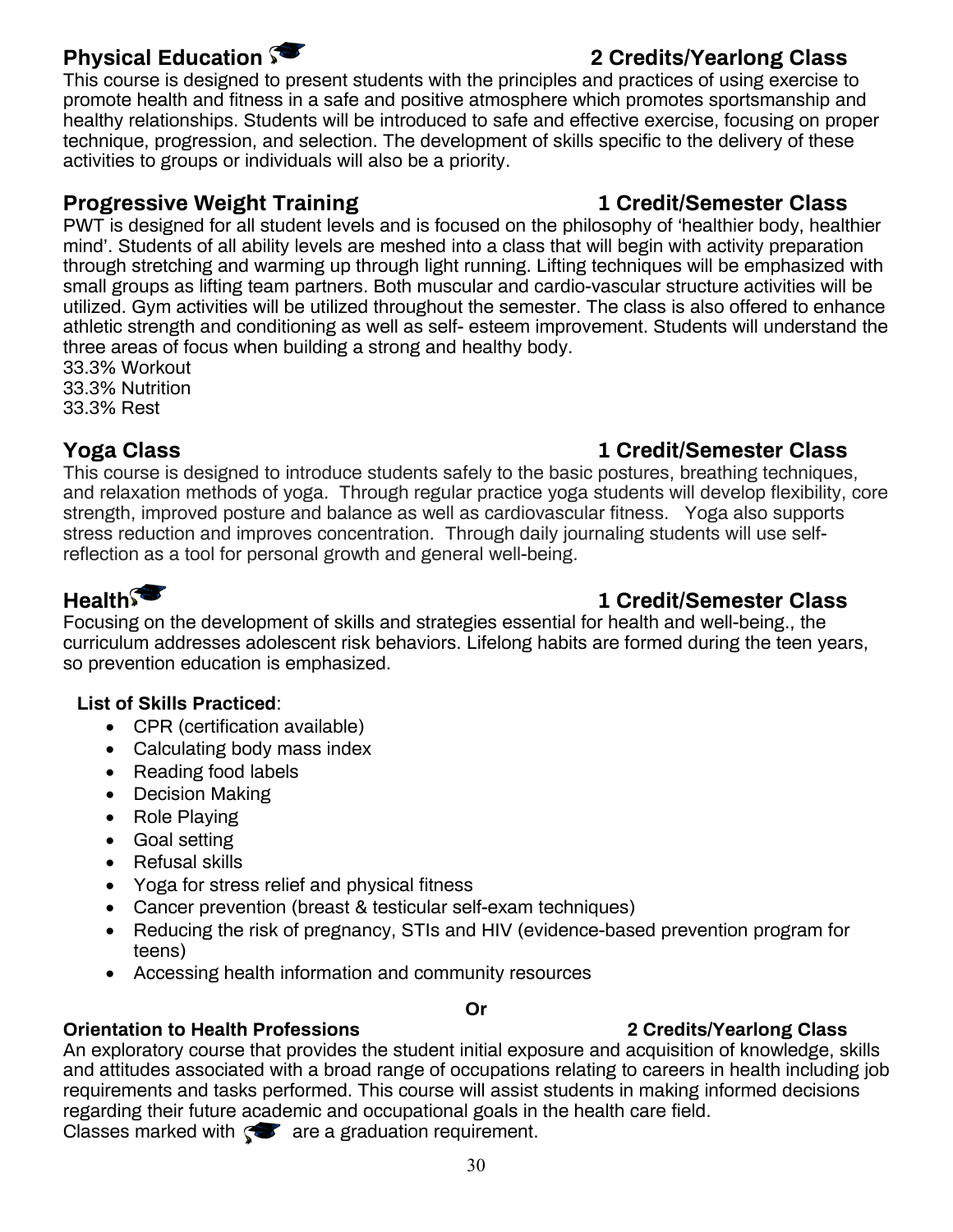This course is designed to present students with the principles and practices of using exercise to promote health and fitness in a safe and positive atmosphere which promotes sportsmanship and healthy relationships. Students will be introduced to safe and effective exercise, focusing on proper technique, progression, and selection. The development of skills specific to the delivery of these activities to groups or individuals will also be a priority.

### **Progressive Weight Training 1 Credit/Semester Class**

PWT is designed for all student levels and is focused on the philosophy of 'healthier body, healthier mind'. Students of all ability levels are meshed into a class that will begin with activity preparation through stretching and warming up through light running. Lifting techniques will be emphasized with small groups as lifting team partners. Both muscular and cardio-vascular structure activities will be utilized. Gym activities will be utilized throughout the semester. The class is also offered to enhance athletic strength and conditioning as well as self- esteem improvement. Students will understand the three areas of focus when building a strong and healthy body.

33.3% Workout 33.3% Nutrition 33.3% Rest

### **Yoga Class 1 Credit/Semester Class**

### This course is designed to introduce students safely to the basic postures, breathing techniques, and relaxation methods of yoga. Through regular practice yoga students will develop flexibility, core strength, improved posture and balance as well as cardiovascular fitness. Yoga also supports stress reduction and improves concentration. Through daily journaling students will use selfreflection as a tool for personal growth and general well-being.

### **Health 1 Credit/Semester Class**

Focusing on the development of skills and strategies essential for health and well-being., the curriculum addresses adolescent risk behaviors. Lifelong habits are formed during the teen years, so prevention education is emphasized.

### **List of Skills Practiced**:

- CPR (certification available)
- Calculating body mass index
- Reading food labels
- Decision Making
- Role Playing
- Goal setting
- Refusal skills
- Yoga for stress relief and physical fitness
- Cancer prevention (breast & testicular self-exam techniques)
- Reducing the risk of pregnancy, STIs and HIV (evidence-based prevention program for teens)
- Accessing health information and community resources

### **Or**

### **Orientation to Health Professions 2 Credits/Yearlong Class**

An exploratory course that provides the student initial exposure and acquisition of knowledge, skills and attitudes associated with a broad range of occupations relating to careers in health including job requirements and tasks performed. This course will assist students in making informed decisions regarding their future academic and occupational goals in the health care field. Classes marked with  $\mathcal{F}$  are a graduation requirement.

### **Physical Education 2 Credits/Yearlong Class**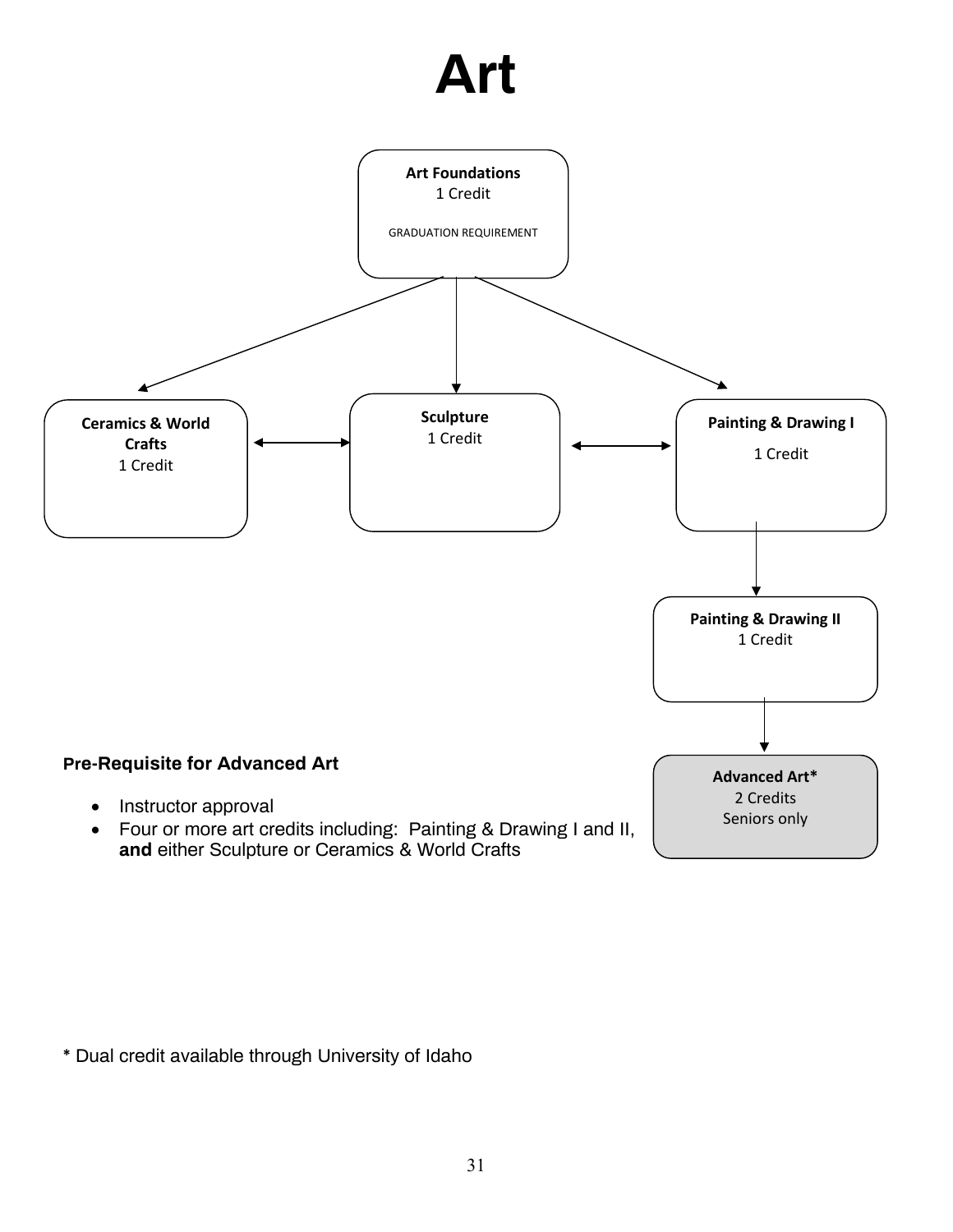## **Art**



**and** either Sculpture or Ceramics & World Crafts

\* Dual credit available through University of Idaho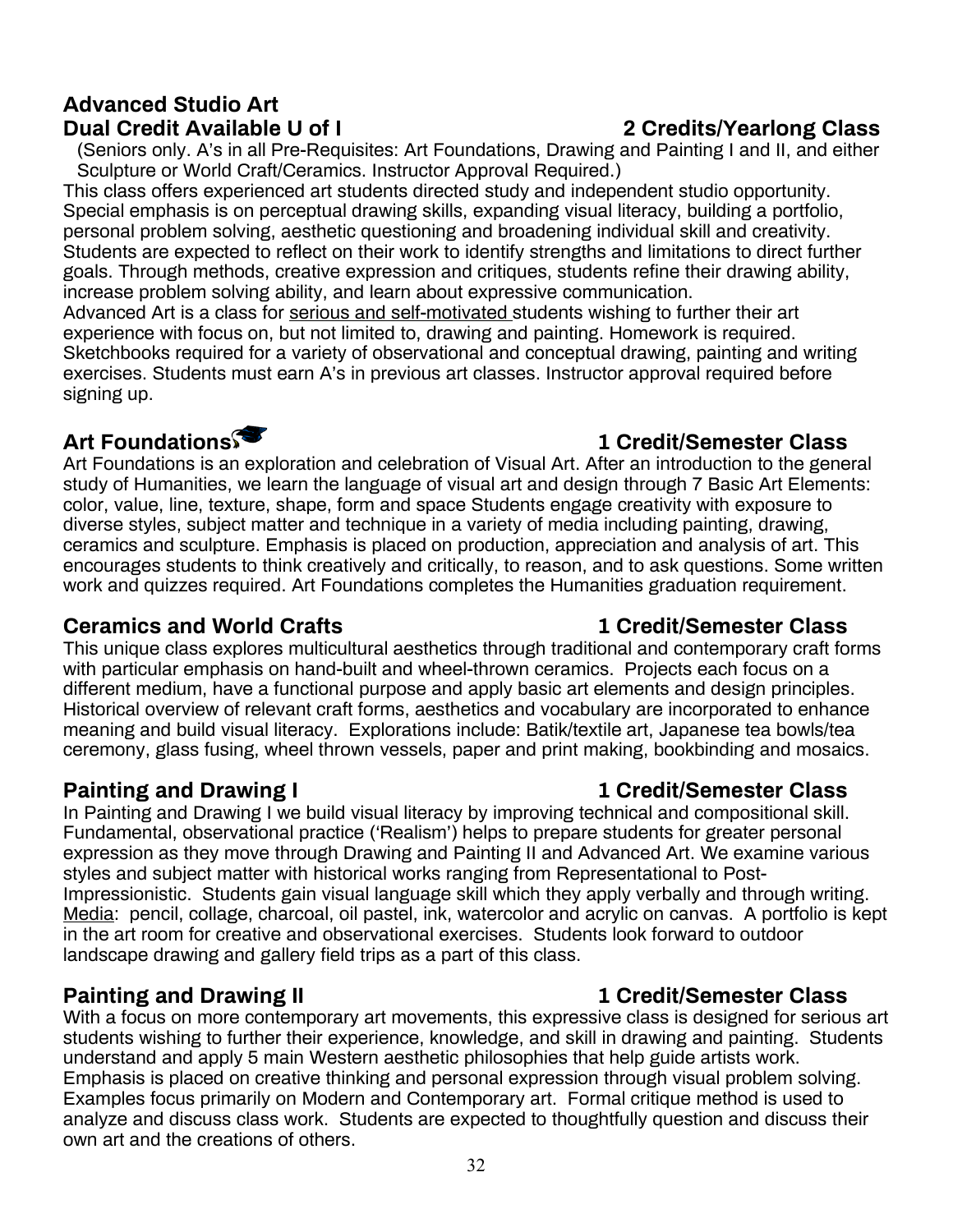### **Advanced Studio Art Dual Credit Available U of I 2 Credits/Yearlong Class**

(Seniors only. A's in all Pre-Requisites: Art Foundations, Drawing and Painting I and II, and either Sculpture or World Craft/Ceramics. Instructor Approval Required.)

This class offers experienced art students directed study and independent studio opportunity. Special emphasis is on perceptual drawing skills, expanding visual literacy, building a portfolio, personal problem solving, aesthetic questioning and broadening individual skill and creativity. Students are expected to reflect on their work to identify strengths and limitations to direct further goals. Through methods, creative expression and critiques, students refine their drawing ability, increase problem solving ability, and learn about expressive communication.

Advanced Art is a class for serious and self-motivated students wishing to further their art experience with focus on, but not limited to, drawing and painting. Homework is required. Sketchbooks required for a variety of observational and conceptual drawing, painting and writing exercises. Students must earn A's in previous art classes. Instructor approval required before signing up.

Art Foundations is an exploration and celebration of Visual Art. After an introduction to the general study of Humanities, we learn the language of visual art and design through 7 Basic Art Elements: color, value, line, texture, shape, form and space Students engage creativity with exposure to diverse styles, subject matter and technique in a variety of media including painting, drawing, ceramics and sculpture. Emphasis is placed on production, appreciation and analysis of art. This encourages students to think creatively and critically, to reason, and to ask questions. Some written work and quizzes required. Art Foundations completes the Humanities graduation requirement.

### **Ceramics and World Crafts 1 Credit/Semester Class**

This unique class explores multicultural aesthetics through traditional and contemporary craft forms with particular emphasis on hand-built and wheel-thrown ceramics. Projects each focus on a different medium, have a functional purpose and apply basic art elements and design principles. Historical overview of relevant craft forms, aesthetics and vocabulary are incorporated to enhance meaning and build visual literacy. Explorations include: Batik/textile art, Japanese tea bowls/tea ceremony, glass fusing, wheel thrown vessels, paper and print making, bookbinding and mosaics.

In Painting and Drawing I we build visual literacy by improving technical and compositional skill. Fundamental, observational practice ('Realism') helps to prepare students for greater personal expression as they move through Drawing and Painting II and Advanced Art. We examine various styles and subject matter with historical works ranging from Representational to Post-Impressionistic. Students gain visual language skill which they apply verbally and through writing. Media: pencil, collage, charcoal, oil pastel, ink, watercolor and acrylic on canvas. A portfolio is kept in the art room for creative and observational exercises. Students look forward to outdoor landscape drawing and gallery field trips as a part of this class.

### **Painting and Drawing II 1 Credit/Semester Class**

With a focus on more contemporary art movements, this expressive class is designed for serious art students wishing to further their experience, knowledge, and skill in drawing and painting. Students understand and apply 5 main Western aesthetic philosophies that help guide artists work. Emphasis is placed on creative thinking and personal expression through visual problem solving. Examples focus primarily on Modern and Contemporary art. Formal critique method is used to analyze and discuss class work. Students are expected to thoughtfully question and discuss their own art and the creations of others.

### **Art Foundations 1 Credit/Semester Class**

### **Painting and Drawing I 1 Credit/Semester Class**

### 32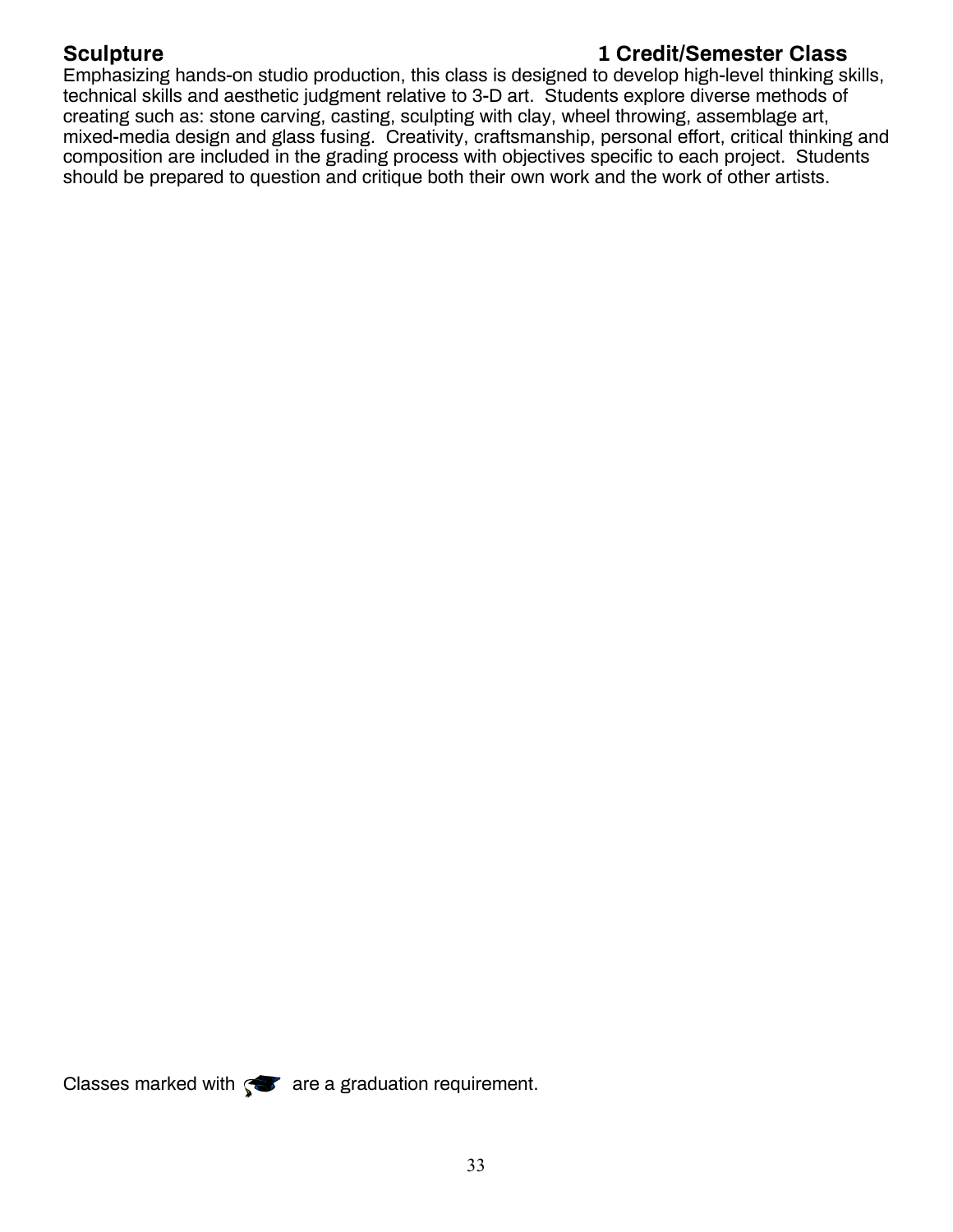### **Sculpture 1 Credit/Semester Class**

Emphasizing hands-on studio production, this class is designed to develop high-level thinking skills, technical skills and aesthetic judgment relative to 3-D art. Students explore diverse methods of creating such as: stone carving, casting, sculpting with clay, wheel throwing, assemblage art, mixed-media design and glass fusing. Creativity, craftsmanship, personal effort, critical thinking and composition are included in the grading process with objectives specific to each project. Students should be prepared to question and critique both their own work and the work of other artists.

Classes marked with  $\mathcal{F}$  are a graduation requirement.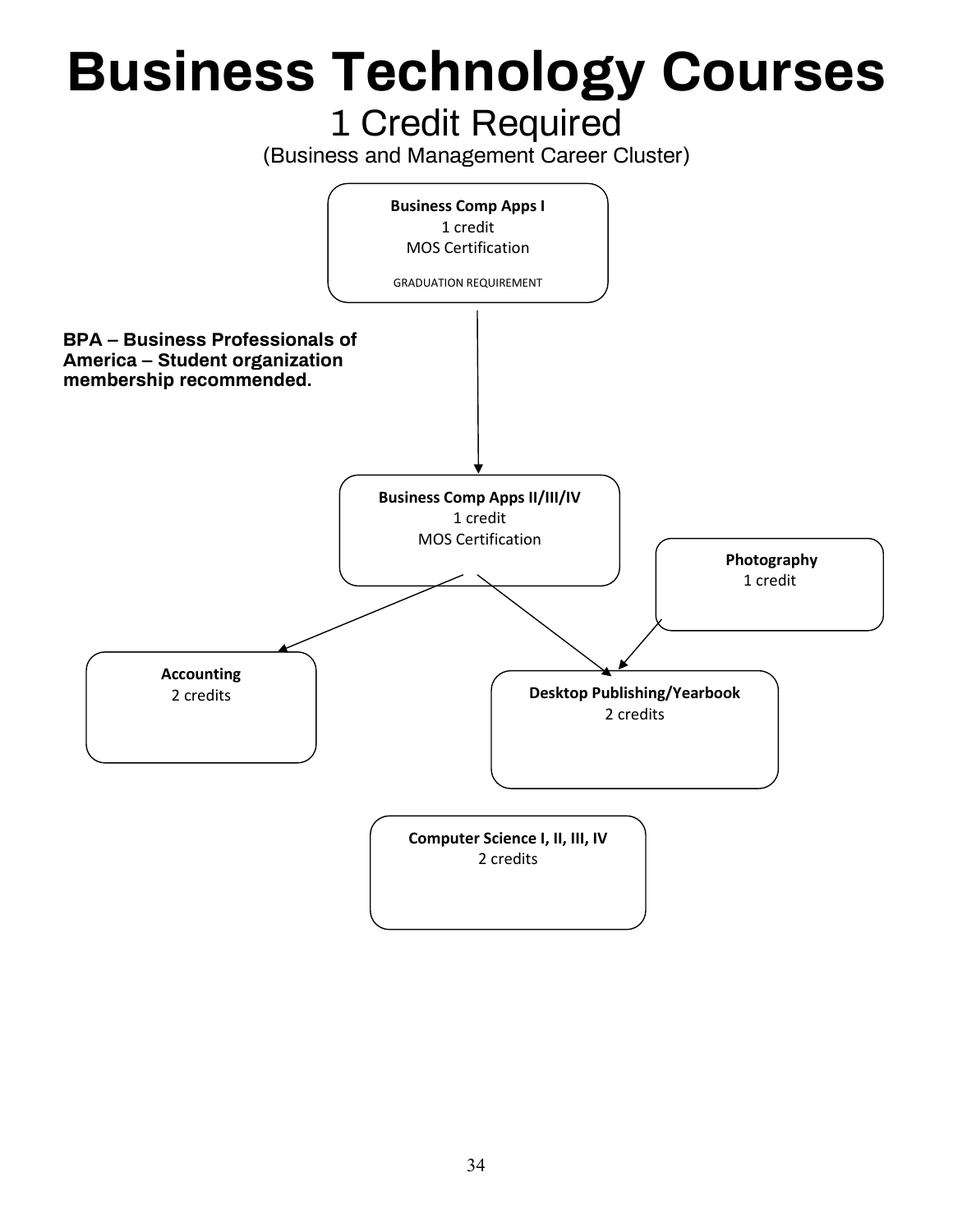## **Business Technology Courses** 1 Credit Required

(Business and Management Career Cluster)

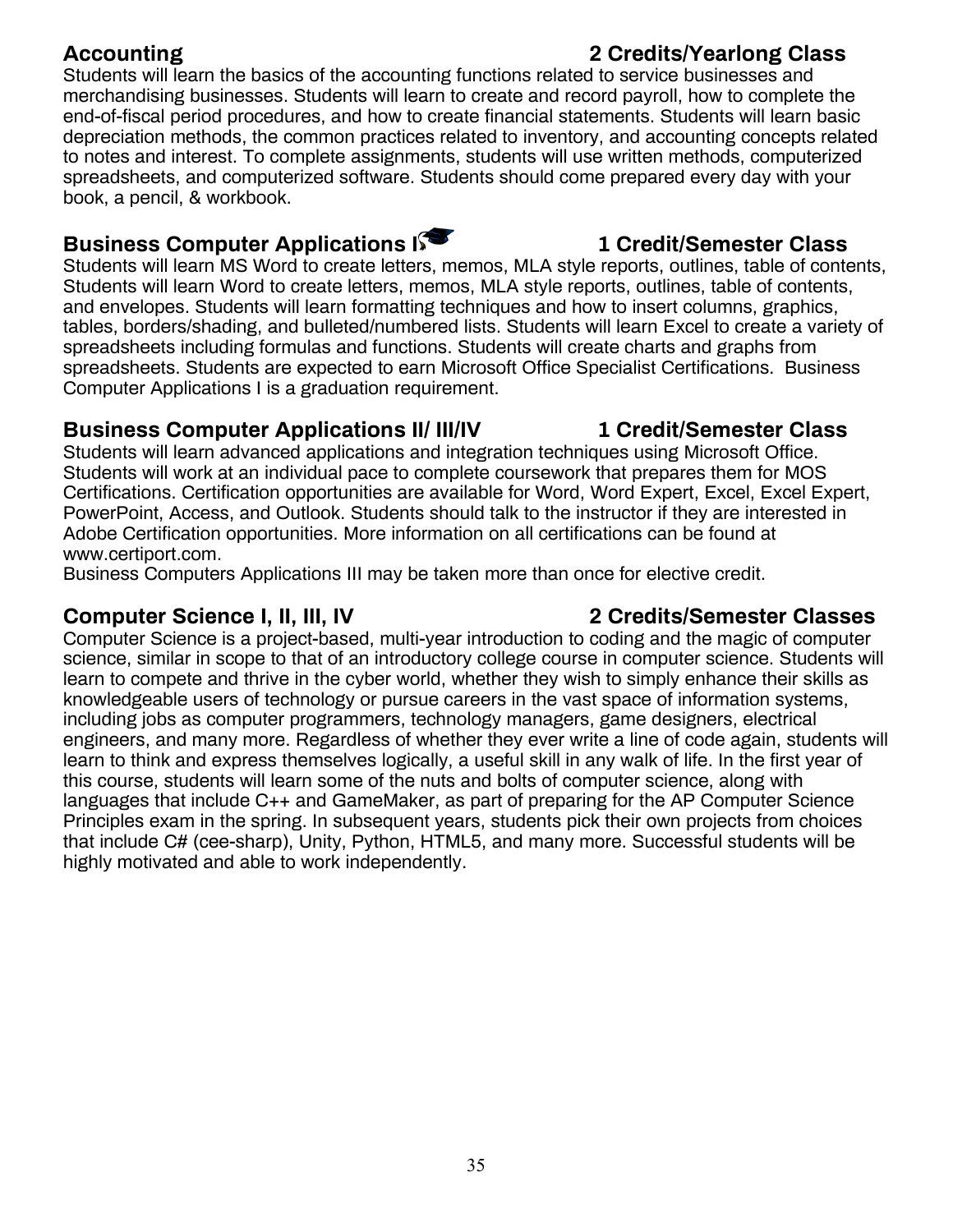Students will learn the basics of the accounting functions related to service businesses and merchandising businesses. Students will learn to create and record payroll, how to complete the end-of-fiscal period procedures, and how to create financial statements. Students will learn basic depreciation methods, the common practices related to inventory, and accounting concepts related to notes and interest. To complete assignments, students will use written methods, computerized spreadsheets, and computerized software. Students should come prepared every day with your book, a pencil, & workbook.

### **Business Computer Applications I 1 Credit/Semester Class**

Students will learn MS Word to create letters, memos, MLA style reports, outlines, table of contents, Students will learn Word to create letters, memos, MLA style reports, outlines, table of contents, and envelopes. Students will learn formatting techniques and how to insert columns, graphics, tables, borders/shading, and bulleted/numbered lists. Students will learn Excel to create a variety of spreadsheets including formulas and functions. Students will create charts and graphs from spreadsheets. Students are expected to earn Microsoft Office Specialist Certifications. Business Computer Applications I is a graduation requirement.

### **Business Computer Applications II/ III/IV 1 Credit/Semester Class**

Students will learn advanced applications and integration techniques using Microsoft Office. Students will work at an individual pace to complete coursework that prepares them for MOS Certifications. Certification opportunities are available for Word, Word Expert, Excel, Excel Expert, PowerPoint, Access, and Outlook. Students should talk to the instructor if they are interested in Adobe Certification opportunities. More information on all certifications can be found at [www.certiport.com.](http://www.certiport.com/)

Business Computers Applications III may be taken more than once for elective credit.

### **Computer Science I, II, III, IV 2 Credits/Semester Classes**

Computer Science is a project-based, multi-year introduction to coding and the magic of computer science, similar in scope to that of an introductory college course in computer science. Students will learn to compete and thrive in the cyber world, whether they wish to simply enhance their skills as knowledgeable users of technology or pursue careers in the vast space of information systems, including jobs as computer programmers, technology managers, game designers, electrical engineers, and many more. Regardless of whether they ever write a line of code again, students will learn to think and express themselves logically, a useful skill in any walk of life. In the first year of this course, students will learn some of the nuts and bolts of computer science, along with languages that include C++ and GameMaker, as part of preparing for the AP Computer Science Principles exam in the spring. In subsequent years, students pick their own projects from choices that include C# (cee-sharp), Unity, Python, HTML5, and many more. Successful students will be highly motivated and able to work independently.

### **Accounting 2 Credits/Yearlong Class**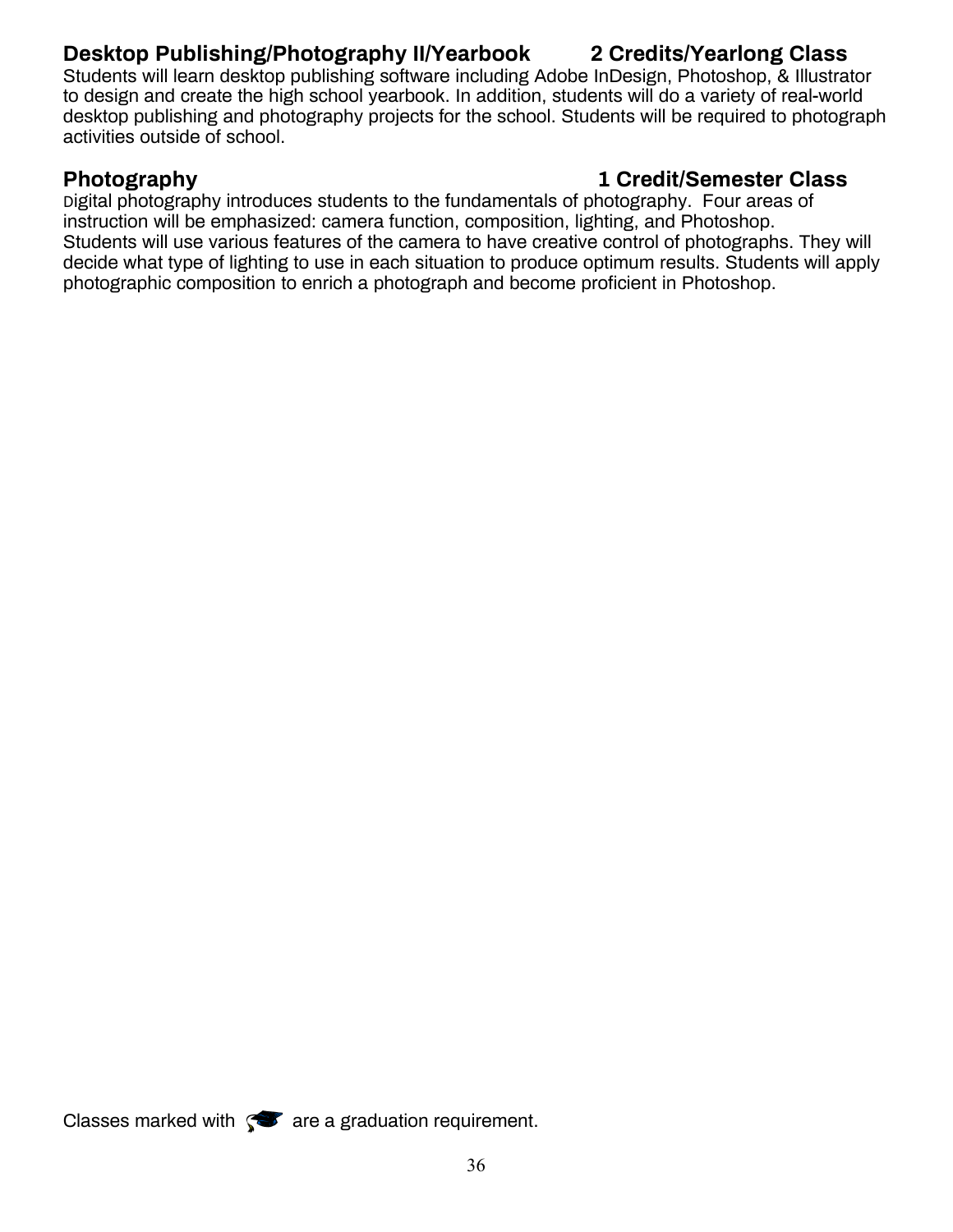### **Desktop Publishing/Photography II/Yearbook 2 Credits/Yearlong Class**

Students will learn desktop publishing software including Adobe InDesign, Photoshop, & Illustrator to design and create the high school yearbook. In addition, students will do a variety of real-world desktop publishing and photography projects for the school. Students will be required to photograph activities outside of school.

### **Photography 1 Credit/Semester Class**

Digital photography introduces students to the fundamentals of photography. Four areas of instruction will be emphasized: camera function, composition, lighting, and Photoshop. Students will use various features of the camera to have creative control of photographs. They will decide what type of lighting to use in each situation to produce optimum results. Students will apply photographic composition to enrich a photograph and become proficient in Photoshop.

Classes marked with  $\bullet$  are a graduation requirement.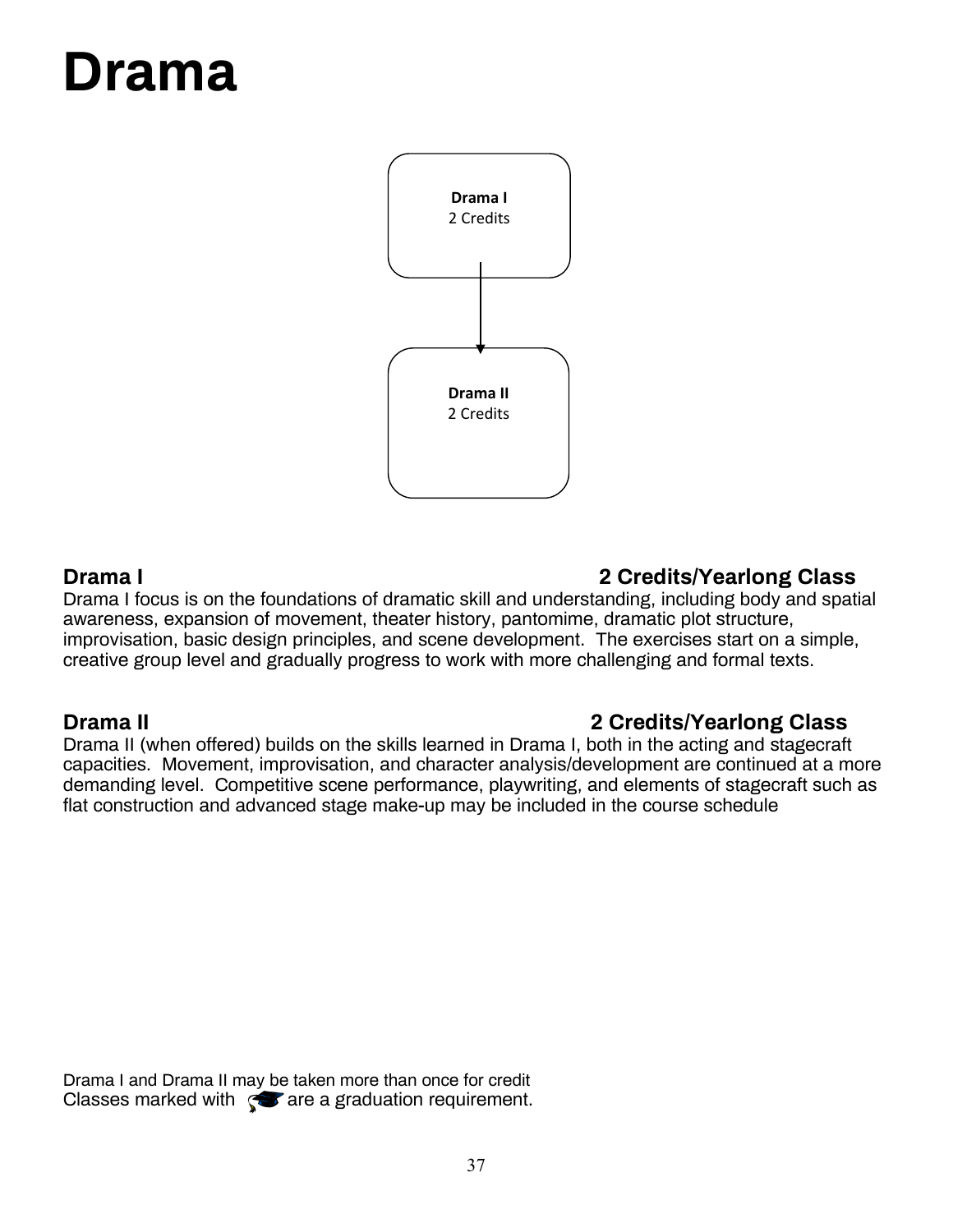## **Drama**



### **Drama I 2 Credits/Yearlong Class**

Drama I focus is on the foundations of dramatic skill and understanding, including body and spatial awareness, expansion of movement, theater history, pantomime, dramatic plot structure, improvisation, basic design principles, and scene development. The exercises start on a simple, creative group level and gradually progress to work with more challenging and formal texts.

### **Drama II 2 Credits/Yearlong Class**

Drama II (when offered) builds on the skills learned in Drama I, both in the acting and stagecraft capacities. Movement, improvisation, and character analysis/development are continued at a more demanding level. Competitive scene performance, playwriting, and elements of stagecraft such as flat construction and advanced stage make-up may be included in the course schedule

Drama I and Drama II may be taken more than once for credit Classes marked with  $\sqrt{3}$  are a graduation requirement.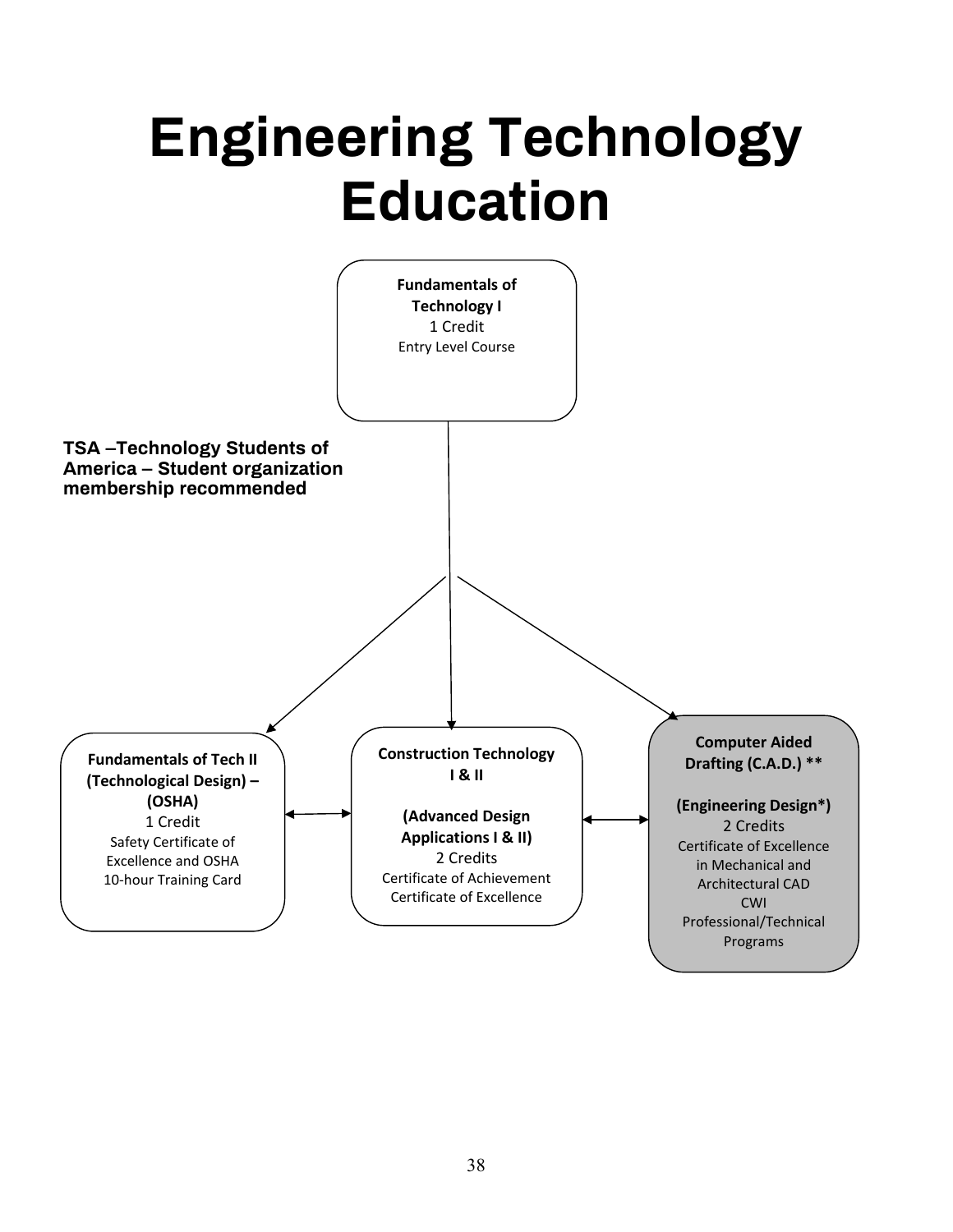## **Engineering Technology Education**

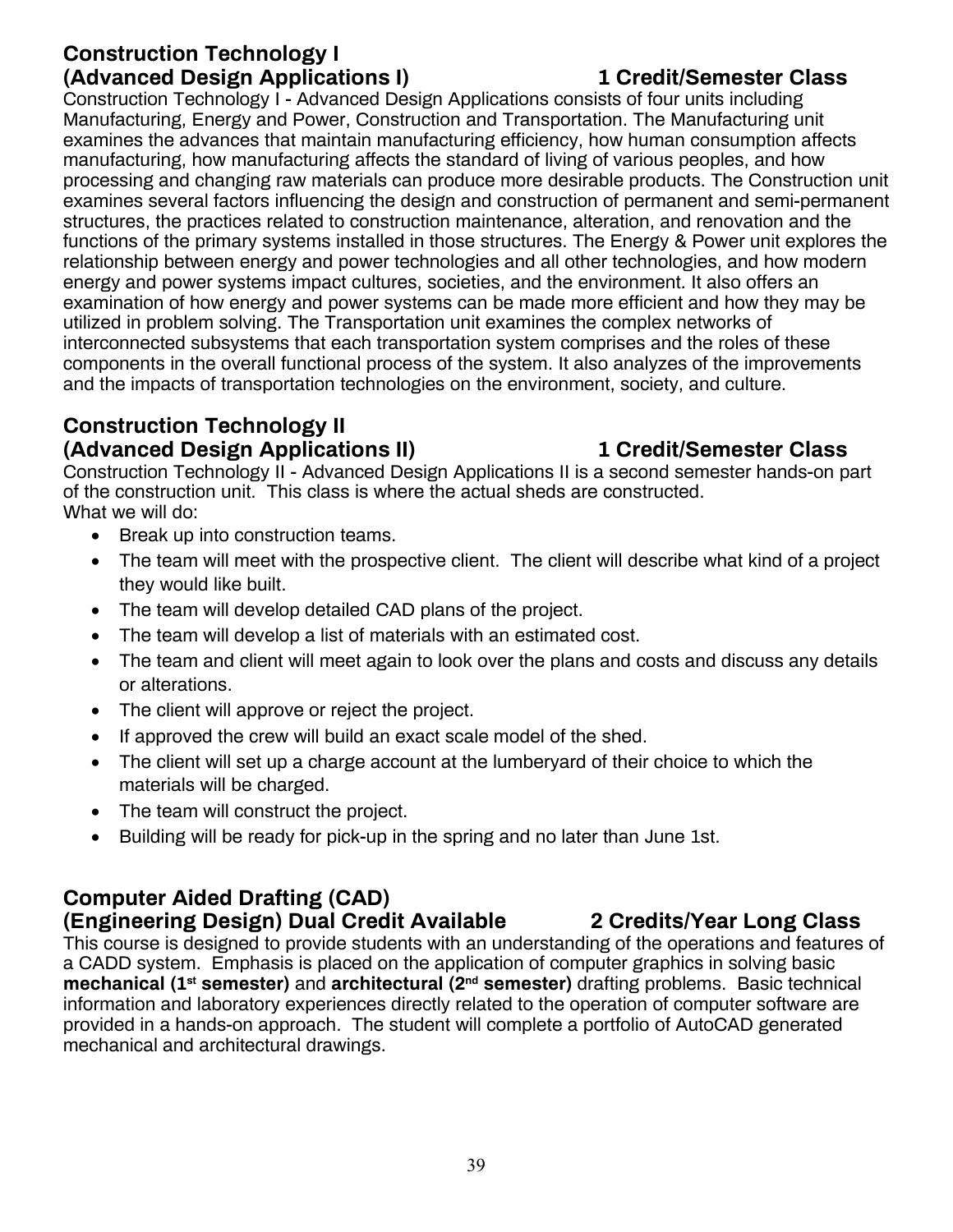### **Construction Technology I (Advanced Design Applications I) 1 Credit/Semester Class**

Construction Technology I - Advanced Design Applications consists of four units including Manufacturing, Energy and Power, Construction and Transportation. The Manufacturing unit examines the advances that maintain manufacturing efficiency, how human consumption affects manufacturing, how manufacturing affects the standard of living of various peoples, and how processing and changing raw materials can produce more desirable products. The Construction unit examines several factors influencing the design and construction of permanent and semi-permanent structures, the practices related to construction maintenance, alteration, and renovation and the functions of the primary systems installed in those structures. The Energy & Power unit explores the relationship between energy and power technologies and all other technologies, and how modern energy and power systems impact cultures, societies, and the environment. It also offers an examination of how energy and power systems can be made more efficient and how they may be utilized in problem solving. The Transportation unit examines the complex networks of interconnected subsystems that each transportation system comprises and the roles of these components in the overall functional process of the system. It also analyzes of the improvements and the impacts of transportation technologies on the environment, society, and culture.

### **Construction Technology II (Advanced Design Applications II) 1 Credit/Semester Class**

Construction Technology II - Advanced Design Applications II is a second semester hands-on part of the construction unit. This class is where the actual sheds are constructed. What we will do:

- Break up into construction teams.
- The team will meet with the prospective client. The client will describe what kind of a project they would like built.
- The team will develop detailed CAD plans of the project.
- The team will develop a list of materials with an estimated cost.
- The team and client will meet again to look over the plans and costs and discuss any details or alterations.
- The client will approve or reject the project.
- If approved the crew will build an exact scale model of the shed.
- The client will set up a charge account at the lumberyard of their choice to which the materials will be charged.
- The team will construct the project.
- Building will be ready for pick-up in the spring and no later than June 1st.

### **Computer Aided Drafting (CAD)**

### **(Engineering Design) Dual Credit Available 2 Credits/Year Long Class**

This course is designed to provide students with an understanding of the operations and features of a CADD system. Emphasis is placed on the application of computer graphics in solving basic **mechanical (1st semester)** and **architectural (2nd semester)** drafting problems. Basic technical information and laboratory experiences directly related to the operation of computer software are provided in a hands-on approach. The student will complete a portfolio of AutoCAD generated mechanical and architectural drawings.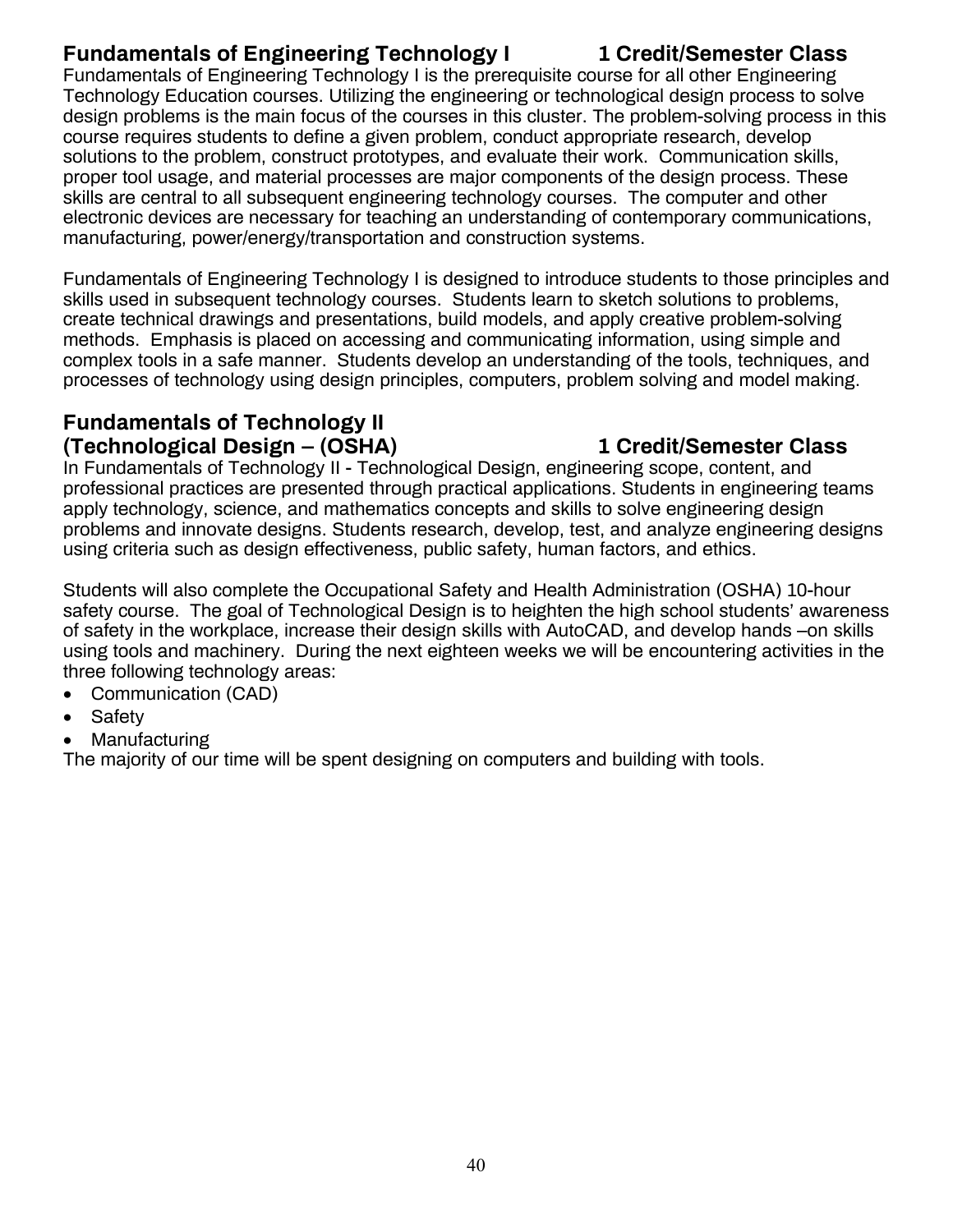### **Fundamentals of Engineering Technology I 1 Credit/Semester Class**

Fundamentals of Engineering Technology I is the prerequisite course for all other Engineering Technology Education courses. Utilizing the engineering or technological design process to solve design problems is the main focus of the courses in this cluster. The problem-solving process in this course requires students to define a given problem, conduct appropriate research, develop solutions to the problem, construct prototypes, and evaluate their work. Communication skills, proper tool usage, and material processes are major components of the design process. These skills are central to all subsequent engineering technology courses. The computer and other electronic devices are necessary for teaching an understanding of contemporary communications, manufacturing, power/energy/transportation and construction systems.

Fundamentals of Engineering Technology I is designed to introduce students to those principles and skills used in subsequent technology courses. Students learn to sketch solutions to problems, create technical drawings and presentations, build models, and apply creative problem-solving methods. Emphasis is placed on accessing and communicating information, using simple and complex tools in a safe manner. Students develop an understanding of the tools, techniques, and processes of technology using design principles, computers, problem solving and model making.

### **Fundamentals of Technology II (Technological Design – (OSHA) 1 Credit/Semester Class**

In Fundamentals of Technology II - Technological Design, engineering scope, content, and professional practices are presented through practical applications. Students in engineering teams apply technology, science, and mathematics concepts and skills to solve engineering design problems and innovate designs. Students research, develop, test, and analyze engineering designs using criteria such as design effectiveness, public safety, human factors, and ethics.

Students will also complete the Occupational Safety and Health Administration (OSHA) 10-hour safety course. The goal of Technological Design is to heighten the high school students' awareness of safety in the workplace, increase their design skills with AutoCAD, and develop hands –on skills using tools and machinery. During the next eighteen weeks we will be encountering activities in the three following technology areas:

- Communication (CAD)
- Safety
- **Manufacturing**

The majority of our time will be spent designing on computers and building with tools.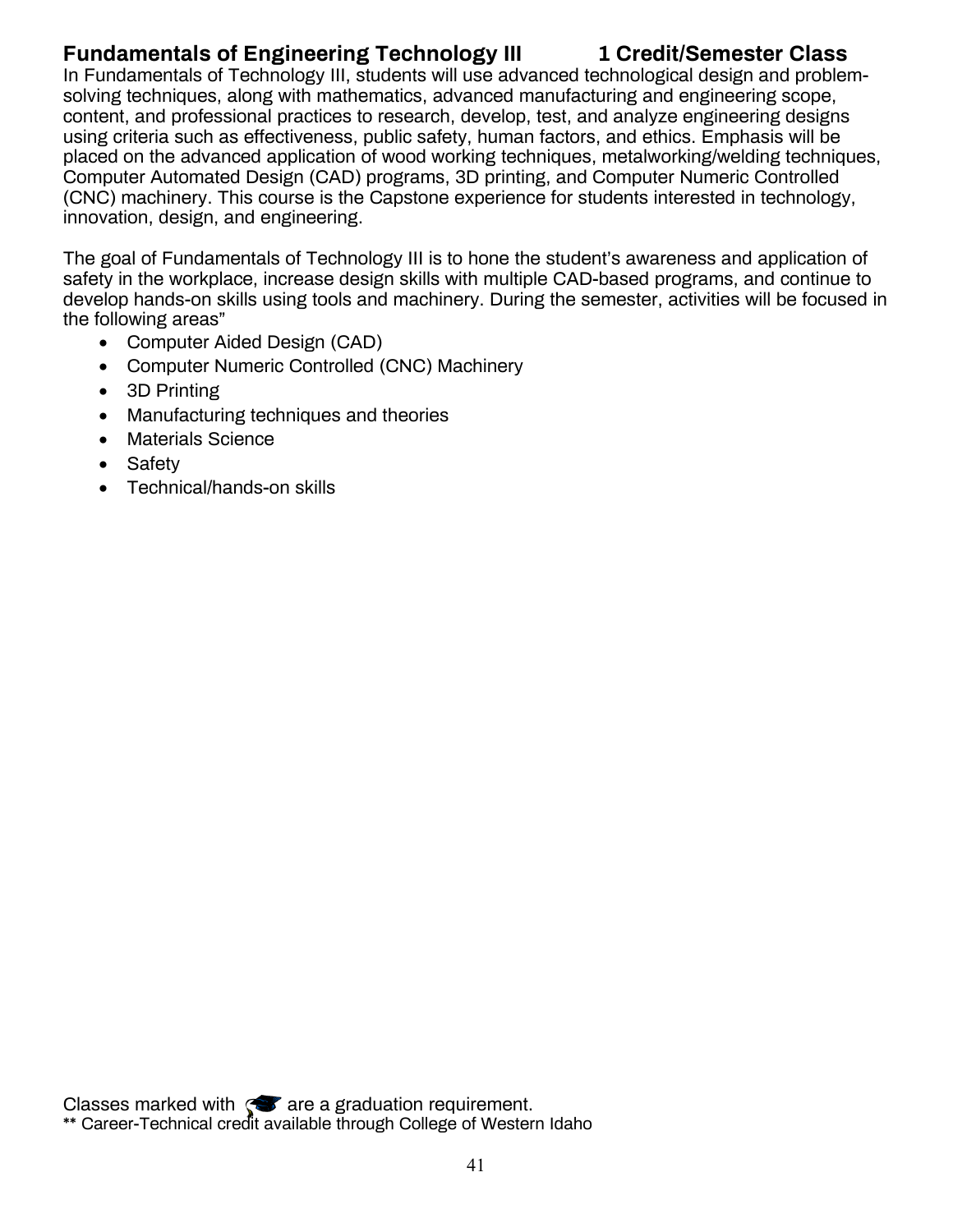### **Fundamentals of Engineering Technology III 1 Credit/Semester Class**

In Fundamentals of Technology III, students will use advanced technological design and problemsolving techniques, along with mathematics, advanced manufacturing and engineering scope, content, and professional practices to research, develop, test, and analyze engineering designs using criteria such as effectiveness, public safety, human factors, and ethics. Emphasis will be placed on the advanced application of wood working techniques, metalworking/welding techniques, Computer Automated Design (CAD) programs, 3D printing, and Computer Numeric Controlled (CNC) machinery. This course is the Capstone experience for students interested in technology, innovation, design, and engineering.

The goal of Fundamentals of Technology III is to hone the student's awareness and application of safety in the workplace, increase design skills with multiple CAD-based programs, and continue to develop hands-on skills using tools and machinery. During the semester, activities will be focused in the following areas"

- Computer Aided Design (CAD)
- Computer Numeric Controlled (CNC) Machinery
- 3D Printing
- Manufacturing techniques and theories
- Materials Science
- Safety
- Technical/hands-on skills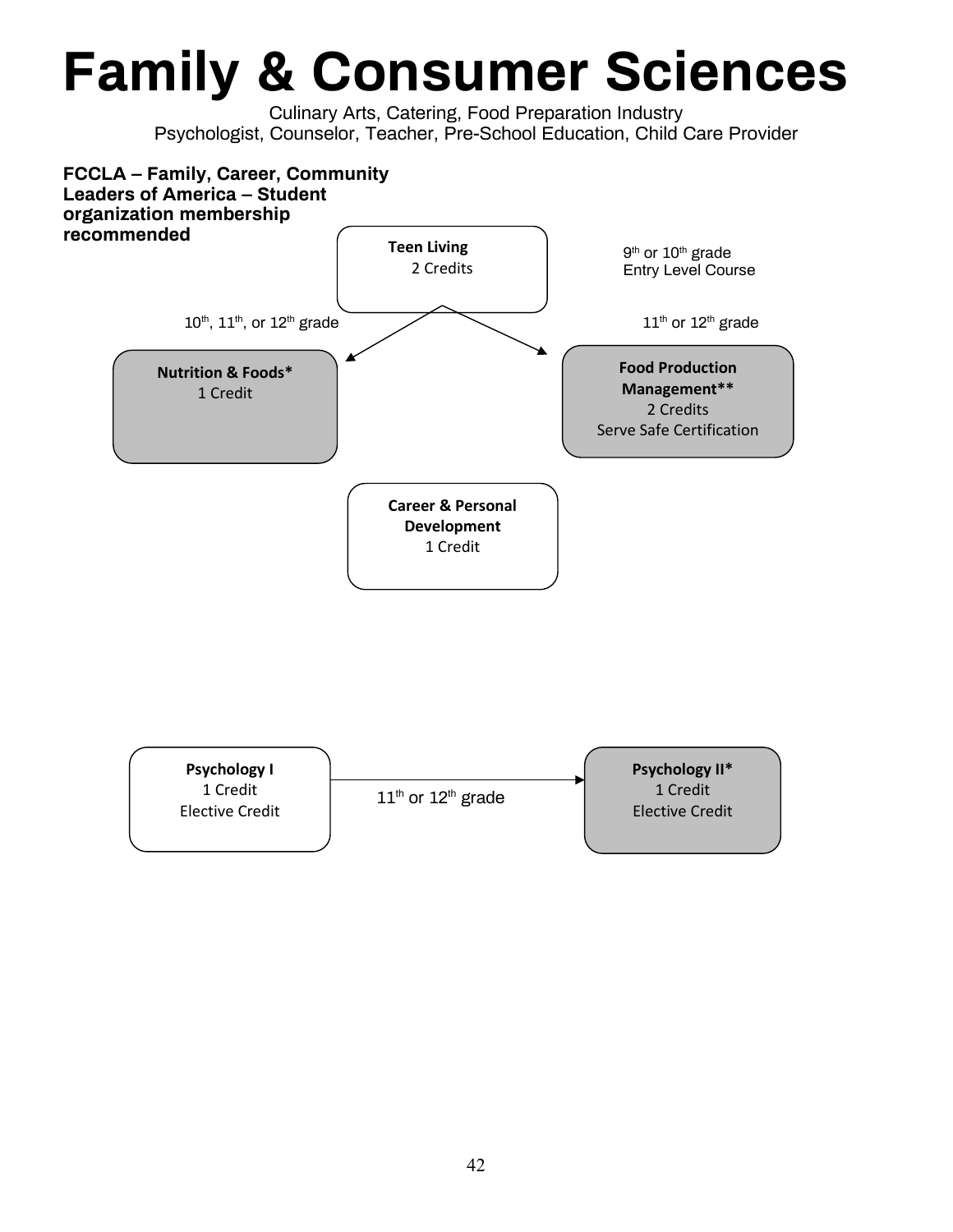## **Family & Consumer Sciences**

Culinary Arts, Catering, Food Preparation Industry Psychologist, Counselor, Teacher, Pre-School Education, Child Care Provider



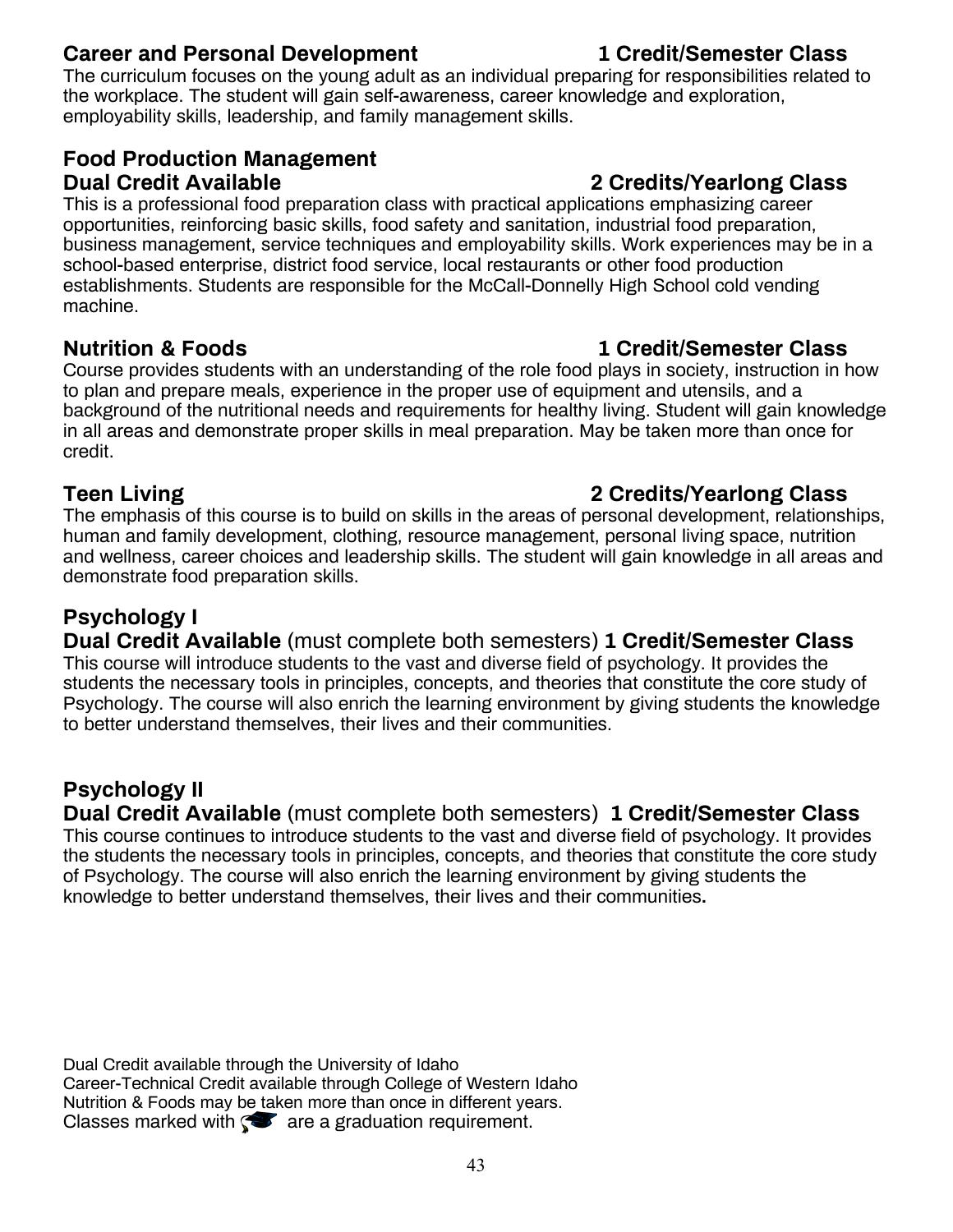### **Career and Personal Development 1 Credit/Semester Class**

The curriculum focuses on the young adult as an individual preparing for responsibilities related to the workplace. The student will gain self-awareness, career knowledge and exploration, employability skills, leadership, and family management skills.

### **Food Production Management Dual Credit Available 2 Credits/Yearlong Class**

This is a professional food preparation class with practical applications emphasizing career opportunities, reinforcing basic skills, food safety and sanitation, industrial food preparation, business management, service techniques and employability skills. Work experiences may be in a school-based enterprise, district food service, local restaurants or other food production establishments. Students are responsible for the McCall-Donnelly High School cold vending machine.

Course provides students with an understanding of the role food plays in society, instruction in how to plan and prepare meals, experience in the proper use of equipment and utensils, and a background of the nutritional needs and requirements for healthy living. Student will gain knowledge in all areas and demonstrate proper skills in meal preparation. May be taken more than once for credit.

The emphasis of this course is to build on skills in the areas of personal development, relationships, human and family development, clothing, resource management, personal living space, nutrition and wellness, career choices and leadership skills. The student will gain knowledge in all areas and demonstrate food preparation skills.

### **Psychology I**

**Dual Credit Available** (must complete both semesters) **1 Credit/Semester Class** This course will introduce students to the vast and diverse field of psychology. It provides the students the necessary tools in principles, concepts, and theories that constitute the core study of Psychology. The course will also enrich the learning environment by giving students the knowledge to better understand themselves, their lives and their communities.

### **Psychology II**

**Dual Credit Available** (must complete both semesters) **1 Credit/Semester Class** This course continues to introduce students to the vast and diverse field of psychology. It provides the students the necessary tools in principles, concepts, and theories that constitute the core study of Psychology. The course will also enrich the learning environment by giving students the knowledge to better understand themselves, their lives and their communities**.**

Dual Credit available through the University of Idaho Career-Technical Credit available through College of Western Idaho Nutrition & Foods may be taken more than once in different years. Classes marked with  $\bullet$  are a graduation requirement.

### **Nutrition & Foods 1 Credit/Semester Class**

### **Teen Living 2 Credits/Yearlong Class**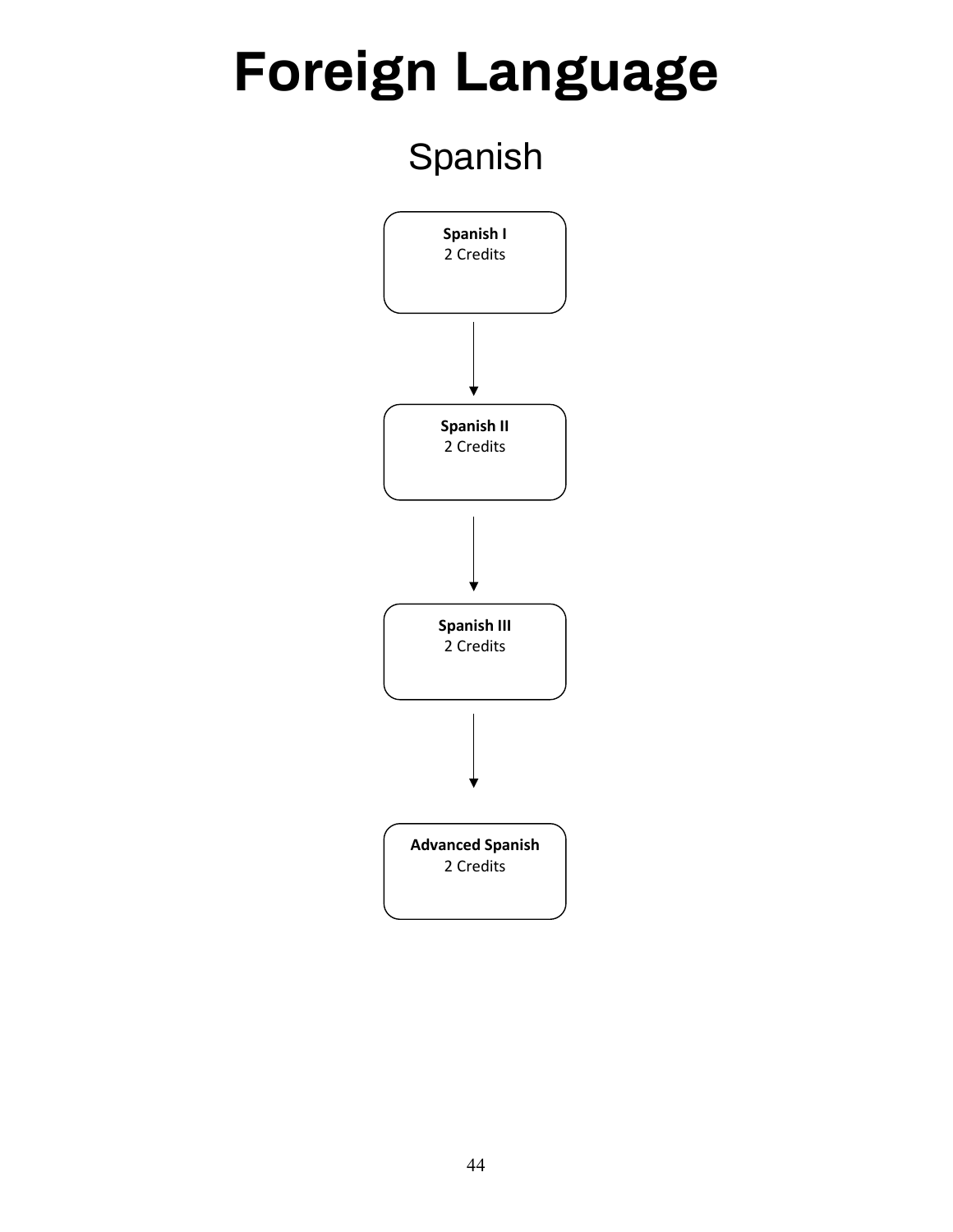## **Foreign Language**

## Spanish

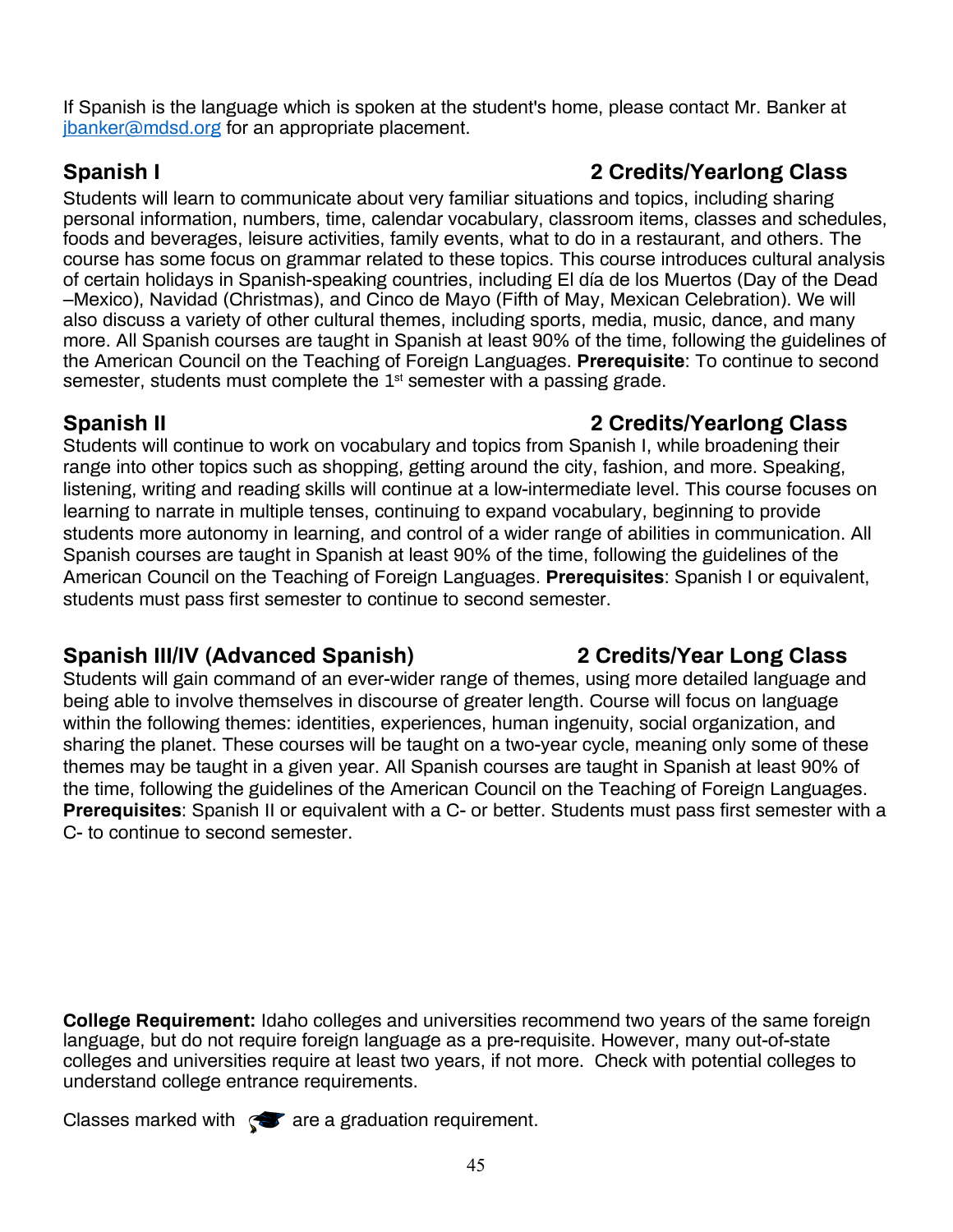If Spanish is the language which is spoken at the student's home, please contact Mr. Banker at ibanker@mdsd.org for an appropriate placement.

Students will learn to communicate about very familiar situations and topics, including sharing personal information, numbers, time, calendar vocabulary, classroom items, classes and schedules, foods and beverages, leisure activities, family events, what to do in a restaurant, and others. The course has some focus on grammar related to these topics. This course introduces cultural analysis of certain holidays in Spanish-speaking countries, including El día de los Muertos (Day of the Dead –Mexico), Navidad (Christmas), and Cinco de Mayo (Fifth of May, Mexican Celebration). We will also discuss a variety of other cultural themes, including sports, media, music, dance, and many more. All Spanish courses are taught in Spanish at least 90% of the time, following the guidelines of the American Council on the Teaching of Foreign Languages. **Prerequisite**: To continue to second semester, students must complete the  $1<sup>st</sup>$  semester with a passing grade.

### **Spanish II 2 Credits/Yearlong Class**

Students will continue to work on vocabulary and topics from Spanish I, while broadening their range into other topics such as shopping, getting around the city, fashion, and more. Speaking, listening, writing and reading skills will continue at a low-intermediate level. This course focuses on learning to narrate in multiple tenses, continuing to expand vocabulary, beginning to provide students more autonomy in learning, and control of a wider range of abilities in communication. All Spanish courses are taught in Spanish at least 90% of the time, following the guidelines of the American Council on the Teaching of Foreign Languages. **Prerequisites**: Spanish I or equivalent, students must pass first semester to continue to second semester.

### **Spanish III/IV (Advanced Spanish) 2 Credits/Year Long Class**

Students will gain command of an ever-wider range of themes, using more detailed language and being able to involve themselves in discourse of greater length. Course will focus on language within the following themes: identities, experiences, human ingenuity, social organization, and sharing the planet. These courses will be taught on a two-year cycle, meaning only some of these themes may be taught in a given year. All Spanish courses are taught in Spanish at least 90% of the time, following the guidelines of the American Council on the Teaching of Foreign Languages. **Prerequisites**: Spanish II or equivalent with a C- or better. Students must pass first semester with a C- to continue to second semester.

**College Requirement:** Idaho colleges and universities recommend two years of the same foreign language, but do not require foreign language as a pre-requisite. However, many out-of-state colleges and universities require at least two years, if not more. Check with potential colleges to understand college entrance requirements.

Classes marked with  $\mathcal{R}$  are a graduation requirement.

### **Spanish I 2 Credits/Yearlong Class**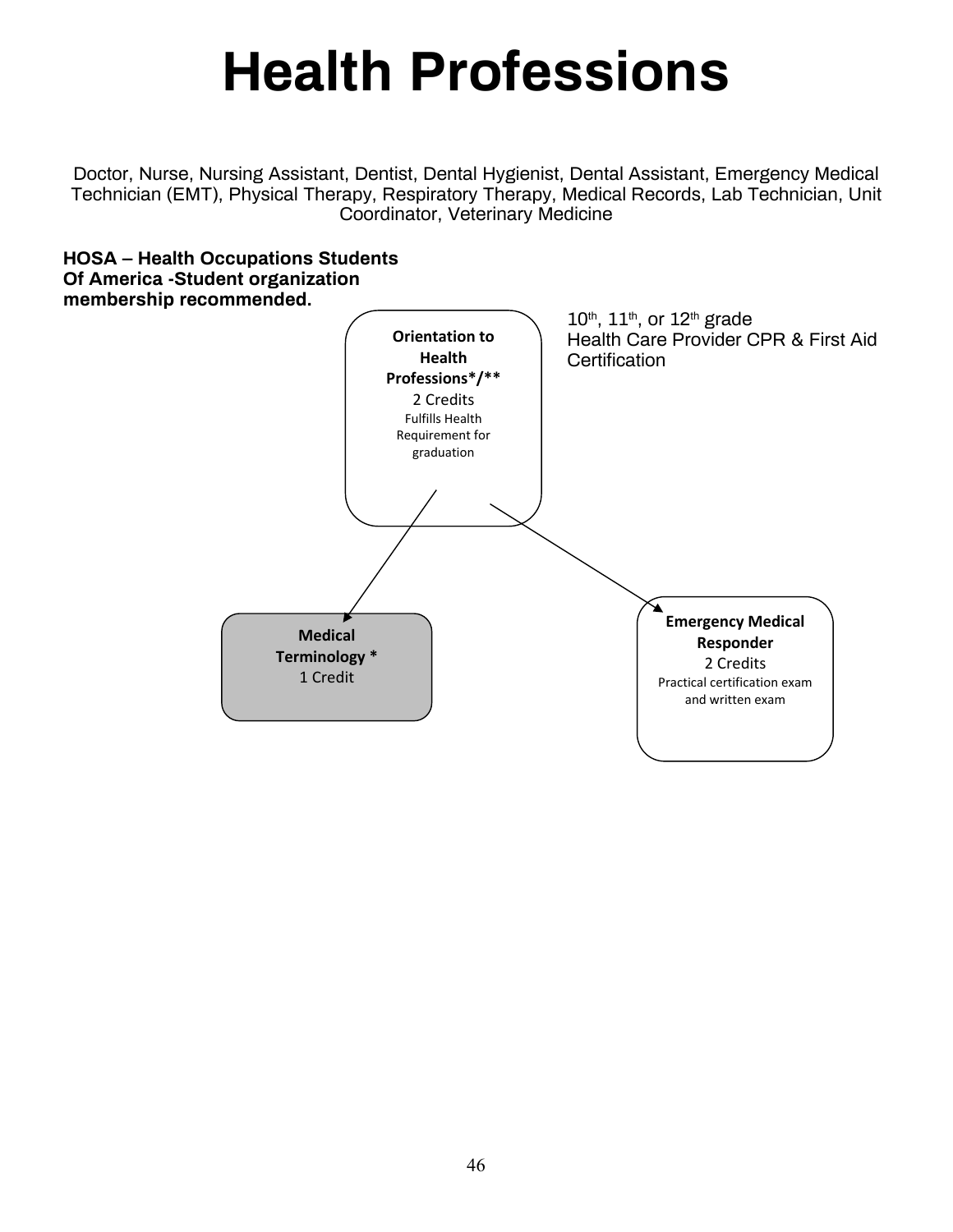## **Health Professions**

Doctor, Nurse, Nursing Assistant, Dentist, Dental Hygienist, Dental Assistant, Emergency Medical Technician (EMT), Physical Therapy, Respiratory Therapy, Medical Records, Lab Technician, Unit Coordinator, Veterinary Medicine

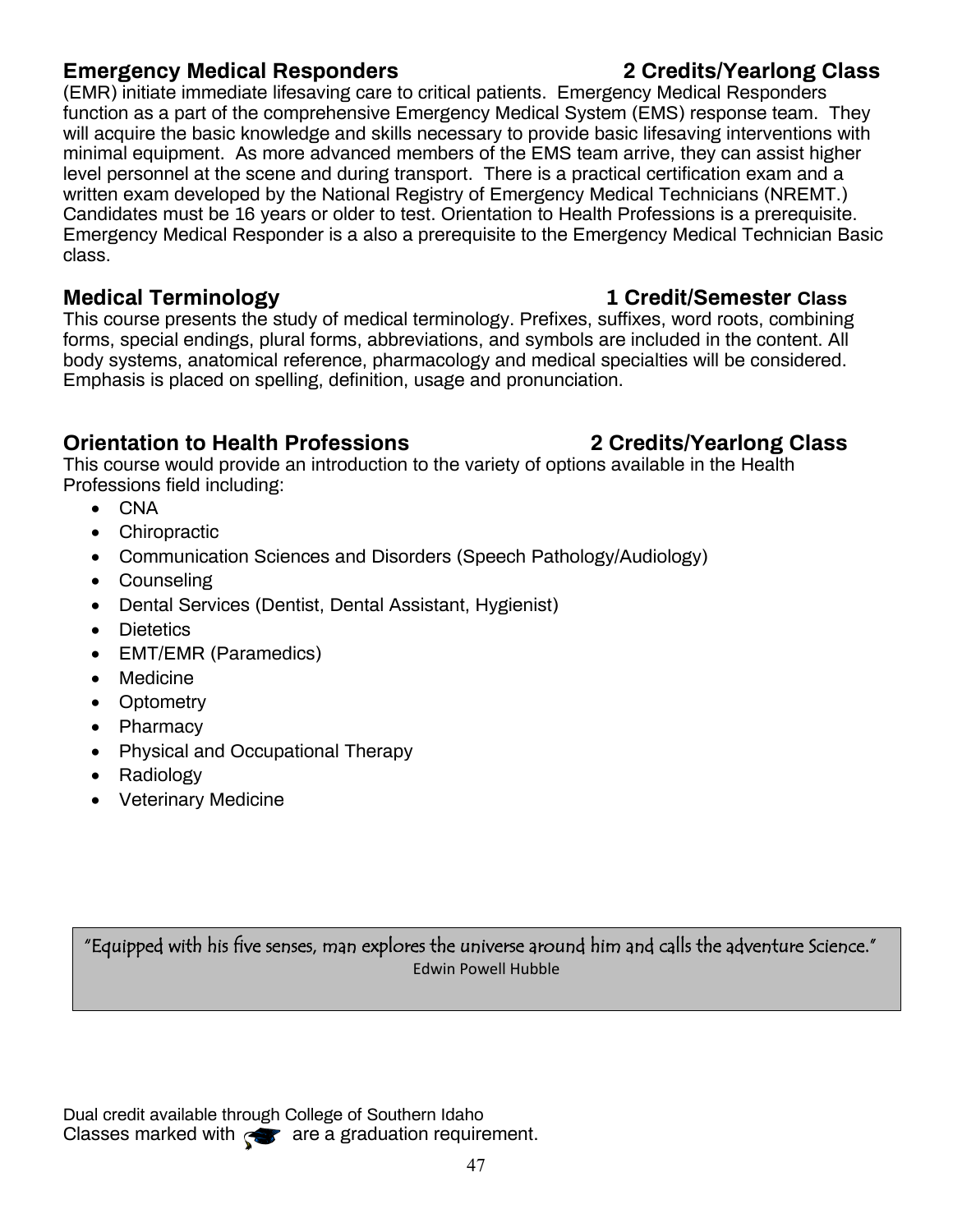### **Emergency Medical Responders 2 Credits/Yearlong Class**

(EMR) initiate immediate lifesaving care to critical patients. Emergency Medical Responders function as a part of the comprehensive Emergency Medical System (EMS) response team. They will acquire the basic knowledge and skills necessary to provide basic lifesaving interventions with minimal equipment. As more advanced members of the EMS team arrive, they can assist higher level personnel at the scene and during transport. There is a practical certification exam and a written exam developed by the National Registry of Emergency Medical Technicians (NREMT.) Candidates must be 16 years or older to test. Orientation to Health Professions is a prerequisite. Emergency Medical Responder is a also a prerequisite to the Emergency Medical Technician Basic class.

This course presents the study of medical terminology. Prefixes, suffixes, word roots, combining forms, special endings, plural forms, abbreviations, and symbols are included in the content. All body systems, anatomical reference, pharmacology and medical specialties will be considered. Emphasis is placed on spelling, definition, usage and pronunciation.

### **Orientation to Health Professions 2 Credits/Yearlong Class**

This course would provide an introduction to the variety of options available in the Health Professions field including:

- CNA
- Chiropractic
- Communication Sciences and Disorders (Speech Pathology/Audiology)
- Counseling
- Dental Services (Dentist, Dental Assistant, Hygienist)
- Dietetics
- EMT/EMR (Paramedics)
- Medicine
- Optometry
- Pharmacy
- Physical and Occupational Therapy
- Radiology
- Veterinary Medicine

"Equipped with his five senses, man explores the universe around him and calls the adventure Science." Edwin Powell Hubble

Dual credit available through College of Southern Idaho Classes marked with  $\ll$  are a graduation requirement.

### **Medical Terminology 1 Credit/Semester Class**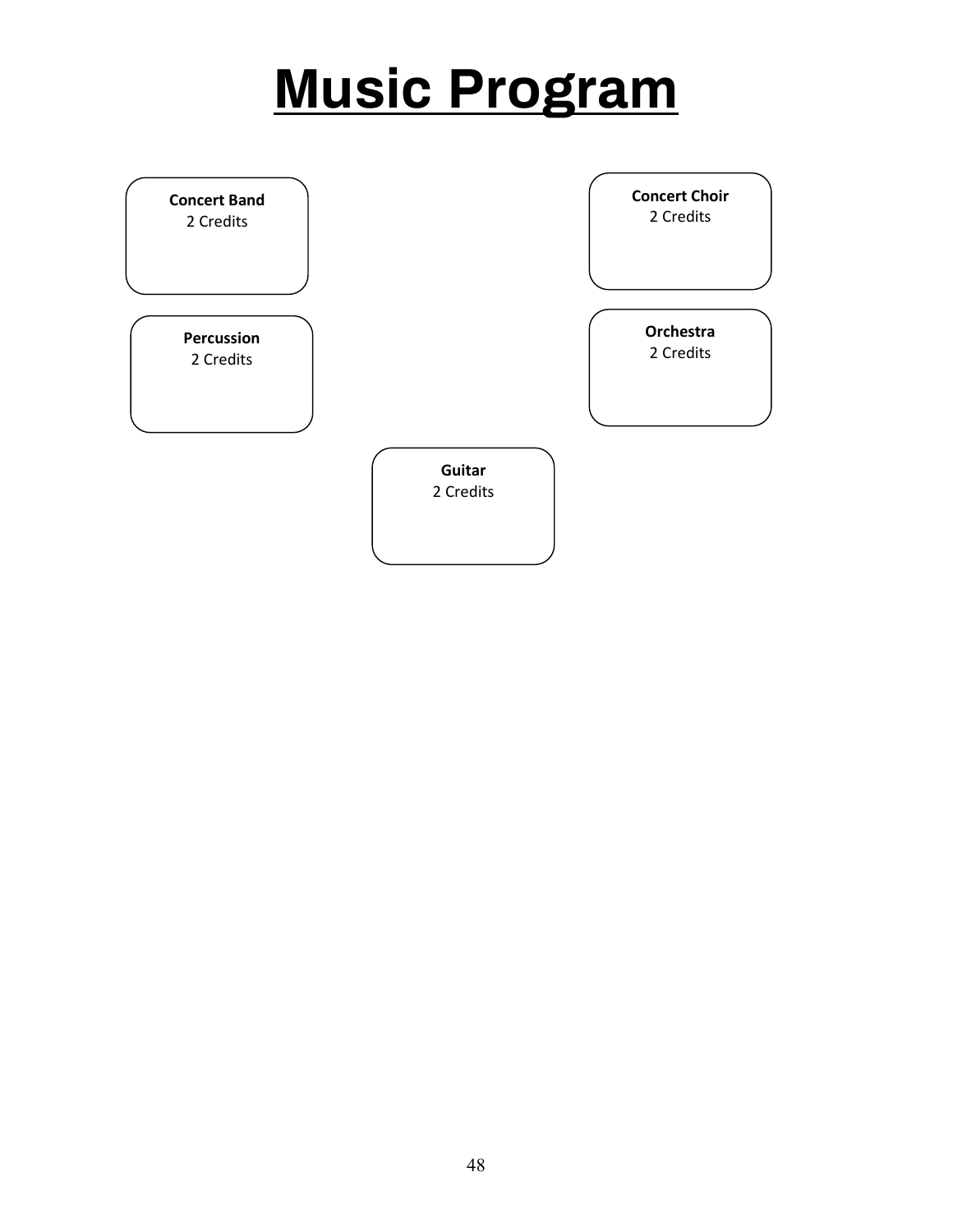## **Music Program**

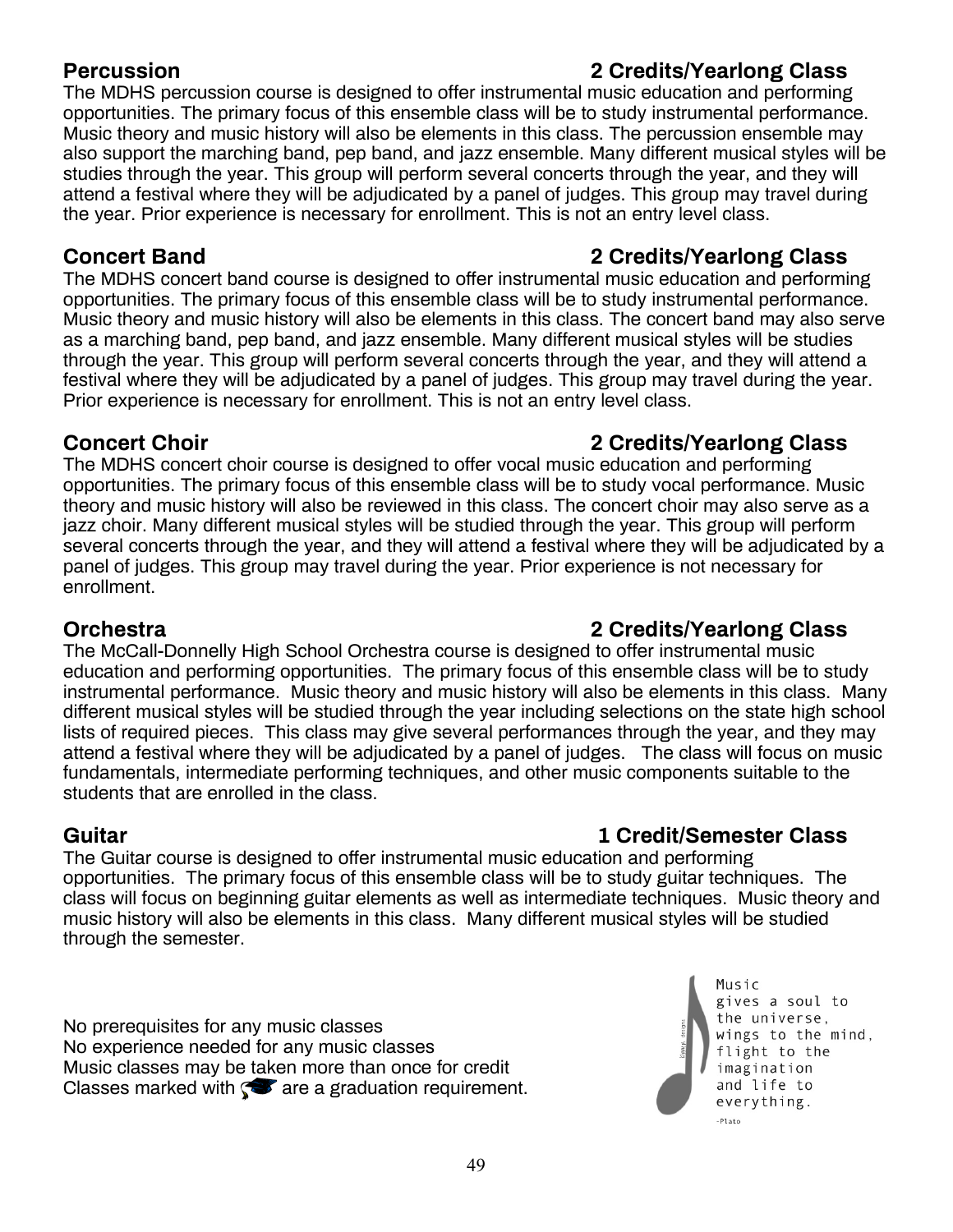### **Percussion 2 Credits/Yearlong Class**

### The MDHS percussion course is designed to offer instrumental music education and performing opportunities. The primary focus of this ensemble class will be to study instrumental performance. Music theory and music history will also be elements in this class. The percussion ensemble may also support the marching band, pep band, and jazz ensemble. Many different musical styles will be studies through the year. This group will perform several concerts through the year, and they will attend a festival where they will be adjudicated by a panel of judges. This group may travel during the year. Prior experience is necessary for enrollment. This is not an entry level class.

The MDHS concert band course is designed to offer instrumental music education and performing opportunities. The primary focus of this ensemble class will be to study instrumental performance. Music theory and music history will also be elements in this class. The concert band may also serve as a marching band, pep band, and jazz ensemble. Many different musical styles will be studies through the year. This group will perform several concerts through the year, and they will attend a festival where they will be adjudicated by a panel of judges. This group may travel during the year. Prior experience is necessary for enrollment. This is not an entry level class.

### **Concert Choir 2 Credits/Yearlong Class**

The MDHS concert choir course is designed to offer vocal music education and performing opportunities. The primary focus of this ensemble class will be to study vocal performance. Music theory and music history will also be reviewed in this class. The concert choir may also serve as a jazz choir. Many different musical styles will be studied through the year. This group will perform several concerts through the year, and they will attend a festival where they will be adjudicated by a panel of judges. This group may travel during the year. Prior experience is not necessary for enrollment.

The McCall-Donnelly High School Orchestra course is designed to offer instrumental music education and performing opportunities. The primary focus of this ensemble class will be to study instrumental performance. Music theory and music history will also be elements in this class. Many different musical styles will be studied through the year including selections on the state high school lists of required pieces. This class may give several performances through the year, and they may attend a festival where they will be adjudicated by a panel of judges. The class will focus on music fundamentals, intermediate performing techniques, and other music components suitable to the students that are enrolled in the class.

### **Guitar 1 Credit/Semester Class**

The Guitar course is designed to offer instrumental music education and performing opportunities. The primary focus of this ensemble class will be to study guitar techniques. The class will focus on beginning guitar elements as well as intermediate techniques. Music theory and music history will also be elements in this class. Many different musical styles will be studied through the semester.

No prerequisites for any music classes No experience needed for any music classes Music classes may be taken more than once for credit Classes marked with  $\blacktriangleright$  are a graduation requirement.

**Concert Band 2 Credits/Yearlong Class**

Music gives a soul to the universe, flight to the imagination and life to everything. -Plato

# wings to the mind,

**Orchestra 2 Credits/Yearlong Class**